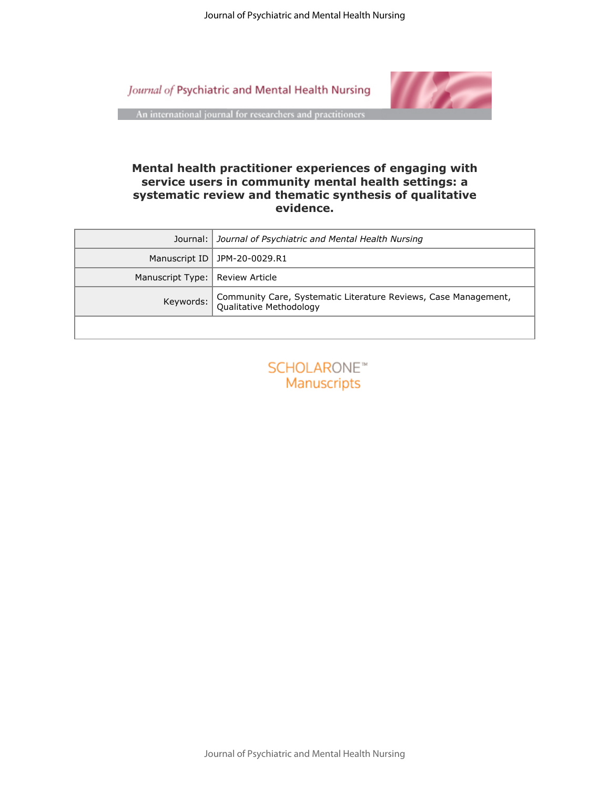Journal of Psychiatric and Mental Health Nursing



An international journal for researchers and practitioners

# **Mental health practitioner experiences of engaging with service users in community mental health settings: a systematic review and thematic synthesis of qualitative evidence.**

| Journal:                          | Journal of Psychiatric and Mental Health Nursing                                           |
|-----------------------------------|--------------------------------------------------------------------------------------------|
| Manuscript ID                     | JPM-20-0029.R1                                                                             |
| Manuscript Type:                  | <b>Review Article</b>                                                                      |
| Keywords:                         | Community Care, Systematic Literature Reviews, Case Management,<br>Qualitative Methodology |
|                                   |                                                                                            |
| <b>SCHOLARONE™</b><br>Manuscripts |                                                                                            |

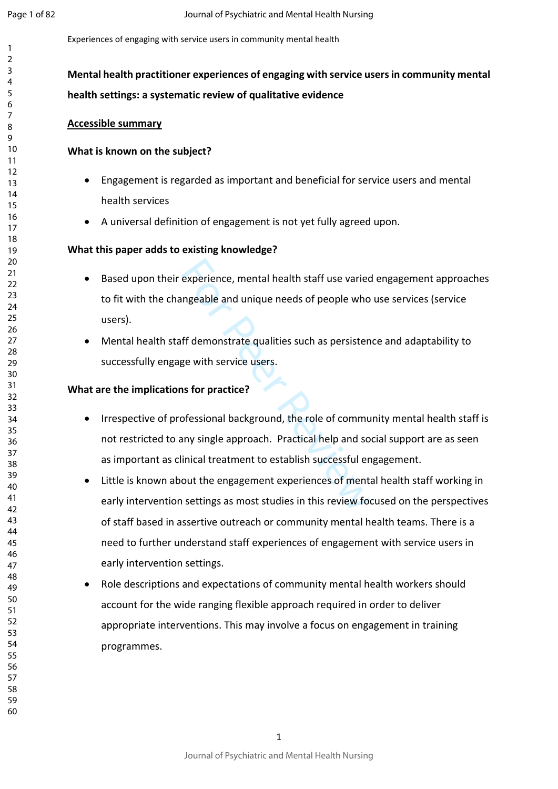# **Mental health practitioner experiences of engaging with service users in community mental health settings: a systematic review of qualitative evidence**

# **Accessible summary**

# **What is known on the subject?**

- Engagement is regarded as important and beneficial for service users and mental health services
- A universal definition of engagement is not yet fully agreed upon.

# **What this paper adds to existing knowledge?**

- Based upon their experience, mental health staff use varied engagement approaches to fit with the changeable and unique needs of people who use services (service users).
- Mental health staff demonstrate qualities such as persistence and adaptability to successfully engage with service users.

## **What are the implications for practice?**

- experience, mental health staff use varied<br>
ingeable and unique needs of people who<br>
ff demonstrate qualities such as persisten<br>
ge with service users.<br> **ns for practice?**<br>
ofessional background, the role of commu<br>
inny si • Irrespective of professional background, the role of community mental health staff is not restricted to any single approach. Practical help and social support are as seen as important as clinical treatment to establish successful engagement.
- Little is known about the engagement experiences of mental health staff working in early intervention settings as most studies in this review focused on the perspectives of staff based in assertive outreach or community mental health teams. There is a need to further understand staff experiences of engagement with service users in early intervention settings.
- Role descriptions and expectations of community mental health workers should account for the wide ranging flexible approach required in order to deliver appropriate interventions. This may involve a focus on engagement in training programmes.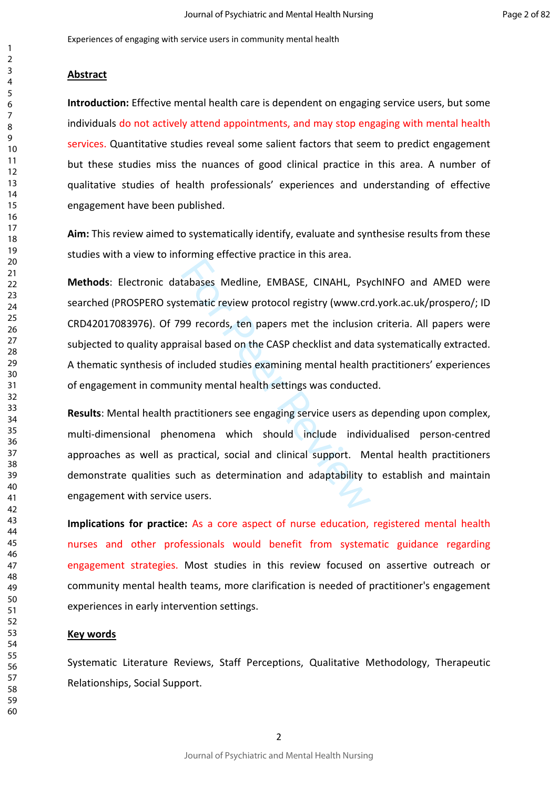# **Abstract**

**Introduction:** Effective mental health care is dependent on engaging service users, but some individuals do not actively attend appointments, and may stop engaging with mental health services. Quantitative studies reveal some salient factors that seem to predict engagement but these studies miss the nuances of good clinical practice in this area. A number of qualitative studies of health professionals' experiences and understanding of effective engagement have been published.

**Aim:** This review aimed to systematically identify, evaluate and synthesise results from these studies with a view to informing effective practice in this area.

tabases Medline, EMBASE, CINAHL, Psy<br>tematic review protocol registry (www.crospectrual protocol registry (www.crospectrual based on the CASP checklist and data<br>ncluded studies examining mental health<br>unity mental health s **Methods**: Electronic databases Medline, EMBASE, CINAHL, PsychINFO and AMED were searched (PROSPERO systematic review protocol registry (www.crd.york.ac.uk/prospero/; ID CRD42017083976). Of 799 records, ten papers met the inclusion criteria. All papers were subjected to quality appraisal based on the CASP checklist and data systematically extracted. A thematic synthesis of included studies examining mental health practitioners' experiences of engagement in community mental health settings was conducted.

**Results**: Mental health practitioners see engaging service users as depending upon complex, multi-dimensional phenomena which should include individualised person-centred approaches as well as practical, social and clinical support. Mental health practitioners demonstrate qualities such as determination and adaptability to establish and maintain engagement with service users.

**Implications for practice:** As a core aspect of nurse education, registered mental health nurses and other professionals would benefit from systematic guidance regarding engagement strategies. Most studies in this review focused on assertive outreach or community mental health teams, more clarification is needed of practitioner's engagement experiences in early intervention settings.

# **Key words**

Systematic Literature Reviews, Staff Perceptions, Qualitative Methodology, Therapeutic Relationships, Social Support.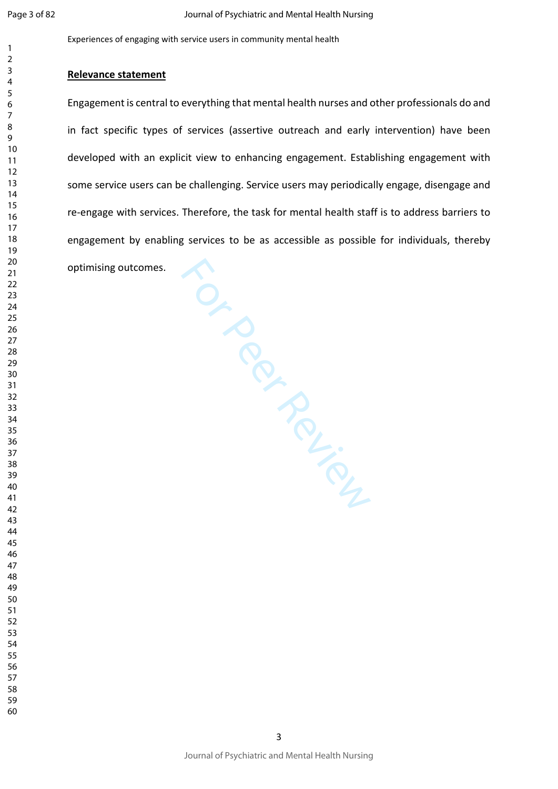$\mathbf{1}$  $\overline{2}$  $\overline{4}$  $\overline{7}$ 

Experiences of engaging with service users in community mental health

#### **Relevance statement**

Engagement is central to everything that mental health nurses and other professionals do and in fact specific types of services (assertive outreach and early intervention) have been developed with an explicit view to enhancing engagement. Establishing engagement with some service users can be challenging. Service users may periodically engage, disengage and re-engage with services. Therefore, the task for mental health staff is to address barriers to engagement by enabling services to be as accessible as possible for individuals, thereby

**PRANCES** 

optimising outcomes.

 Journal of Psychiatric and Mental Health Nursing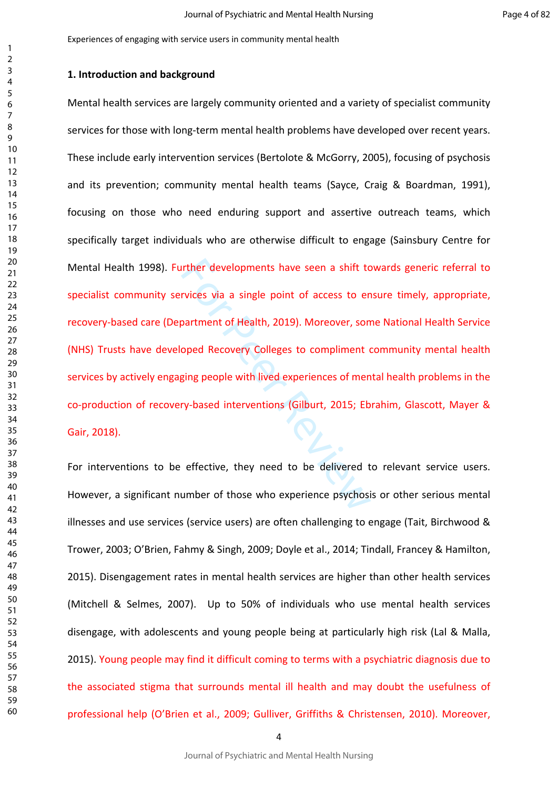## **1. Introduction and background**

rther developments have seen a shift to<br>rvices via a single point of access to er<br>partment of Health, 2019). Moreover, son<br>oped Recovery Colleges to compliment (<br>ging people with lived experiences of men<br>ry-based intervent Mental health services are largely community oriented and a variety of specialist community services for those with long-term mental health problems have developed over recent years. These include early intervention services (Bertolote & McGorry, 2005), focusing of psychosis and its prevention; community mental health teams (Sayce, Craig & Boardman, 1991), focusing on those who need enduring support and assertive outreach teams, which specifically target individuals who are otherwise difficult to engage (Sainsbury Centre for Mental Health 1998). Further developments have seen a shift towards generic referral to specialist community services via a single point of access to ensure timely, appropriate, recovery-based care (Department of Health, 2019). Moreover, some National Health Service (NHS) Trusts have developed Recovery Colleges to compliment community mental health services by actively engaging people with lived experiences of mental health problems in the co-production of recovery-based interventions (Gilburt, 2015; Ebrahim, Glascott, Mayer & Gair, 2018).

For interventions to be effective, they need to be delivered to relevant service users. However, a significant number of those who experience psychosis or other serious mental illnesses and use services (service users) are often challenging to engage (Tait, Birchwood & Trower, 2003; O'Brien, Fahmy & Singh, 2009; Doyle et al., 2014; Tindall, Francey & Hamilton, 2015). Disengagement rates in mental health services are higher than other health services (Mitchell & Selmes, 2007). Up to 50% of individuals who use mental health services disengage, with adolescents and young people being at particularly high risk (Lal & Malla, 2015). Young people may find it difficult coming to terms with a psychiatric diagnosis due to the associated stigma that surrounds mental ill health and may doubt the usefulness of professional help (O'Brien et al., 2009; Gulliver, Griffiths & Christensen, 2010). Moreover,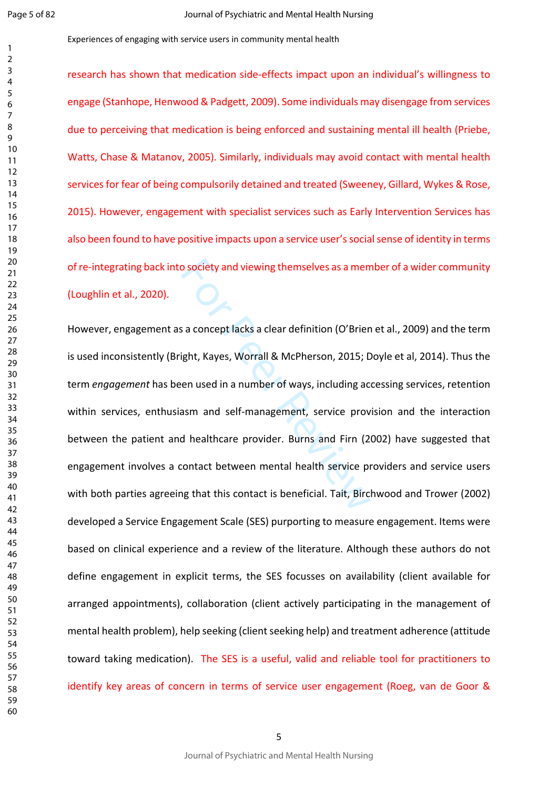$\mathbf{1}$  $\overline{2}$  $\overline{4}$  $\overline{7}$ 

Experiences of engaging with service users in community mental health

research has shown that medication side-effects impact upon an individual's willingness to engage (Stanhope, Henwood & Padgett, 2009). Some individuals may disengage from services due to perceiving that medication is being enforced and sustaining mental ill health (Priebe, Watts, Chase & Matanov, 2005). Similarly, individuals may avoid contact with mental health services for fear of being compulsorily detained and treated (Sweeney, Gillard, Wykes & Rose, 2015). However, engagement with specialist services such as Early Intervention Services has also been found to have positive impacts upon a service user's social sense of identity in terms of re-integrating back into society and viewing themselves as a member of a wider community (Loughlin et al., 2020).

o society and viewing themselves as a men<br>
s a concept lacks a clear definition (O'Brier<br>
ight, Kayes, Worrall & McPherson, 2015; D<br>
en used in a number of ways, including ac<br>
asm and self-management, service prov<br>
d healt However, engagement as a concept lacks a clear definition (O'Brien et al., 2009) and the term is used inconsistently (Bright, Kayes, Worrall & McPherson, 2015; Doyle et al, 2014). Thus the term *engagement* has been used in a number of ways, including accessing services, retention within services, enthusiasm and self-management, service provision and the interaction between the patient and healthcare provider. Burns and Firn (2002) have suggested that engagement involves a contact between mental health service providers and service users with both parties agreeing that this contact is beneficial. Tait, Birchwood and Trower (2002) developed a Service Engagement Scale (SES) purporting to measure engagement. Items were based on clinical experience and a review of the literature. Although these authors do not define engagement in explicit terms, the SES focusses on availability (client available for arranged appointments), collaboration (client actively participating in the management of mental health problem), help seeking (client seeking help) and treatment adherence (attitude toward taking medication). The SES is a useful, valid and reliable tool for practitioners to identify key areas of concern in terms of service user engagement (Roeg, van de Goor &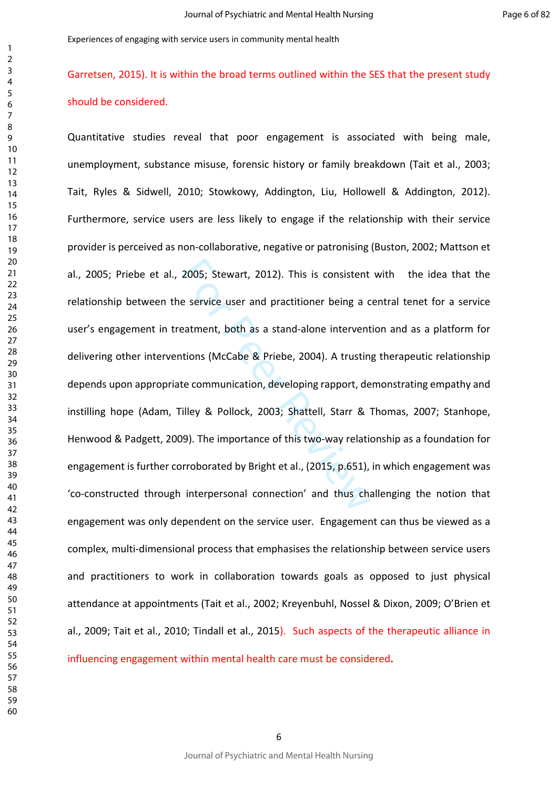# Garretsen, 2015). It is within the broad terms outlined within the SES that the present study should be considered.

2005; Stewart, 2012). This is consistent<br>
e service user and practitioner being a c<br>
eatment, both as a stand-alone intervent<br>
tions (McCabe & Priebe, 2004). A trustin<br>
te communication, developing rapport, de<br>
illey & Pol Quantitative studies reveal that poor engagement is associated with being male, unemployment, substance misuse, forensic history or family breakdown (Tait et al., 2003; Tait, Ryles & Sidwell, 2010; Stowkowy, Addington, Liu, Hollowell & Addington, 2012). Furthermore, service users are less likely to engage if the relationship with their service provider is perceived as non-collaborative, negative or patronising (Buston, 2002; Mattson et al., 2005; Priebe et al., 2005; Stewart, 2012). This is consistent with the idea that the relationship between the service user and practitioner being a central tenet for a service user's engagement in treatment, both as a stand-alone intervention and as a platform for delivering other interventions (McCabe & Priebe, 2004). A trusting therapeutic relationship depends upon appropriate communication, developing rapport, demonstrating empathy and instilling hope (Adam, Tilley & Pollock, 2003; Shattell, Starr & Thomas, 2007; Stanhope, Henwood & Padgett, 2009). The importance of this two-way relationship as a foundation for engagement is further corroborated by Bright et al., (2015, p.651), in which engagement was 'co-constructed through interpersonal connection' and thus challenging the notion that engagement was only dependent on the service user. Engagement can thus be viewed as a complex, multi-dimensional process that emphasises the relationship between service users and practitioners to work in collaboration towards goals as opposed to just physical attendance at appointments (Tait et al., 2002; Kreyenbuhl, Nossel & Dixon, 2009; O'Brien et al., 2009; Tait et al., 2010; Tindall et al., 2015). Such aspects of the therapeutic alliance in influencing engagement within mental health care must be considered**.**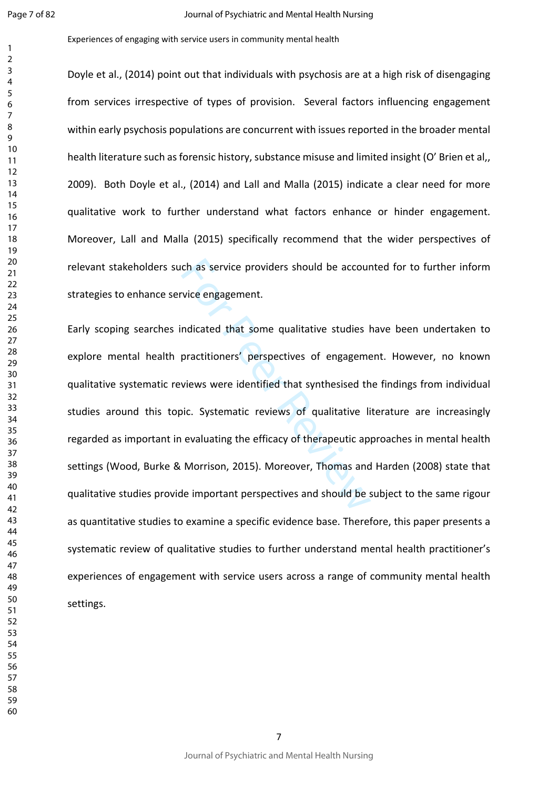Page 7 of 82

 $\mathbf{1}$  $\overline{2}$  Experiences of engaging with service users in community mental health

Doyle et al., (2014) point out that individuals with psychosis are at a high risk of disengaging from services irrespective of types of provision. Several factors influencing engagement within early psychosis populations are concurrent with issues reported in the broader mental health literature such as forensic history, substance misuse and limited insight (O' Brien et al,, 2009). Both Doyle et al., (2014) and Lall and Malla (2015) indicate a clear need for more qualitative work to further understand what factors enhance or hinder engagement. Moreover, Lall and Malla (2015) specifically recommend that the wider perspectives of relevant stakeholders such as service providers should be accounted for to further inform strategies to enhance service engagement.

ch as service providers should be account<br>
intervice engagement.<br>
Indicated that some qualitative studies has<br>
practitioners' perspectives of engageme<br>
views were identified that synthesised th<br>
bic. Systematic reviews of Early scoping searches indicated that some qualitative studies have been undertaken to explore mental health practitioners' perspectives of engagement. However, no known qualitative systematic reviews were identified that synthesised the findings from individual studies around this topic. Systematic reviews of qualitative literature are increasingly regarded as important in evaluating the efficacy of therapeutic approaches in mental health settings (Wood, Burke & Morrison, 2015). Moreover, Thomas and Harden (2008) state that qualitative studies provide important perspectives and should be subject to the same rigour as quantitative studies to examine a specific evidence base. Therefore, this paper presents a systematic review of qualitative studies to further understand mental health practitioner's experiences of engagement with service users across a range of community mental health settings.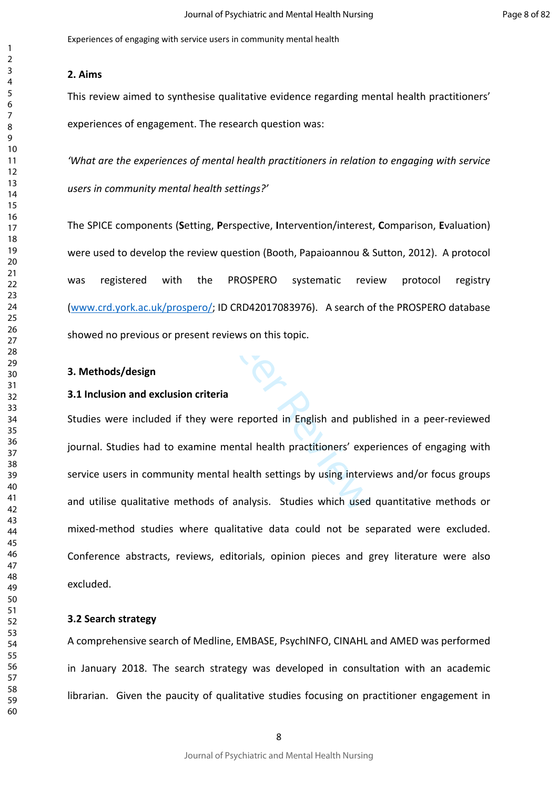## **2. Aims**

This review aimed to synthesise qualitative evidence regarding mental health practitioners' experiences of engagement. The research question was:

*'What are the experiences of mental health practitioners in relation to engaging with service users in community mental health settings?'*

The SPICE components (**S**etting, **P**erspective, **I**ntervention/interest, **C**omparison, **E**valuation) were used to develop the review question (Booth, Papaioannou & Sutton, 2012). A protocol was registered with the PROSPERO systematic review protocol registry ([www.crd.york.ac.uk/prospero/;](http://www.crd.york.ac.uk/prospero/) ID CRD42017083976). A search of the PROSPERO database showed no previous or present reviews on this topic.

#### **3. Methods/design**

## **3.1 Inclusion and exclusion criteria**

the PROSPERO systematic rev<br>
Spero/; ID CRD42017083976). A search c<br>
resent reviews on this topic.<br> **on criteria**<br>
they were reported in English and pub<br>
examine mental health practitioners' explity mental health settings Studies were included if they were reported in English and published in a peer-reviewed journal. Studies had to examine mental health practitioners' experiences of engaging with service users in community mental health settings by using interviews and/or focus groups and utilise qualitative methods of analysis. Studies which used quantitative methods or mixed-method studies where qualitative data could not be separated were excluded. Conference abstracts, reviews, editorials, opinion pieces and grey literature were also excluded.

## **3.2 Search strategy**

A comprehensive search of Medline, EMBASE, PsychINFO, CINAHL and AMED was performed in January 2018. The search strategy was developed in consultation with an academic librarian. Given the paucity of qualitative studies focusing on practitioner engagement in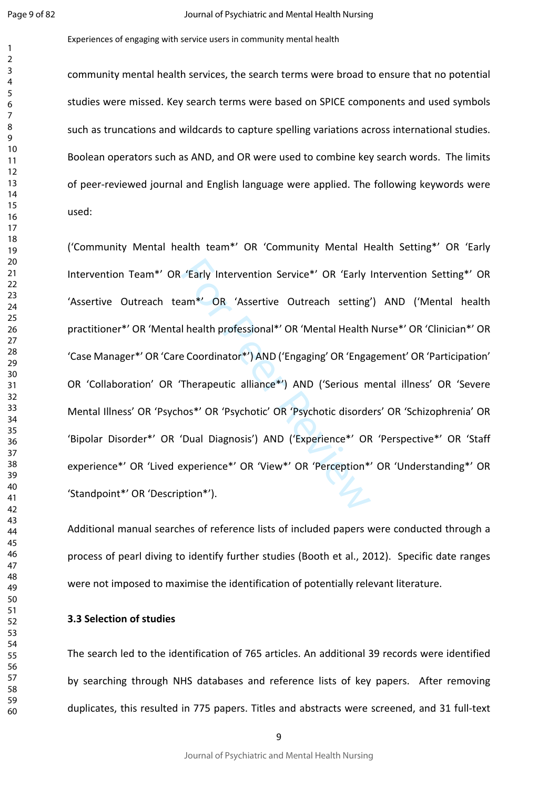$\mathbf{1}$  $\overline{2}$  $\overline{4}$  $\overline{7}$ 

Experiences of engaging with service users in community mental health

community mental health services, the search terms were broad to ensure that no potential studies were missed. Key search terms were based on SPICE components and used symbols such as truncations and wildcards to capture spelling variations across international studies. Boolean operators such as AND, and OR were used to combine key search words. The limits of peer-reviewed journal and English language were applied. The following keywords were used:

"Early Intervention Service\*" OR 'Early<br>am\*" OR 'Assertive Outreach setting"<br>I health professional\*" OR 'Mental Health<br>e Coordinator\*") AND ('Engaging' OR 'Enga<br>Therapeutic alliance\*") AND ('Serious m<br>nos\*" OR 'Psychotic' ('Community Mental health team\*' OR 'Community Mental Health Setting\*' OR 'Early Intervention Team\*' OR 'Early Intervention Service\*' OR 'Early Intervention Setting\*' OR 'Assertive Outreach team\*' OR 'Assertive Outreach setting') AND ('Mental health practitioner\*' OR 'Mental health professional\*' OR 'Mental Health Nurse\*' OR 'Clinician\*' OR 'Case Manager\*' OR 'Care Coordinator\*') AND ('Engaging' OR 'Engagement' OR 'Participation' OR 'Collaboration' OR 'Therapeutic alliance\*') AND ('Serious mental illness' OR 'Severe Mental Illness' OR 'Psychos\*' OR 'Psychotic' OR 'Psychotic disorders' OR 'Schizophrenia' OR 'Bipolar Disorder\*' OR 'Dual Diagnosis') AND ('Experience\*' OR 'Perspective\*' OR 'Staff experience\*' OR 'Lived experience\*' OR 'View\*' OR 'Perception\*' OR 'Understanding\*' OR 'Standpoint\*' OR 'Description\*').

Additional manual searches of reference lists of included papers were conducted through a process of pearl diving to identify further studies (Booth et al., 2012). Specific date ranges were not imposed to maximise the identification of potentially relevant literature.

#### **3.3 Selection of studies**

The search led to the identification of 765 articles. An additional 39 records were identified by searching through NHS databases and reference lists of key papers. After removing duplicates, this resulted in 775 papers. Titles and abstracts were screened, and 31 full-text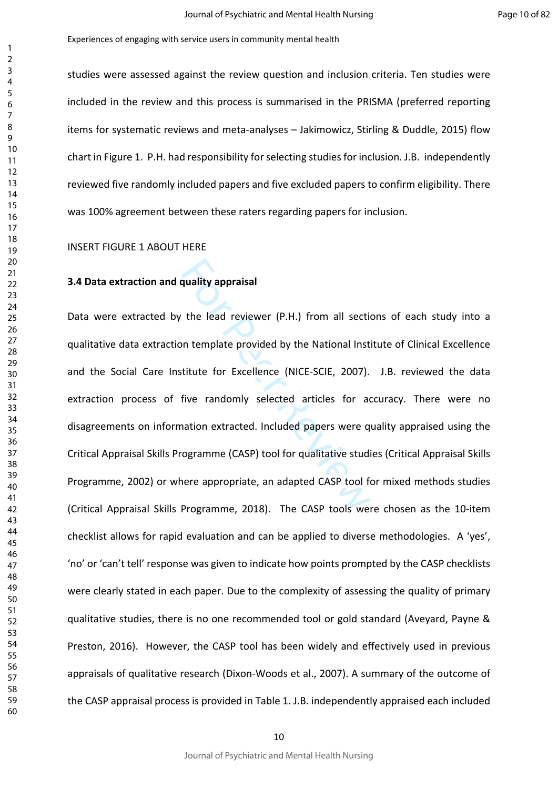studies were assessed against the review question and inclusion criteria. Ten studies were included in the review and this process is summarised in the PRISMA (preferred reporting items for systematic reviews and meta-analyses – Jakimowicz, Stirling & Duddle, 2015) flow chart in Figure 1. P.H. had responsibility for selecting studies for inclusion. J.B. independently reviewed five randomly included papers and five excluded papers to confirm eligibility. There was 100% agreement between these raters regarding papers for inclusion.

INSERT FIGURE 1 ABOUT HERE

## **3.4 Data extraction and quality appraisal**

quality appraisal<br>
the lead reviewer (P.H.) from all section<br>
template provided by the National Inst<br>
titute for Excellence (NICE-SCIE, 2007).<br>
five randomly selected articles for a<br>
titute or Excellence (NICE-SCIE, 2007). Data were extracted by the lead reviewer (P.H.) from all sections of each study into a qualitative data extraction template provided by the National Institute of Clinical Excellence and the Social Care Institute for Excellence (NICE-SCIE, 2007). J.B. reviewed the data extraction process of five randomly selected articles for accuracy. There were no disagreements on information extracted. Included papers were quality appraised using the Critical Appraisal Skills Programme (CASP) tool for qualitative studies (Critical Appraisal Skills Programme, 2002) or where appropriate, an adapted CASP tool for mixed methods studies (Critical Appraisal Skills Programme, 2018). The CASP tools were chosen as the 10-item checklist allows for rapid evaluation and can be applied to diverse methodologies. A 'yes', 'no' or 'can't tell' response was given to indicate how points prompted by the CASP checklists were clearly stated in each paper. Due to the complexity of assessing the quality of primary qualitative studies, there is no one recommended tool or gold standard (Aveyard, Payne & Preston, 2016). However, the CASP tool has been widely and effectively used in previous appraisals of qualitative research (Dixon-Woods et al., 2007). A summary of the outcome of the CASP appraisal process is provided in Table 1. J.B. independently appraised each included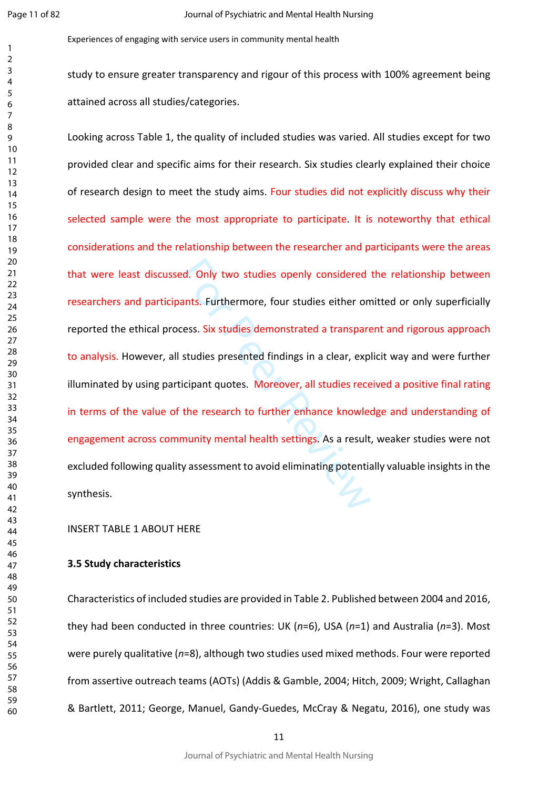$\mathbf{1}$  $\overline{2}$  Experiences of engaging with service users in community mental health

study to ensure greater transparency and rigour of this process with 100% agreement being attained across all studies/categories.

ed. Only two studies openly considered<br>ants. Furthermore, four studies either on<br>cess. Six studies demonstrated a transpare<br>studies presented findings in a clear, exp<br>icipant quotes. Moreover, all studies rece<br>the research Looking across Table 1, the quality of included studies was varied. All studies except for two provided clear and specific aims for their research. Six studies clearly explained their choice of research design to meet the study aims. Four studies did not explicitly discuss why their selected sample were the most appropriate to participate. It is noteworthy that ethical considerations and the relationship between the researcher and participants were the areas that were least discussed. Only two studies openly considered the relationship between researchers and participants. Furthermore, four studies either omitted or only superficially reported the ethical process. Six studies demonstrated a transparent and rigorous approach to analysis. However, all studies presented findings in a clear, explicit way and were further illuminated by using participant quotes. Moreover, all studies received a positive final rating in terms of the value of the research to further enhance knowledge and understanding of engagement across community mental health settings. As a result, weaker studies were not excluded following quality assessment to avoid eliminating potentially valuable insights in the synthesis.

INSERT TABLE 1 ABOUT HERE

## **3.5 Study characteristics**

Characteristics of included studies are provided in Table 2. Published between 2004 and 2016, they had been conducted in three countries: UK ( *n*=6), USA ( *n*=1) and Australia ( *n*=3). Most were purely qualitative ( *n*=8), although two studies used mixed methods. Four were reported from assertive outreach teams (AOTs) (Addis & Gamble, 2004; Hitch, 2009; Wright, Callaghan & Bartlett, 2011; George, Manuel, Gandy-Guedes, McCray & Negatu, 2016), one study was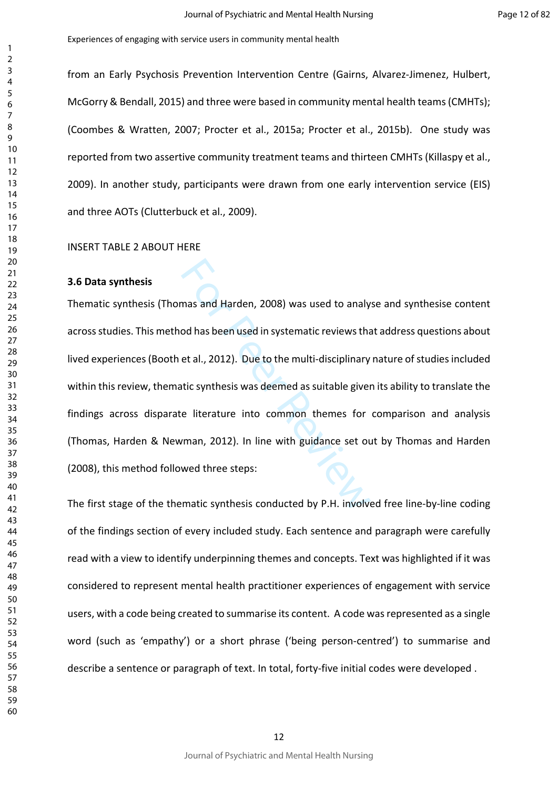from an Early Psychosis Prevention Intervention Centre (Gairns, Alvarez-Jimenez, Hulbert, McGorry & Bendall, 2015) and three were based in community mental health teams (CMHTs); (Coombes & Wratten, 2007; Procter et al., 2015a; Procter et al., 2015b). One study was reported from two assertive community treatment teams and thirteen CMHTs (Killaspy et al., 2009). In another study, participants were drawn from one early intervention service (EIS) and three AOTs (Clutterbuck et al., 2009).

INSERT TABLE 2 ABOUT HERE

## **3.6 Data synthesis**

mas and Harden, 2008) was used to analy<br>od has been used in systematic reviews tha<br>et al., 2012). Due to the multi-disciplinary<br>tic synthesis was deemed as suitable given<br>re-literature into common themes for<br>man, 2012). In Thematic synthesis (Thomas and Harden, 2008) was used to analyse and synthesise content across studies. This method has been used in systematic reviews that address questions about lived experiences (Booth et al., 2012). Due to the multi-disciplinary nature of studies included within this review, thematic synthesis was deemed as suitable given its ability to translate the findings across disparate literature into common themes for comparison and analysis (Thomas, Harden & Newman, 2012). In line with guidance set out by Thomas and Harden (2008), this method followed three steps:

The first stage of the thematic synthesis conducted by P.H. involved free line-by-line coding of the findings section of every included study. Each sentence and paragraph were carefully read with a view to identify underpinning themes and concepts. Text was highlighted if it was considered to represent mental health practitioner experiences of engagement with service users, with a code being created to summarise its content. A code was represented as a single word (such as 'empathy') or a short phrase ('being person-centred') to summarise and describe a sentence or paragraph of text. In total, forty-five initial codes were developed .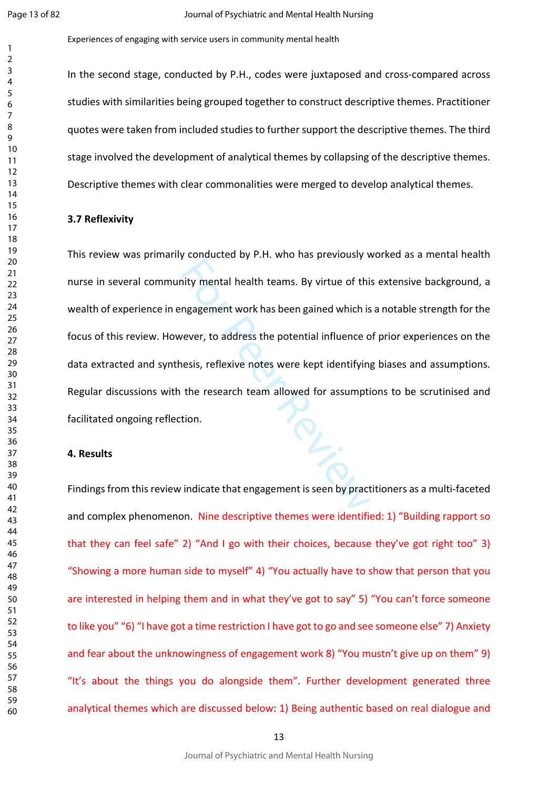Page 13 of 82

 $\mathbf{1}$  $\overline{2}$  $\overline{4}$  $\overline{7}$ 

Experiences of engaging with service users in community mental health

In the second stage, conducted by P.H., codes were juxtaposed and cross-compared across studies with similarities being grouped together to construct descriptive themes. Practitioner quotes were taken from included studies to further support the descriptive themes. The third stage involved the development of analytical themes by collapsing of the descriptive themes. Descriptive themes with clear commonalities were merged to develop analytical themes.

#### **3.7 Reflexivity**

For Peer Review of the process of the magagement work has been gained which is<br>negagement work has been gained which is<br>nessis, reflexive notes were kept identifying<br>the research team allowed for assumption. This review was primarily conducted by P.H. who has previously worked as a mental health nurse in several community mental health teams. By virtue of this extensive background, a wealth of experience in engagement work has been gained which is a notable strength for the focus of this review. However, to address the potential influence of prior experiences on the data extracted and synthesis, reflexive notes were kept identifying biases and assumptions. Regular discussions with the research team allowed for assumptions to be scrutinised and facilitated ongoing reflection.

## **4. Results**

Findings from this review indicate that engagement is seen by practitioners as a multi-faceted and complex phenomenon. Nine descriptive themes were identified: 1) "Building rapport so that they can feel safe" 2) "And I go with their choices, because they've got right too" 3) "Showing a more human side to myself" 4) "You actually have to show that person that you are interested in helping them and in what they've got to say" 5) "You can't force someone to like you" "6) "I have got a time restriction I have got to go and see someone else" 7) Anxiety and fear about the unknowingness of engagement work 8) "You mustn't give up on them" 9) "It's about the things you do alongside them". Further development generated three analytical themes which are discussed below: 1) Being authentic based on real dialogue and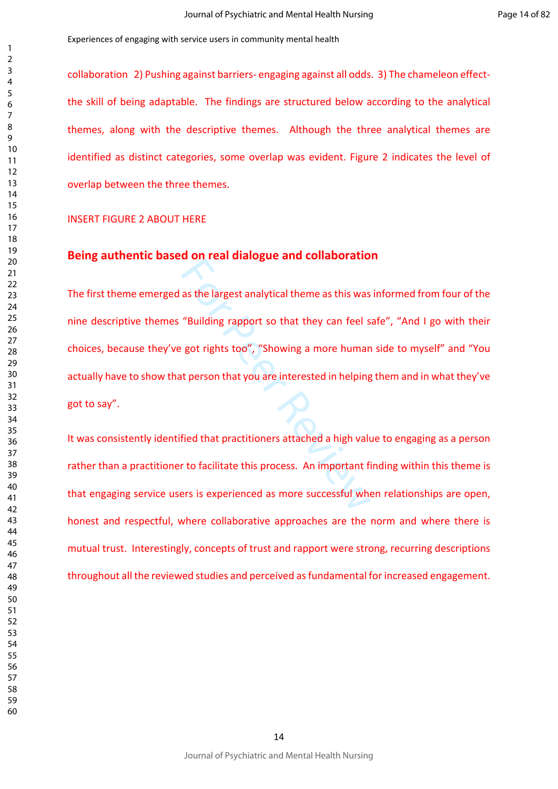collaboration 2) Pushing against barriers- engaging against all odds. 3) The chameleon effectthe skill of being adaptable. The findings are structured below according to the analytical themes, along with the descriptive themes. Although the three analytical themes are identified as distinct categories, some overlap was evident. Figure 2 indicates the level of overlap between the three themes.

INSERT FIGURE 2 ABOUT HERE

## **Being authentic based on real dialogue and collaboration**

a on real analogue and conductate<br>as the largest analytical theme as this was<br>"Building rapport so that they can feel s<br>got rights too", "Showing a more human<br>at person that you are interested in helping<br>fied that practiti The first theme emerged as the largest analytical theme as this was informed from four of the nine descriptive themes "Building rapport so that they can feel safe", "And I go with their choices, because they've got rights too", "Showing a more human side to myself" and "You actually have to show that person that you are interested in helping them and in what they've got to say".

It was consistently identified that practitioners attached a high value to engaging as a person rather than a practitioner to facilitate this process. An important finding within this theme is that engaging service users is experienced as more successful when relationships are open, honest and respectful, where collaborative approaches are the norm and where there is mutual trust. Interestingly, concepts of trust and rapport were strong, recurring descriptions throughout all the reviewed studies and perceived as fundamental for increased engagement.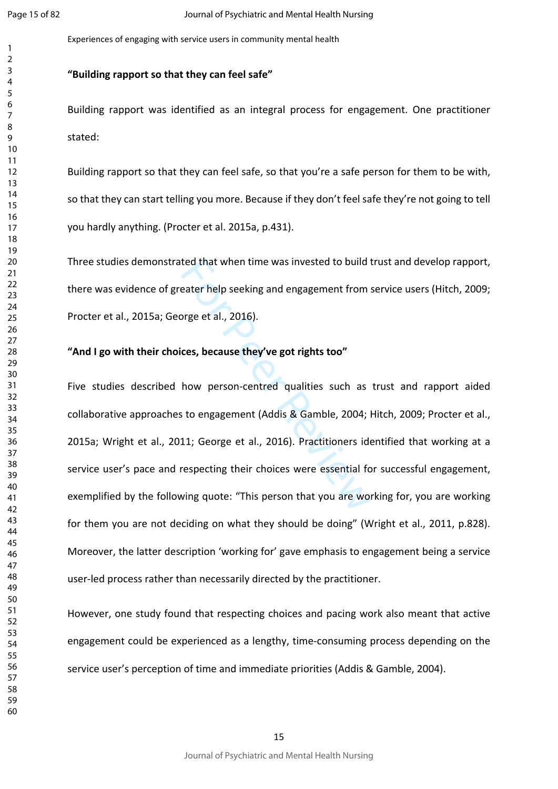$\mathbf{1}$  $\overline{2}$  $\overline{4}$  $\overline{7}$ 

 

Experiences of engaging with service users in community mental health

## **"Building rapport so that they can feel safe"**

Building rapport was identified as an integral process for engagement. One practitioner stated:

Building rapport so that they can feel safe, so that you're a safe person for them to be with, so that they can start telling you more. Because if they don't feel safe they're not going to tell you hardly anything. (Procter et al. 2015a, p.431).

Three studies demonstrated that when time was invested to build trust and develop rapport, there was evidence of greater help seeking and engagement from service users (Hitch, 2009; Procter et al., 2015a; George et al., 2016).

#### **"And I go with their choices, because they've got rights too"**

ted that when time was invested to build<br>
eater help seeking and engagement from<br>
orge et al., 2016).<br> **ces, because they've got rights too"**<br>
how person-centred qualities such as<br>
s to engagement (Addis & Gamble, 2004;<br>
1 Five studies described how person-centred qualities such as trust and rapport aided collaborative approaches to engagement (Addis & Gamble, 2004; Hitch, 2009; Procter et al., 2015a; Wright et al., 2011; George et al., 2016). Practitioners identified that working at a service user's pace and respecting their choices were essential for successful engagement, exemplified by the following quote: "This person that you are working for, you are working for them you are not deciding on what they should be doing" (Wright et al., 2011, p.828). Moreover, the latter description 'working for' gave emphasis to engagement being a service user-led process rather than necessarily directed by the practitioner.

However, one study found that respecting choices and pacing work also meant that active engagement could be experienced as a lengthy, time-consuming process depending on the service user's perception of time and immediate priorities (Addis & Gamble, 2004).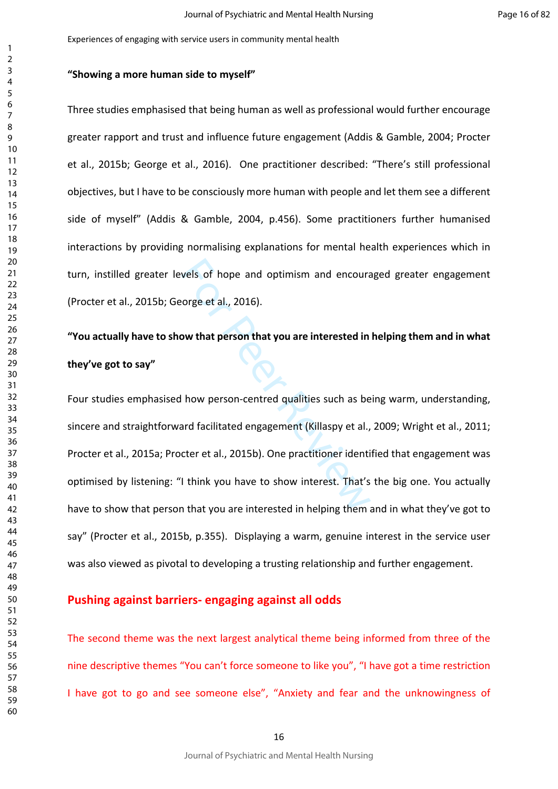## **"Showing a more human side to myself"**

Three studies emphasised that being human as well as professional would further encourage greater rapport and trust and influence future engagement (Addis & Gamble, 2004; Procter et al., 2015b; George et al., 2016). One practitioner described: "There's still professional objectives, but I have to be consciously more human with people and let them see a different side of myself" (Addis & Gamble, 2004, p.456). Some practitioners further humanised interactions by providing normalising explanations for mental health experiences which in turn, instilled greater levels of hope and optimism and encouraged greater engagement (Procter et al., 2015b; George et al., 2016).

# **"You actually have to show that person that you are interested in helping them and in what they've got to say"**

vels of hope and optimism and encoura<br>
orge et al., 2016).<br> **Solution is ally convert to the interested in**<br>
I how person-centred qualities such as be<br>
ard facilitated engagement (Killaspy et al.,<br>
cter et al., 2015b). One Four studies emphasised how person-centred qualities such as being warm, understanding, sincere and straightforward facilitated engagement (Killaspy et al., 2009; Wright et al., 2011; Procter et al., 2015a; Procter et al., 2015b). One practitioner identified that engagement was optimised by listening: "I think you have to show interest. That's the big one. You actually have to show that person that you are interested in helping them and in what they've got to say" (Procter et al., 2015b, p.355). Displaying a warm, genuine interest in the service user was also viewed as pivotal to developing a trusting relationship and further engagement.

## **Pushing against barriers- engaging against all odds**

The second theme was the next largest analytical theme being informed from three of the nine descriptive themes "You can't force someone to like you", "I have got a time restriction I have got to go and see someone else", "Anxiety and fear and the unknowingness of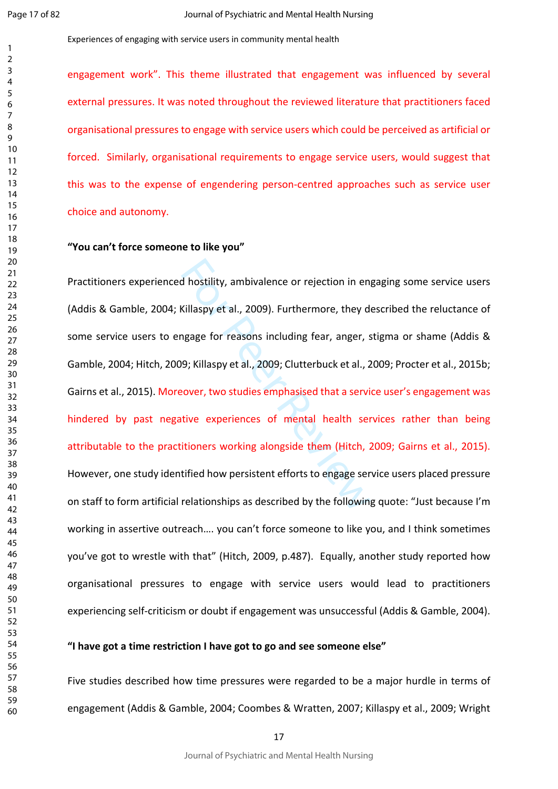engagement work". This theme illustrated that engagement was influenced by several external pressures. It was noted throughout the reviewed literature that practitioners faced organisational pressures to engage with service users which could be perceived as artificial or forced. Similarly, organisational requirements to engage service users, would suggest that this was to the expense of engendering person-centred approaches such as service user choice and autonomy.

### **"You can't force someone to like you"**

d hostility, ambivalence or rejection in en<br>Killaspy et al., 2009). Furthermore, they d<br>ngage for reasons including fear, anger, s<br>99; Killaspy et al., 2009; Clutterbuck et al., 2<br>eover, two studies emphasised that a servi Practitioners experienced hostility, ambivalence or rejection in engaging some service users (Addis & Gamble, 2004; Killaspy et al., 2009). Furthermore, they described the reluctance of some service users to engage for reasons including fear, anger, stigma or shame (Addis & Gamble, 2004; Hitch, 2009; Killaspy et al., 2009; Clutterbuck et al., 2009; Procter et al., 2015b; Gairns et al., 2015). Moreover, two studies emphasised that a service user's engagement was hindered by past negative experiences of mental health services rather than being attributable to the practitioners working alongside them (Hitch, 2009; Gairns et al., 2015). However, one study identified how persistent efforts to engage service users placed pressure on staff to form artificial relationships as described by the following quote: "Just because I'm working in assertive outreach…. you can't force someone to like you, and I think sometimes you've got to wrestle with that" (Hitch, 2009, p.487). Equally, another study reported how organisational pressures to engage with service users would lead to practitioners experiencing self-criticism or doubt if engagement was unsuccessful (Addis & Gamble, 2004).

#### **"I have got a time restriction I have got to go and see someone else"**

Five studies described how time pressures were regarded to be a major hurdle in terms of engagement (Addis & Gamble, 2004; Coombes & Wratten, 2007; Killaspy et al., 2009; Wright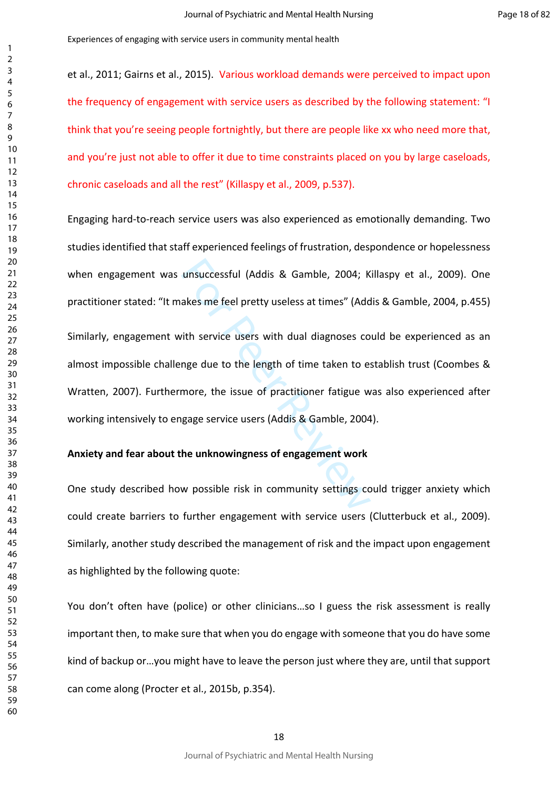et al., 2011; Gairns et al., 2015). Various workload demands were perceived to impact upon the frequency of engagement with service users as described by the following statement: "I think that you're seeing people fortnightly, but there are people like xx who need more that, and you're just not able to offer it due to time constraints placed on you by large caseloads, chronic caseloads and all the rest" (Killaspy et al., 2009, p.537).

unsuccessful (Addis & Gamble, 2004; K<br>akes me feel pretty useless at times" (Add<br>ith service users with dual diagnoses co<br>nge due to the length of time taken to e:<br>more, the issue of practitioner fatigue w<br>gage service use Engaging hard-to-reach service users was also experienced as emotionally demanding. Two studies identified that staff experienced feelings of frustration, despondence or hopelessness when engagement was unsuccessful (Addis & Gamble, 2004; Killaspy et al., 2009). One practitioner stated: "It makes me feel pretty useless at times" (Addis & Gamble, 2004, p.455) Similarly, engagement with service users with dual diagnoses could be experienced as an almost impossible challenge due to the length of time taken to establish trust (Coombes & Wratten, 2007). Furthermore, the issue of practitioner fatigue was also experienced after working intensively to engage service users (Addis & Gamble, 2004).

## **Anxiety and fear about the unknowingness of engagement work**

One study described how possible risk in community settings could trigger anxiety which could create barriers to further engagement with service users (Clutterbuck et al., 2009). Similarly, another study described the management of risk and the impact upon engagement as highlighted by the following quote:

You don't often have (police) or other clinicians...so I guess the risk assessment is really important then, to make sure that when you do engage with someone that you do have some kind of backup or…you might have to leave the person just where they are, until that support can come along (Procter et al., 2015b, p.354).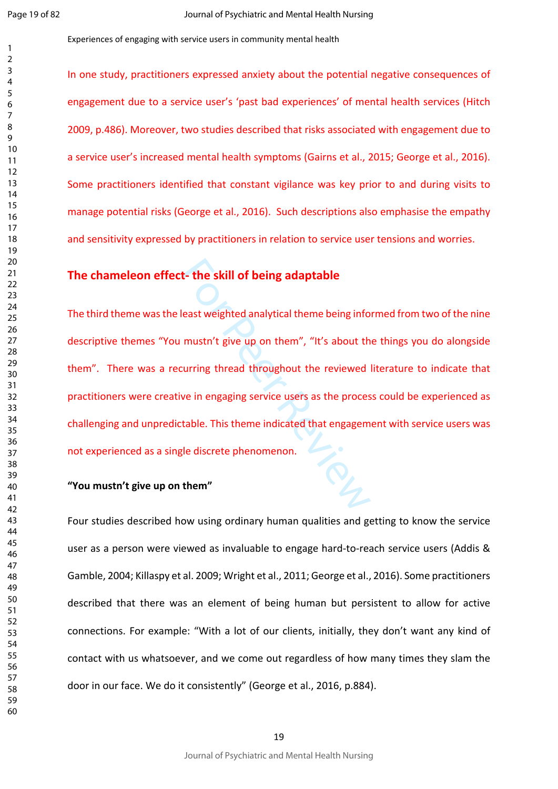$\mathbf{1}$  $\overline{2}$  Experiences of engaging with service users in community mental health

In one study, practitioners expressed anxiety about the potential negative consequences of engagement due to a service user's 'past bad experiences' of mental health services (Hitch 2009, p.486). Moreover, two studies described that risks associated with engagement due to a service user's increased mental health symptoms (Gairns et al., 2015; George et al., 2016). Some practitioners identified that constant vigilance was key prior to and during visits to manage potential risks (George et al., 2016). Such descriptions also emphasise the empathy and sensitivity expressed by practitioners in relation to service user tensions and worries.

# **The chameleon effect- the skill of being adaptable**

t- the skill of being adaptable<br>least weighted analytical theme being info<br>mustn't give up on them", "It's about th<br>curring thread throughout the reviewed<br>ve in engaging service users as the proces<br>table. This theme indica The third theme was the least weighted analytical theme being informed from two of the nine descriptive themes "You mustn't give up on them", "It's about the things you do alongside them". There was a recurring thread throughout the reviewed literature to indicate that practitioners were creative in engaging service users as the process could be experienced as challenging and unpredictable. This theme indicated that engagement with service users was not experienced as a single discrete phenomenon.

### **"You mustn't give up on them"**

Four studies described how using ordinary human qualities and getting to know the service user as a person were viewed as invaluable to engage hard-to-reach service users (Addis & Gamble, 2004; Killaspy et al. 2009; Wright et al., 2011; George et al., 2016). Some practitioners described that there was an element of being human but persistent to allow for active connections. For example: "With a lot of our clients, initially, they don't want any kind of contact with us whatsoever, and we come out regardless of how many times they slam the door in our face. We do it consistently" (George et al., 2016, p.884).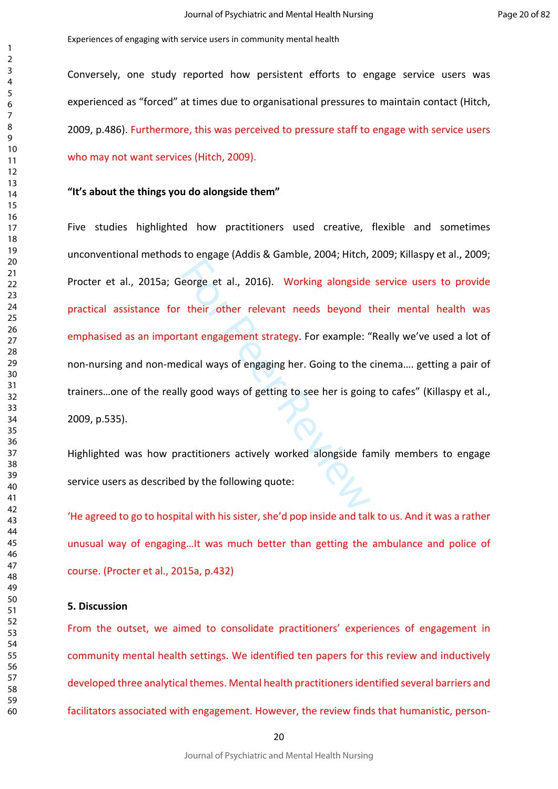Conversely, one study reported how persistent efforts to engage service users was experienced as "forced" at times due to organisational pressures to maintain contact (Hitch, 2009, p.486). Furthermore, this was perceived to pressure staff to engage with service users who may not want services (Hitch, 2009).

#### **"It's about the things you do alongside them"**

For Peer Review of Peer Review of Peer Review of Peer Review of their other relevant needs beyond than tengagement strategy. For example: "<br>dical ways of engaging her. Going to the Review of Peer Review of Beeting to see h Five studies highlighted how practitioners used creative, flexible and sometimes unconventional methods to engage (Addis & Gamble, 2004; Hitch, 2009; Killaspy et al., 2009; Procter et al., 2015a; George et al., 2016). Working alongside service users to provide practical assistance for their other relevant needs beyond their mental health was emphasised as an important engagement strategy. For example: "Really we've used a lot of non-nursing and non-medical ways of engaging her. Going to the cinema…. getting a pair of trainers…one of the really good ways of getting to see her is going to cafes" (Killaspy et al., 2009, p.535).

Highlighted was how practitioners actively worked alongside family members to engage service users as described by the following quote:

'He agreed to go to hospital with his sister, she'd pop inside and talk to us. And it was a rather unusual way of engaging…It was much better than getting the ambulance and police of course. (Procter et al., 2015a, p.432)

#### **5. Discussion**

From the outset, we aimed to consolidate practitioners' experiences of engagement in community mental health settings. We identified ten papers for this review and inductively developed three analytical themes. Mental health practitioners identified several barriers and facilitators associated with engagement. However, the review finds that humanistic, person-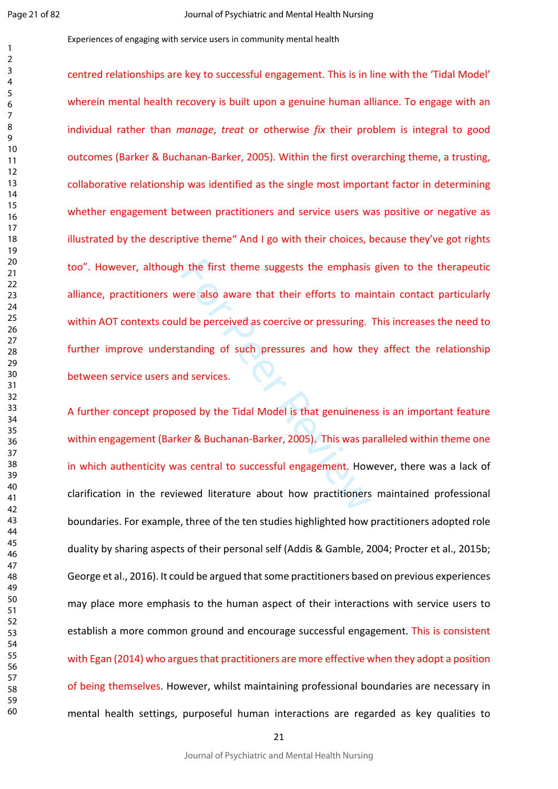$\mathbf{1}$  $\overline{2}$  $\overline{4}$  $\overline{7}$ 

Experiences of engaging with service users in community mental health

The first theme suggests the emphasis<br>
ere also aware that their efforts to main<br>
d be perceived as coercive or pressuring.<br>
tanding of such pressures and how the<br>
nd services.<br>
sed by the Tidal Model is that genuinene<br>
er centred relationships are key to successful engagement. This is in line with the 'Tidal Model' wherein mental health recovery is built upon a genuine human alliance. To engage with an individual rather than *manage*, *treat* or otherwise *fix* their problem is integral to good outcomes (Barker & Buchanan-Barker, 2005). Within the first overarching theme, a trusting, collaborative relationship was identified as the single most important factor in determining whether engagement between practitioners and service users was positive or negative as illustrated by the descriptive theme" And I go with their choices, because they've got rights too". However, although the first theme suggests the emphasis given to the therapeutic alliance, practitioners were also aware that their efforts to maintain contact particularly within AOT contexts could be perceived as coercive or pressuring. This increases the need to further improve understanding of such pressures and how they affect the relationship between service users and services.

A further concept proposed by the Tidal Model is that genuineness is an important feature within engagement (Barker & Buchanan-Barker, 2005). This was paralleled within theme one in which authenticity was central to successful engagement. However, there was a lack of clarification in the reviewed literature about how practitioners maintained professional boundaries. For example, three of the ten studies highlighted how practitioners adopted role duality by sharing aspects of their personal self (Addis & Gamble, 2004; Procter et al., 2015b; George et al., 2016). It could be argued that some practitioners based on previous experiences may place more emphasis to the human aspect of their interactions with service users to establish a more common ground and encourage successful engagement. This is consistent with Egan (2014) who argues that practitioners are more effective when they adopt a position of being themselves. However, whilst maintaining professional boundaries are necessary in mental health settings, purposeful human interactions are regarded as key qualities to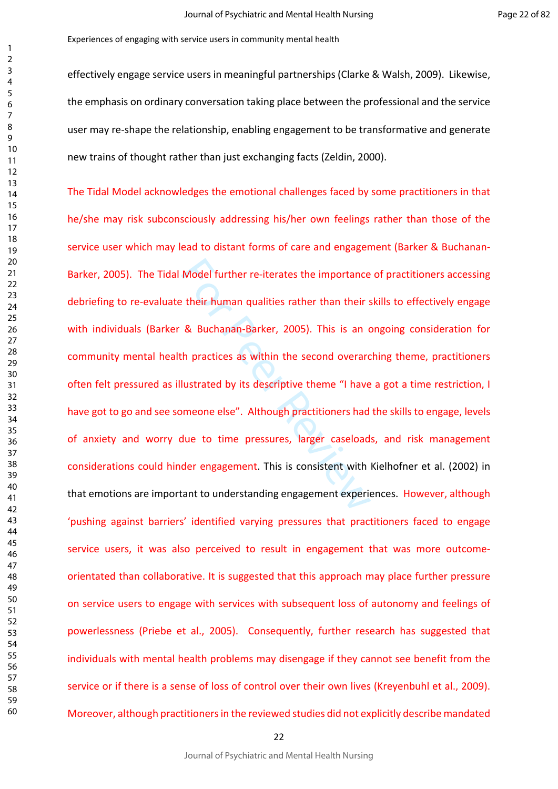effectively engage service users in meaningful partnerships (Clarke & Walsh, 2009). Likewise, the emphasis on ordinary conversation taking place between the professional and the service user may re-shape the relationship, enabling engagement to be transformative and generate new trains of thought rather than just exchanging facts (Zeldin, 2000).

Model further re-iterates the importance<br>
experience their human qualities rather than their<br>
& Buchanan-Barker, 2005). This is an c<br>
th practices as within the second overarc<br>
lustrated by its descriptive theme "I have<br>
o The Tidal Model acknowledges the emotional challenges faced by some practitioners in that he/she may risk subconsciously addressing his/her own feelings rather than those of the service user which may lead to distant forms of care and engagement (Barker & Buchanan-Barker, 2005). The Tidal Model further re-iterates the importance of practitioners accessing debriefing to re-evaluate their human qualities rather than their skills to effectively engage with individuals (Barker & Buchanan-Barker, 2005). This is an ongoing consideration for community mental health practices as within the second overarching theme, practitioners often felt pressured as illustrated by its descriptive theme "I have a got a time restriction, I have got to go and see someone else". Although practitioners had the skills to engage, levels of anxiety and worry due to time pressures, larger caseloads, and risk management considerations could hinder engagement. This is consistent with Kielhofner et al. (2002) in that emotions are important to understanding engagement experiences. However, although 'pushing against barriers' identified varying pressures that practitioners faced to engage service users, it was also perceived to result in engagement that was more outcomeorientated than collaborative. It is suggested that this approach may place further pressure on service users to engage with services with subsequent loss of autonomy and feelings of powerlessness (Priebe et al., 2005). Consequently, further research has suggested that individuals with mental health problems may disengage if they cannot see benefit from the service or if there is a sense of loss of control over their own lives (Kreyenbuhl et al., 2009). Moreover, although practitioners in the reviewed studies did not explicitly describe mandated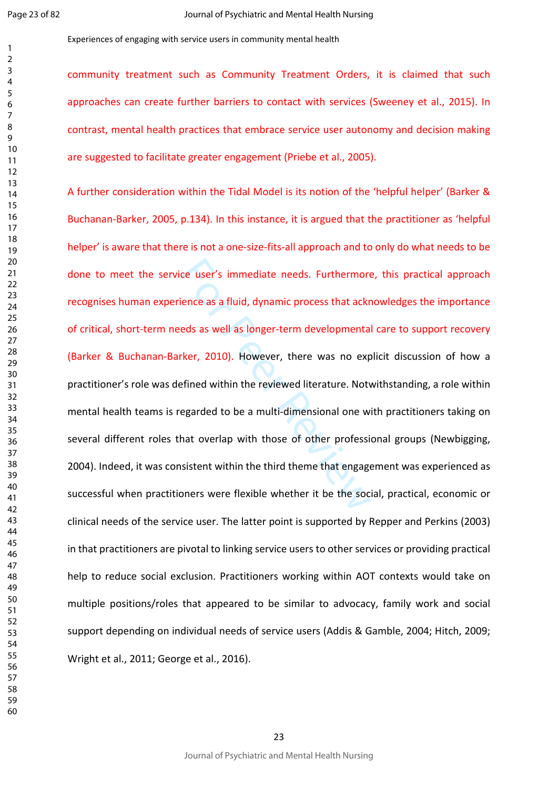$\mathbf{1}$  $\overline{2}$  $\overline{4}$  $\overline{7}$ 

Experiences of engaging with service users in community mental health

community treatment such as Community Treatment Orders, it is claimed that such approaches can create further barriers to contact with services (Sweeney et al., 2015). In contrast, mental health practices that embrace service user autonomy and decision making are suggested to facilitate greater engagement (Priebe et al., 2005).

ce user's immediate needs. Furthermore<br>
ience as a fluid, dynamic process that ackr<br>
eds as well as longer-term developmenta<br>
rker, 2010). However, there was no exp<br>
efined within the reviewed literature. Not<br>
egarded to b A further consideration within the Tidal Model is its notion of the 'helpful helper' (Barker & Buchanan-Barker, 2005, p.134). In this instance, it is argued that the practitioner as 'helpful helper' is aware that there is not a one-size-fits-all approach and to only do what needs to be done to meet the service user's immediate needs. Furthermore, this practical approach recognises human experience as a fluid, dynamic process that acknowledges the importance of critical, short-term needs as well as longer-term developmental care to support recovery (Barker & Buchanan-Barker, 2010). However, there was no explicit discussion of how a practitioner's role was defined within the reviewed literature. Notwithstanding, a role within mental health teams is regarded to be a multi-dimensional one with practitioners taking on several different roles that overlap with those of other professional groups (Newbigging, 2004). Indeed, it was consistent within the third theme that engagement was experienced as successful when practitioners were flexible whether it be the social, practical, economic or clinical needs of the service user. The latter point is supported by Repper and Perkins (2003) in that practitioners are pivotal to linking service users to other services or providing practical help to reduce social exclusion. Practitioners working within AOT contexts would take on multiple positions/roles that appeared to be similar to advocacy, family work and social support depending on individual needs of service users (Addis & Gamble, 2004; Hitch, 2009; Wright et al., 2011; George et al., 2016).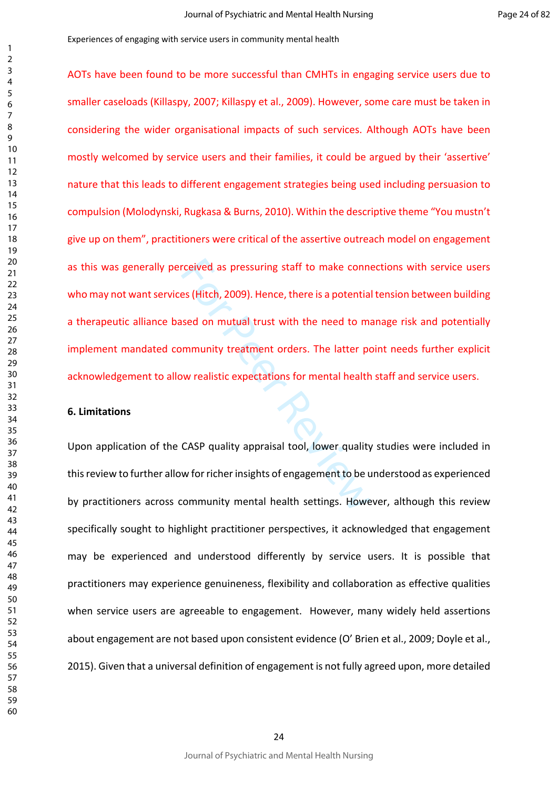rceived as pressuring staff to make conners (Hitch, 2009). Hence, there is a potentiansed on mutual trust with the need to maximum<br>ised on mutual trust with the need to maximum<br>immunity treatment orders. The latter portion AOTs have been found to be more successful than CMHTs in engaging service users due to smaller caseloads (Killaspy, 2007; Killaspy et al., 2009). However, some care must be taken in considering the wider organisational impacts of such services. Although AOTs have been mostly welcomed by service users and their families, it could be argued by their 'assertive' nature that this leads to different engagement strategies being used including persuasion to compulsion (Molodynski, Rugkasa & Burns, 2010). Within the descriptive theme "You mustn't give up on them", practitioners were critical of the assertive outreach model on engagement as this was generally perceived as pressuring staff to make connections with service users who may not want services (Hitch, 2009). Hence, there is a potential tension between building a therapeutic alliance based on mutual trust with the need to manage risk and potentially implement mandated community treatment orders. The latter point needs further explicit acknowledgement to allow realistic expectations for mental health staff and service users.

## **6. Limitations**

Upon application of the CASP quality appraisal tool, lower quality studies were included in this review to further allow for richer insights of engagement to be understood as experienced by practitioners across community mental health settings. However, although this review specifically sought to highlight practitioner perspectives, it acknowledged that engagement may be experienced and understood differently by service users. It is possible that practitioners may experience genuineness, flexibility and collaboration as effective qualities when service users are agreeable to engagement. However, many widely held assertions about engagement are not based upon consistent evidence (O' Brien et al., 2009; Doyle et al., 2015). Given that a universal definition of engagement is not fully agreed upon, more detailed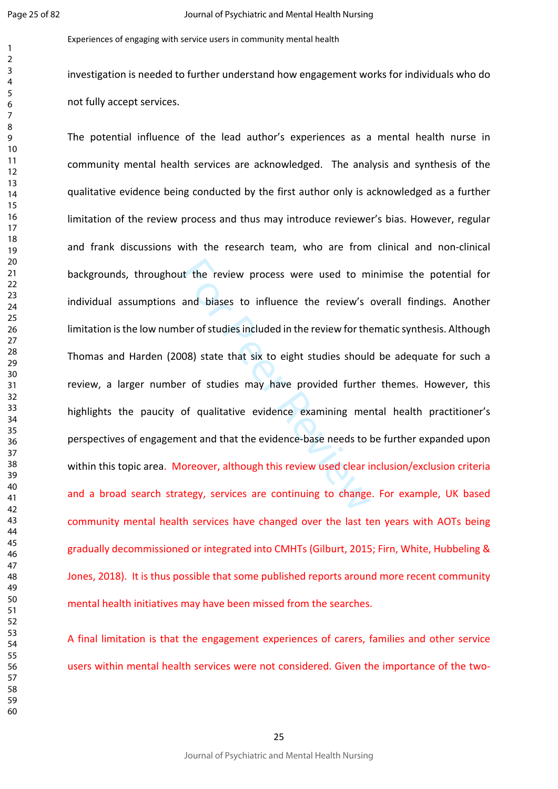$\mathbf{1}$  $\overline{2}$  Experiences of engaging with service users in community mental health

investigation is needed to further understand how engagement works for individuals who do not fully accept services.

It the review process were used to m<br>and biases to influence the review's<br>ber of studies included in the review for the<br>08) state that six to eight studies should<br>r of studies may have provided furthe<br>of qualitative eviden The potential influence of the lead author's experiences as a mental health nurse in community mental health services are acknowledged. The analysis and synthesis of the qualitative evidence being conducted by the first author only is acknowledged as a further limitation of the review process and thus may introduce reviewer's bias. However, regular and frank discussions with the research team, who are from clinical and non-clinical backgrounds, throughout the review process were used to minimise the potential for individual assumptions and biases to influence the review's overall findings. Another limitation is the low number of studies included in the review for thematic synthesis. Although Thomas and Harden (2008) state that six to eight studies should be adequate for such a review, a larger number of studies may have provided further themes. However, this highlights the paucity of qualitative evidence examining mental health practitioner's perspectives of engagement and that the evidence-base needs to be further expanded upon within this topic area. Moreover, although this review used clear inclusion/exclusion criteria and a broad search strategy, services are continuing to change. For example, UK based community mental health services have changed over the last ten years with AOTs being gradually decommissioned or integrated into CMHTs (Gilburt, 2015; Firn, White, Hubbeling & Jones, 2018). It is thus possible that some published reports around more recent community mental health initiatives may have been missed from the searches.

A final limitation is that the engagement experiences of carers, families and other service users within mental health services were not considered. Given the importance of the two-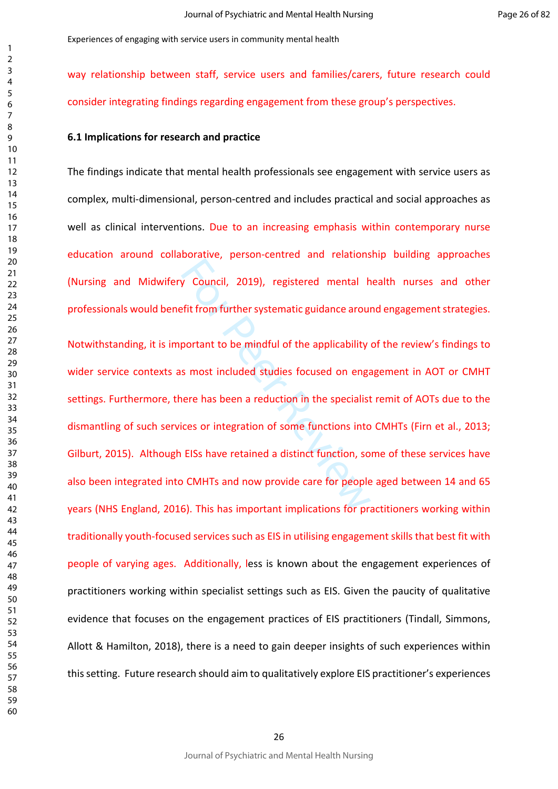way relationship between staff, service users and families/carers, future research could consider integrating findings regarding engagement from these group's perspectives.

#### **6.1 Implications for research and practice**

y Council, 2019), registered mental hefit from further systematic guidance arous<br>portant to be mindful of the applicability<br>s most included studies focused on engancere has been a reduction in the specialist<br>ices or integr The findings indicate that mental health professionals see engagement with service users as complex, multi-dimensional, person-centred and includes practical and social approaches as well as clinical interventions. Due to an increasing emphasis within contemporary nurse education around collaborative, person-centred and relationship building approaches (Nursing and Midwifery Council, 2019), registered mental health nurses and other professionals would benefit from further systematic guidance around engagement strategies. Notwithstanding, it is important to be mindful of the applicability of the review's findings to wider service contexts as most included studies focused on engagement in AOT or CMHT settings. Furthermore, there has been a reduction in the specialist remit of AOTs due to the dismantling of such services or integration of some functions into CMHTs (Firn et al., 2013; Gilburt, 2015). Although EISs have retained a distinct function, some of these services have also been integrated into CMHTs and now provide care for people aged between 14 and 65 years (NHS England, 2016). This has important implications for practitioners working within traditionally youth-focused services such as EIS in utilising engagement skills that best fit with people of varying ages. Additionally, less is known about the engagement experiences of practitioners working within specialist settings such as EIS. Given the paucity of qualitative evidence that focuses on the engagement practices of EIS practitioners (Tindall, Simmons, Allott & Hamilton, 2018), there is a need to gain deeper insights of such experiences within this setting. Future research should aim to qualitatively explore EIS practitioner's experiences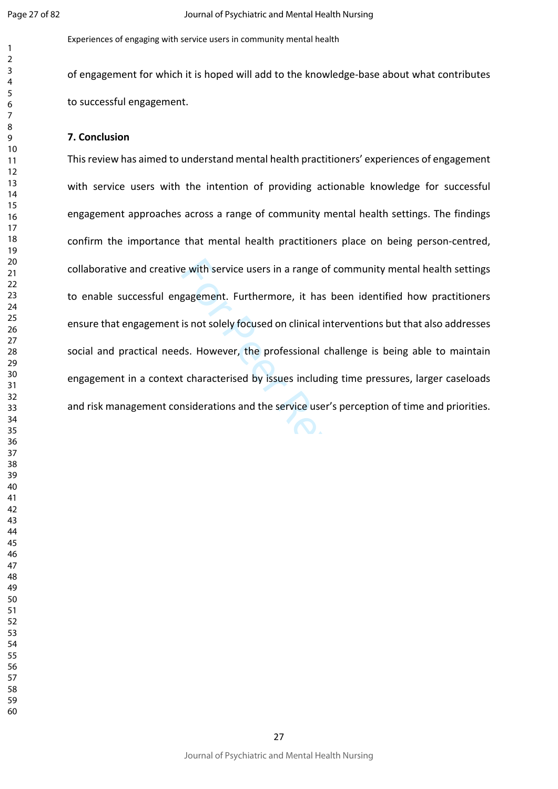$\mathbf{1}$ 

Experiences of engaging with service users in community mental health

of engagement for which it is hoped will add to the knowledge-base about what contributes to successful engagement.

#### **7. Conclusion**

e with service users in a range of commund<br>gagement. Furthermore, it has been ide<br>is not solely focused on clinical interventic<br>ds. However, the professional challenge<br>t characterised by issues including time p<br>nsideration This review has aimed to understand mental health practitioners' experiences of engagement with service users with the intention of providing actionable knowledge for successful engagement approaches across a range of community mental health settings. The findings confirm the importance that mental health practitioners place on being person-centred, collaborative and creative with service users in a range of community mental health settings to enable successful engagement. Furthermore, it has been identified how practitioners ensure that engagement is not solely focused on clinical interventions but that also addresses social and practical needs. However, the professional challenge is being able to maintain engagement in a context characterised by issues including time pressures, larger caseloads and risk management considerations and the service user's perception of time and priorities.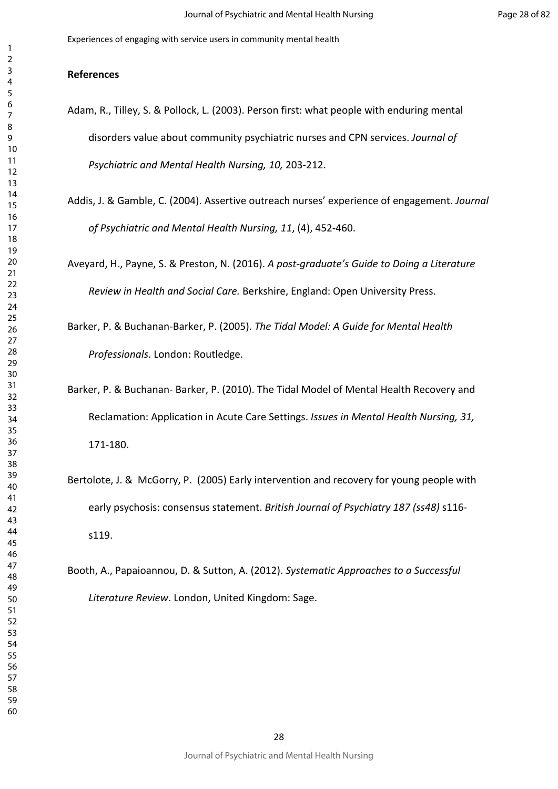## **References**

- Adam, R., Tilley, S. & Pollock, L. (2003). Person first: what people with enduring mental disorders value about community psychiatric nurses and CPN services. *Journal of Psychiatric and Mental Health Nursing, 10,* 203-212.
- Addis, J. & Gamble, C. (2004). Assertive outreach nurses' experience of engagement. *Journal of Psychiatric and Mental Health Nursing, 11*, (4), 452-460.
- Aveyard, H., Payne, S. & Preston, N. (2016). *A post-graduate's Guide to Doing a Literature Review in Health and Social Care.* Berkshire, England: Open University Press.
- Barker, P. & Buchanan-Barker, P. (2005). *The Tidal Model: A Guide for Mental Health Professionals*. London: Routledge.
- Preston, N. (2016). *A post-graduate's Guid*<br>*d Social Care.* Berkshire, England: Open Ur<br>arker, P. (2005). *The Tidal Model: A Guide*<br>m: Routledge.<br>arker, P. (2010). The Tidal Model of Ment.<br>ation in Acute Care Settings. Barker, P. & Buchanan- Barker, P. (2010). The Tidal Model of Mental Health Recovery and Reclamation: Application in Acute Care Settings. *Issues in Mental Health Nursing, 31,* 171-180.
- Bertolote, J. & McGorry, P. (2005) Early intervention and recovery for young people with early psychosis: consensus statement. *British Journal of Psychiatry 187 (ss48)* s116 s119.
- Booth, A., Papaioannou, D. & Sutton, A. (2012). *Systematic Approaches to a Successful Literature Review*. London, United Kingdom: Sage.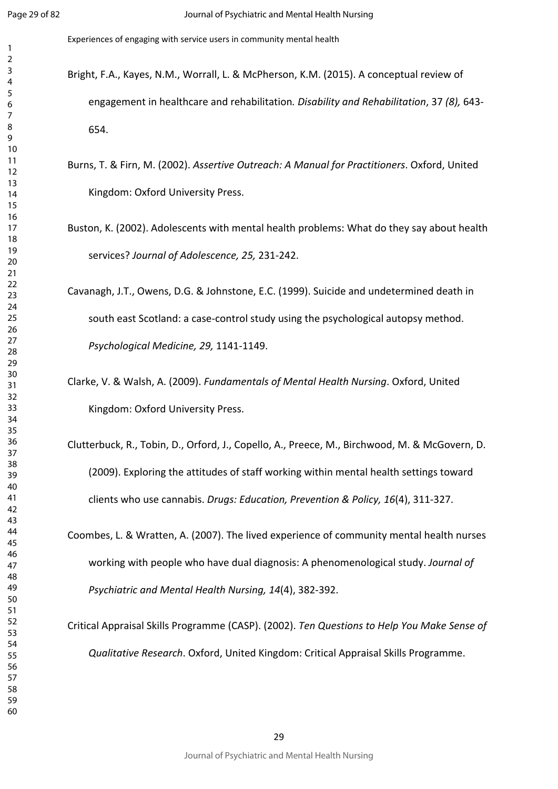$\mathbf{1}$ 

Experiences of engaging with service users in community mental health

- Bright, F.A., Kayes, N.M., Worrall, L. & McPherson, K.M. (2015). A conceptual review of engagement in healthcare and rehabilitation*. Disability and Rehabilitation*, 37 *(8),* 643- 654.
- Burns, T. & Firn, M. (2002). *Assertive Outreach: A Manual for Practitioners*. Oxford, United Kingdom: Oxford University Press.
- Buston, K. (2002). Adolescents with mental health problems: What do they say about health services? *Journal of Adolescence, 25,* 231-242.
- C. G. & Johnstone, E.C. (1999). Suicide and u<br>a case-control study using the psychologi<br>ine, 29, 1141-1149.<br>D. Fundamentals of Mental Health Nurs<br>iversity Press.<br>, Orford, J., Copello, A., Preece, M., Birchy<br>e attitudes of Cavanagh, J.T., Owens, D.G. & Johnstone, E.C. (1999). Suicide and undetermined death in south east Scotland: a case-control study using the psychological autopsy method. *Psychological Medicine, 29,* 1141-1149.
- Clarke, V. & Walsh, A. (2009). *Fundamentals of Mental Health Nursing*. Oxford, United Kingdom: Oxford University Press.
- Clutterbuck, R., Tobin, D., Orford, J., Copello, A., Preece, M., Birchwood, M. & McGovern, D. (2009). Exploring the attitudes of staff working within mental health settings toward clients who use cannabis. *Drugs: Education, Prevention & Policy, 16*(4), 311-327.
- Coombes, L. & Wratten, A. (2007). The lived experience of community mental health nurses working with people who have dual diagnosis: A phenomenological study. *Journal of Psychiatric and Mental Health Nursing, 14*(4), 382-392.

Critical Appraisal Skills Programme (CASP). (2002). *Ten Questions to Help You Make Sense of Qualitative Research*. Oxford, United Kingdom: Critical Appraisal Skills Programme.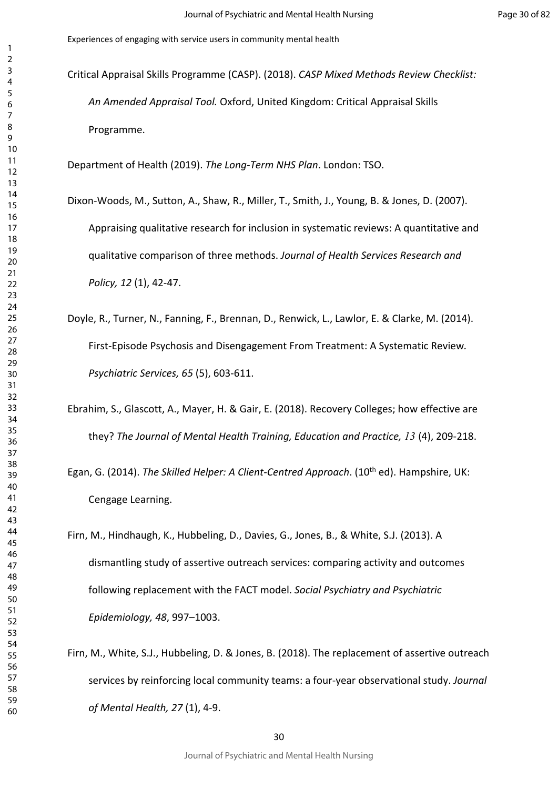Critical Appraisal Skills Programme (CASP). (2018). *CASP Mixed Methods Review Checklist: An Amended Appraisal Tool.* Oxford, United Kingdom: Critical Appraisal Skills Programme.

Department of Health (2019). *The Long-Term NHS Plan*. London: TSO.

- Dixon-Woods, M., Sutton, A., Shaw, R., Miller, T., Smith, J., Young, B. & Jones, D. (2007). Appraising qualitative research for inclusion in systematic reviews: A quantitative and qualitative comparison of three methods. *Journal of Health Services Research and Policy, 12* (1), 42-47.
- on or three incritios, Journal by Inciting Service International Cylical Service Inc.<br>
19 Increment Service Inc.<br>
19 Increment Service Inc.<br>
19 Increment Service Inc.<br>
19 Increment Service Inc.<br>
19 Increment Service Inc.<br> Doyle, R., Turner, N., Fanning, F., Brennan, D., Renwick, L., Lawlor, E. & Clarke, M. (2014). First-Episode Psychosis and Disengagement From Treatment: A Systematic Review*. Psychiatric Services, 65* (5), 603-611.
- Ebrahim, S., Glascott, A., Mayer, H. & Gair, E. (2018). Recovery Colleges; how effective are they? *The Journal of Mental Health Training, Education and Practice, 13* (4), 209-218.
- Egan, G. (2014). *The Skilled Helper: A Client-Centred Approach*. (10<sup>th</sup> ed). Hampshire, UK: Cengage Learning.
- Firn, M., Hindhaugh, K., Hubbeling, D., Davies, G., Jones, B., & White, S.J. (2013). A dismantling study of assertive outreach services: comparing activity and outcomes following replacement with the FACT model. *Social Psychiatry and Psychiatric Epidemiology, 48*, 997–1003.
- Firn, M., White, S.J., Hubbeling, D. & Jones, B. (2018). The replacement of assertive outreach services by reinforcing local community teams: a four-year observational study. *Journal of Mental Health, 27* (1), 4-9.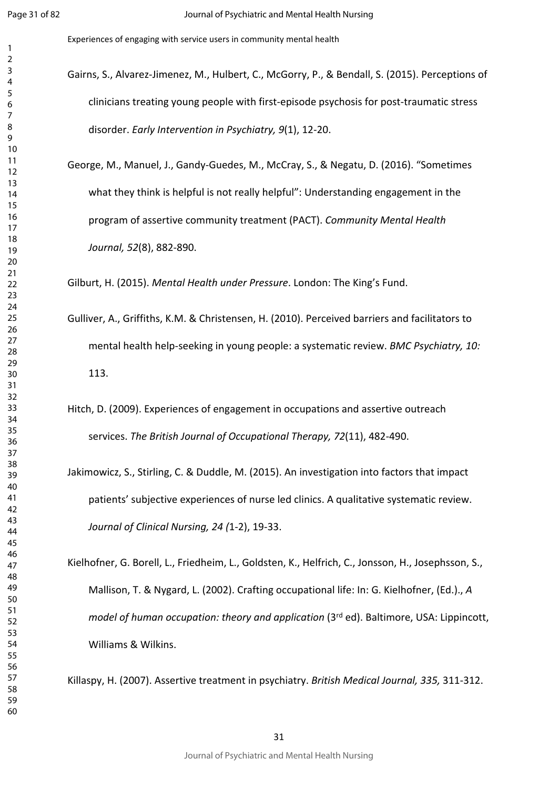$\mathbf{1}$  $\overline{2}$  $\overline{4}$  $\overline{7}$ 

Experiences of engaging with service users in community mental health

- Gairns, S., Alvarez-Jimenez, M., Hulbert, C., McGorry, P., & Bendall, S. (2015). Perceptions of clinicians treating young people with first-episode psychosis for post-traumatic stress disorder. *Early Intervention in Psychiatry, 9*(1), 12-20.
- George, M., Manuel, J., Gandy-Guedes, M., McCray, S., & Negatu, D. (2016). "Sometimes what they think is helpful is not really helpful": Understanding engagement in the program of assertive community treatment (PACT). *Community Mental Health Journal, 52*(8), 882-890.

Gilburt, H. (2015). *Mental Health under Pressure*. London: The King's Fund.

- Il Health under Pressure. London: The King<br>1. & Christensen, H. (2010). Perceived barr<br>seeking in young people: a systematic revi<br>nces of engagement in occupations and as<br>Journal of Occupational Therapy, 72(11), <sup>2</sup><br>8. & D Gulliver, A., Griffiths, K.M. & Christensen, H. (2010). Perceived barriers and facilitators to mental health help-seeking in young people: a systematic review. *BMC Psychiatry, 10:* 113.
- Hitch, D. (2009). Experiences of engagement in occupations and assertive outreach services. *The British Journal of Occupational Therapy, 72*(11), 482-490.
- Jakimowicz, S., Stirling, C. & Duddle, M. (2015). An investigation into factors that impact patients' subjective experiences of nurse led clinics. A qualitative systematic review. *Journal of Clinical Nursing, 24 (*1-2), 19-33.

Kielhofner, G. Borell, L., Friedheim, L., Goldsten, K., Helfrich, C., Jonsson, H., Josephsson, S., Mallison, T. & Nygard, L. (2002). Crafting occupational life: In: G. Kielhofner, (Ed.)., *A model of human occupation: theory and application (3<sup>rd</sup> ed). Baltimore, USA: Lippincott,* Williams & Wilkins.

Killaspy, H. (2007). Assertive treatment in psychiatry. *British Medical Journal, 335,* 311-312.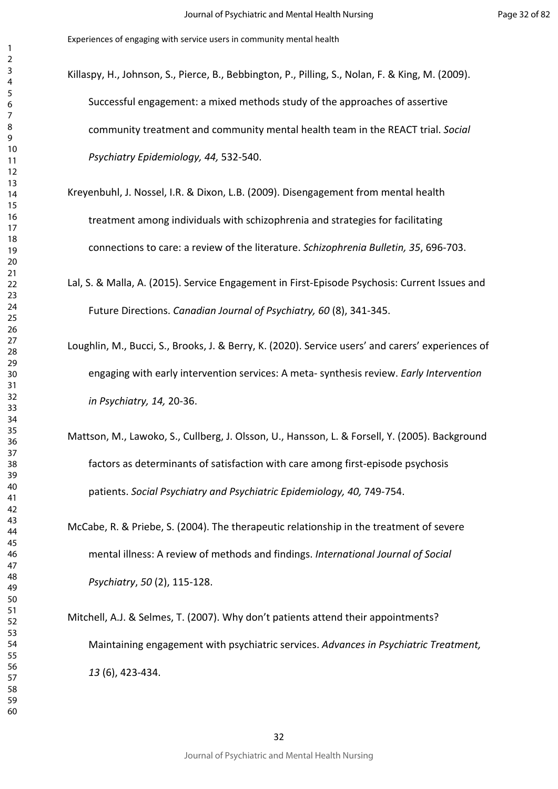- Killaspy, H., Johnson, S., Pierce, B., Bebbington, P., Pilling, S., Nolan, F. & King, M. (2009). Successful engagement: a mixed methods study of the approaches of assertive community treatment and community mental health team in the REACT trial. *Social Psychiatry Epidemiology, 44,* 532-540.
- Kreyenbuhl, J. Nossel, I.R. & Dixon, L.B. (2009). Disengagement from mental health treatment among individuals with schizophrenia and strategies for facilitating connections to care: a review of the literature. *Schizophrenia Bulletin, 35*, 696-703.
- Lal, S. & Malla, A. (2015). Service Engagement in First-Episode Psychosis: Current Issues and Future Directions. *Canadian Journal of Psychiatry, 60* (8), 341-345.
- Service Engagement in First-Episode Psyc<br>
anadian Journal of Psychiatry, 60 (8), 341-<br>
rooks, J. & Berry, K. (2020). Service users' a<br>
intervention services: A meta-synthesis re<br>
-36.<br>
Cullberg, J. Olsson, U., Hansson, L. Loughlin, M., Bucci, S., Brooks, J. & Berry, K. (2020). Service users' and carers' experiences of engaging with early intervention services: A meta- synthesis review. *Early Intervention in Psychiatry, 14,* 20-36.
- Mattson, M., Lawoko, S., Cullberg, J. Olsson, U., Hansson, L. & Forsell, Y. (2005). Background factors as determinants of satisfaction with care among first-episode psychosis patients. *Social Psychiatry and Psychiatric Epidemiology, 40,* 749-754.
- McCabe, R. & Priebe, S. (2004). The therapeutic relationship in the treatment of severe mental illness: A review of methods and findings. *International Journal of Social Psychiatry*, *50* (2), 115-128.

Mitchell, A.J. & Selmes, T. (2007). Why don't patients attend their appointments? Maintaining engagement with psychiatric services. *Advances in Psychiatric Treatment,*  (6), 423-434.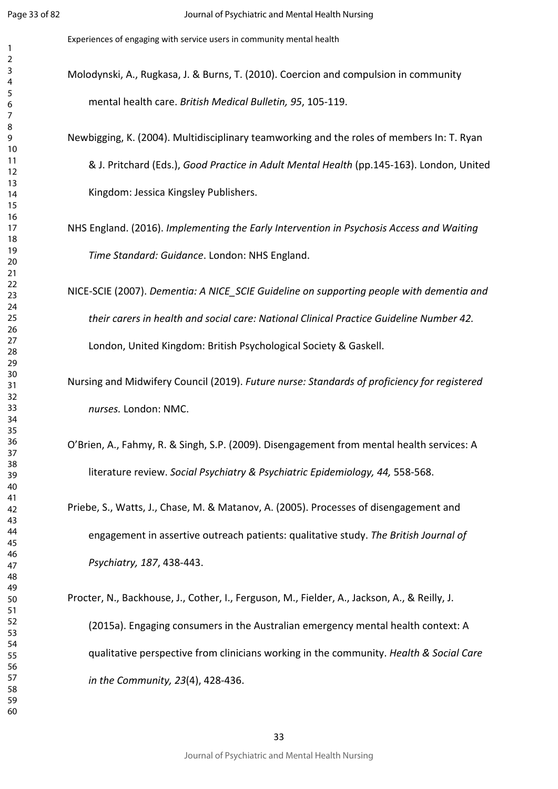$\mathbf{1}$ 

Experiences of engaging with service users in community mental health

- Molodynski, A., Rugkasa, J. & Burns, T. (2010). Coercion and compulsion in community mental health care. *British Medical Bulletin, 95*, 105-119.
- Newbigging, K. (2004). Multidisciplinary teamworking and the roles of members In: T. Ryan & J. Pritchard (Eds.), *Good Practice in Adult Mental Health* (pp.145-163). London, United Kingdom: Jessica Kingsley Publishers.
- NHS England. (2016). *Implementing the Early Intervention in Psychosis Access and Waiting Time Standard: Guidance*. London: NHS England.
- rance: Esheon: With England:<br>
Figure 2016 and social care: National Clinical Practice<br>
dom: British Psychological Society & Gask<br>
pouncil (2019). Future nurse: Standards of p<br>
C.<br>
Singh, S.P. (2009). Disengagement from m<br> NICE-SCIE (2007). *Dementia: A NICE\_SCIE Guideline on supporting people with dementia and their carers in health and social care: National Clinical Practice Guideline Number 42.* London, United Kingdom: British Psychological Society & Gaskell.
- Nursing and Midwifery Council (2019). *Future nurse: Standards of proficiency for registered nurses.* London: NMC.
- O'Brien, A., Fahmy, R. & Singh, S.P. (2009). Disengagement from mental health services: A literature review. *Social Psychiatry & Psychiatric Epidemiology, 44,* 558-568.
- Priebe, S., Watts, J., Chase, M. & Matanov, A. (2005). Processes of disengagement and engagement in assertive outreach patients: qualitative study. *The British Journal of Psychiatry, 187*, 438-443.

Procter, N., Backhouse, J., Cother, I., Ferguson, M., Fielder, A., Jackson, A., & Reilly, J. (2015a). Engaging consumers in the Australian emergency mental health context: A qualitative perspective from clinicians working in the community. *Health & Social Care in the Community, 23*(4), 428-436.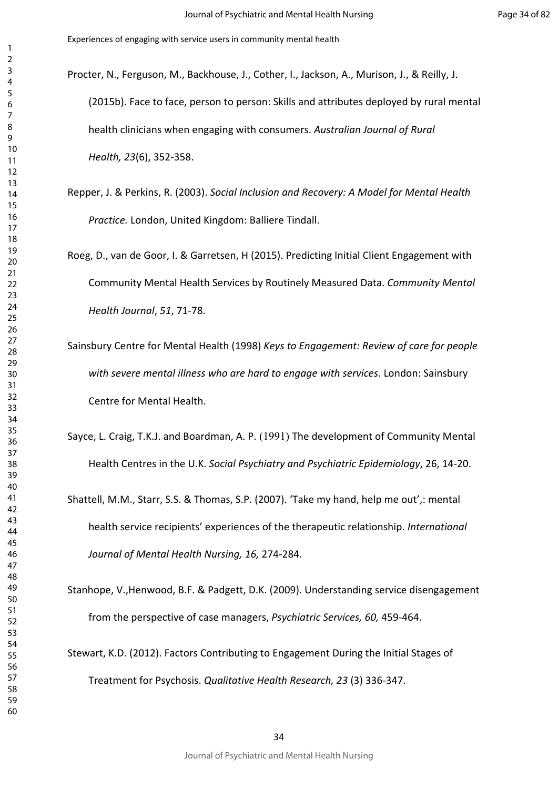- Procter, N., Ferguson, M., Backhouse, J., Cother, I., Jackson, A., Murison, J., & Reilly, J. (2015b). Face to face, person to person: Skills and attributes deployed by rural mental health clinicians when engaging with consumers. *Australian Journal of Rural Health, 23*(6), 352-358.
- Repper, J. & Perkins, R. (2003). *Social Inclusion and Recovery: A Model for Mental Health Practice.* London, United Kingdom: Balliere Tindall.
- Roeg, D., van de Goor, I. & Garretsen, H (2015). Predicting Initial Client Engagement with Community Mental Health Services by Routinely Measured Data. *Community Mental Health Journal*, *51*, 71-78.
- Health Services by Routinely Measured Da<br>
1-78.<br>
Interaction (1998) *Keys to Engagement: Rellness who are hard to engage with service*<br>
ealth.<br>
Boardman, A. P. (1991) The development<br>
e U.K. *Social Psychiatry and Psychiat* Sainsbury Centre for Mental Health (1998) *Keys to Engagement: Review of care for people with severe mental illness who are hard to engage with services*. London: Sainsbury Centre for Mental Health.
- Sayce, L. Craig, T.K.J. and Boardman, A. P. (1991) The development of Community Mental Health Centres in the U.K. *Social Psychiatry and Psychiatric Epidemiology*, 26, 14-20.
- Shattell, M.M., Starr, S.S. & Thomas, S.P. (2007). 'Take my hand, help me out',: mental health service recipients' experiences of the therapeutic relationship. *International Journal of Mental Health Nursing, 16,* 274-284.
- Stanhope, V.,Henwood, B.F. & Padgett, D.K. (2009). Understanding service disengagement from the perspective of case managers, *Psychiatric Services, 60,* 459-464.
- Stewart, K.D. (2012). Factors Contributing to Engagement During the Initial Stages of Treatment for Psychosis. *Qualitative Health Research, 23* (3) 336-347.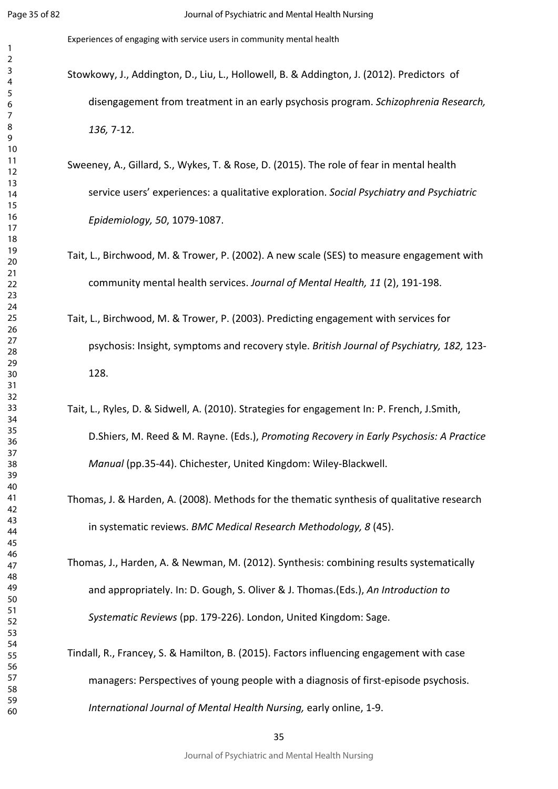$\mathbf{1}$  $\overline{2}$  $\overline{4}$  $\overline{7}$ 

Experiences of engaging with service users in community mental health

- Stowkowy, J., Addington, D., Liu, L., Hollowell, B. & Addington, J. (2012). Predictors of disengagement from treatment in an early psychosis program. *Schizophrenia Research, 136,* 7-12.
- Sweeney, A., Gillard, S., Wykes, T. & Rose, D. (2015). The role of fear in mental health service users' experiences: a qualitative exploration. *Social Psychiatry and Psychiatric Epidemiology, 50*, 1079-1087.
- Tait, L., Birchwood, M. & Trower, P. (2002). A new scale (SES) to measure engagement with community mental health services. *Journal of Mental Health, 11* (2), 191-198.
- Tait, L., Birchwood, M. & Trower, P. (2003). Predicting engagement with services for psychosis: Insight, symptoms and recovery style. *British Journal of Psychiatry, 182,* 123- 128.
- Frower, CESSEY: A The Search (SESE) to The<br>nealth services. Journal of Mental Health,<br>Trower, P. (2003). Predicting engagement<br>proportions and recovery style. British Journal<br>III, A. (2010). Strategies for engagement In<br>M. Tait, L., Ryles, D. & Sidwell, A. (2010). Strategies for engagement In: P. French, J.Smith, D.Shiers, M. Reed & M. Rayne. (Eds.), *Promoting Recovery in Early Psychosis: A Practice Manual* (pp.35-44). Chichester, United Kingdom: Wiley-Blackwell.
- Thomas, J. & Harden, A. (2008). Methods for the thematic synthesis of qualitative research in systematic reviews. *BMC Medical Research Methodology, 8* (45).
- Thomas, J., Harden, A. & Newman, M. (2012). Synthesis: combining results systematically and appropriately. In: D. Gough, S. Oliver & J. Thomas.(Eds.), *An Introduction to Systematic Reviews* (pp. 179-226). London, United Kingdom: Sage.
- Tindall, R., Francey, S. & Hamilton, B. (2015). Factors influencing engagement with case managers: Perspectives of young people with a diagnosis of first-episode psychosis. *International Journal of Mental Health Nursing,* early online, 1-9.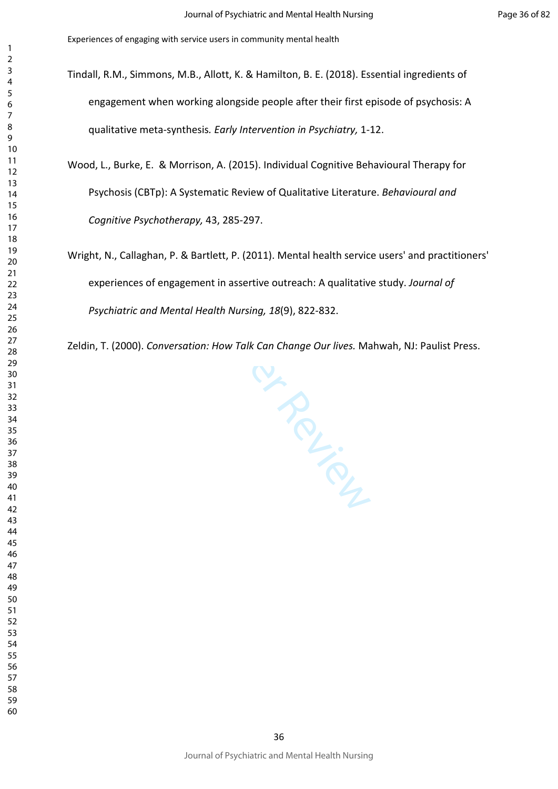- Tindall, R.M., Simmons, M.B., Allott, K. & Hamilton, B. E. (2018). Essential ingredients of engagement when working alongside people after their first episode of psychosis: A qualitative meta-synthesis*. Early Intervention in Psychiatry,* 1-12.
- Wood, L., Burke, E. & Morrison, A. (2015). Individual Cognitive Behavioural Therapy for Psychosis (CBTp): A Systematic Review of Qualitative Literature. *Behavioural and Cognitive Psychotherapy,* 43, 285-297.
- Wright, N., Callaghan, P. & Bartlett, P. (2011). Mental health service users' and practitioners' experiences of engagement in assertive outreach: A qualitative study. *Journal of Psychiatric and Mental Health Nursing, 18*(9), 822-832.

Zeldin, T. (2000). *Conversation: How Talk Can Change Our lives.* Mahwah, NJ: Paulist Press.

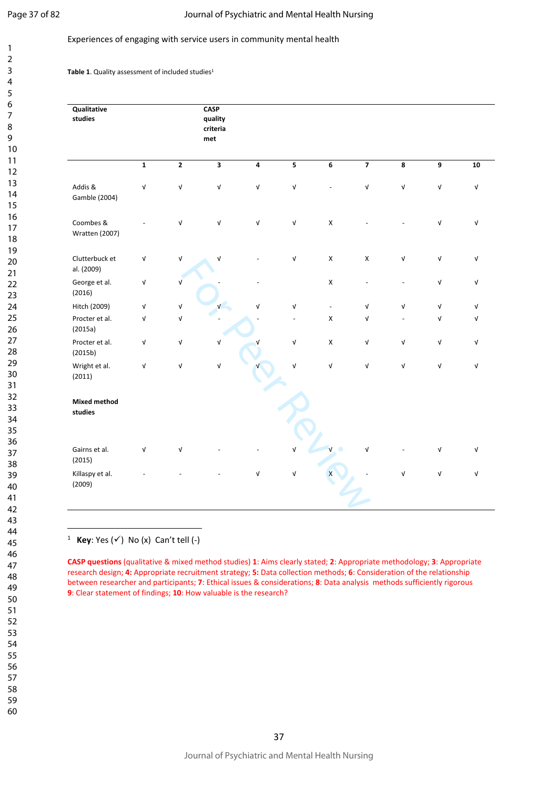$\mathbf{1}$ 

#### Experiences of engaging with service users in community mental health

**Table 1**. Quality assessment of included studies 1

| Qualitative<br>studies             |                           |                         | <b>CASP</b><br>quality<br>criteria<br>met |                           |                                  |                           |                                  |                           |                                  |                                  |
|------------------------------------|---------------------------|-------------------------|-------------------------------------------|---------------------------|----------------------------------|---------------------------|----------------------------------|---------------------------|----------------------------------|----------------------------------|
|                                    | $\overline{\mathbf{1}}$   | $\overline{\mathbf{2}}$ | $\overline{\mathbf{3}}$                   | 4                         | $\overline{\mathbf{5}}$          | 6                         | $\overline{\mathbf{z}}$          | $\bf 8$                   | 9                                | ${\bf 10}$                       |
| Addis &<br>Gamble (2004)           | $\mathsf{V}$              | $\sqrt{ }$              | $\ensuremath{\mathsf{v}}\xspace$          | $\sqrt{ }$                | $\ensuremath{\mathsf{v}}\xspace$ |                           | $\sqrt{ }$                       | $\sqrt{ }$                | $\ensuremath{\mathsf{v}}\xspace$ | $\ensuremath{\mathsf{v}}\xspace$ |
| Coombes &<br><b>Wratten (2007)</b> |                           | $\mathsf{V}$            | $\sqrt{ }$                                | $\ensuremath{\mathsf{V}}$ | $\sqrt{ }$                       | $\pmb{\mathsf{X}}$        |                                  |                           | $\sqrt{ }$                       | $\sqrt{ }$                       |
| Clutterbuck et<br>al. (2009)       | $\sqrt{ }$                | $\sqrt{ }$              | $\sqrt{ }$                                |                           | $\ensuremath{\mathsf{V}}$        | $\mathsf X$               | $\pmb{\times}$                   | $\sqrt{ }$                | $\ensuremath{\mathsf{V}}$        | $\sqrt{ }$                       |
| George et al.<br>(2016)            | $\ensuremath{\mathsf{V}}$ | V                       |                                           |                           |                                  | X                         |                                  | $\overline{a}$            | $\sqrt{ }$                       | V                                |
| Hitch (2009)                       | $\sqrt{ }$                | $\mathsf{V}$            |                                           | $\sqrt{ }$                | $\sqrt{ }$                       | $\blacksquare$            | $\sqrt{ }$                       | $\sqrt{ }$                | $\mathbf{v}$                     | $\sqrt{ }$                       |
| Procter et al.<br>(2015a)          | $\ensuremath{\mathsf{V}}$ | $\mathsf{V}$            |                                           |                           | $\overline{\phantom{a}}$         | $\pmb{\mathsf{X}}$        | $\ensuremath{\mathsf{v}}\xspace$ | $\overline{\phantom{a}}$  | $\ensuremath{\mathsf{V}}$        | $\sqrt{ }$                       |
| Procter et al.<br>(2015b)          | $\sqrt{ }$                | $\sqrt{ }$              | $\sqrt{ }$                                | V                         | $\ensuremath{\mathsf{v}}\xspace$ | $\mathsf X$               | $\sqrt{ }$                       | $\ensuremath{\mathsf{V}}$ | $\ensuremath{\mathsf{V}}$        | $\sqrt{ }$                       |
| Wright et al.<br>(2011)            | $\ensuremath{\mathsf{V}}$ | $\sqrt{ }$              | $\ensuremath{\mathsf{v}}\xspace$          |                           | $\sqrt{ }$                       | $\ensuremath{\mathsf{V}}$ | $\sqrt{ }$                       | $\sqrt{ }$                | $\ensuremath{\mathsf{V}}$        | $\sqrt{ }$                       |
| <b>Mixed method</b><br>studies     |                           |                         |                                           |                           |                                  |                           |                                  |                           |                                  |                                  |
| Gairns et al.<br>(2015)            | $\ensuremath{\mathsf{V}}$ | $\mathsf{V}$            |                                           |                           | ν                                | $\sqrt{ }$                | V                                |                           | $\sqrt{ }$                       | $\sqrt{ }$                       |
| Killaspy et al.<br>(2009)          |                           |                         |                                           | $\mathsf{V}$              | $\ensuremath{\mathsf{V}}$        |                           |                                  | $\mathsf{v}$              | $\ensuremath{\mathsf{V}}$        | $\mathsf{V}$                     |

<sup>1</sup> **Key**: Yes (√) No (x) Can't tell (-)

**CASP questions** (qualitative & mixed method studies) **1**: Aims clearly stated; **2**: Appropriate methodology; **3**: Appropriate research design; **4:** Appropriate recruitment strategy; **5:** Data collection methods; **6**: Consideration of the relationship between researcher and participants; **7**: Ethical issues & considerations; **8**: Data analysis methods sufficiently rigorous **9**: Clear statement of findings; **10**: How valuable is the research?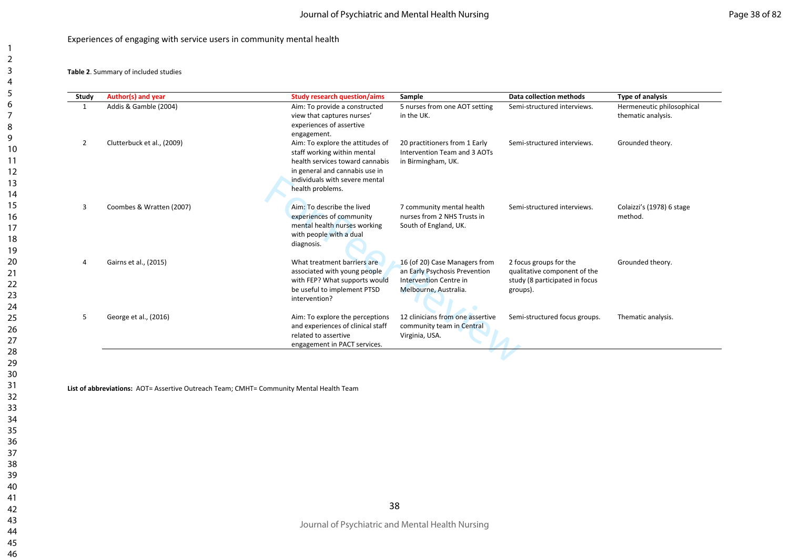#### **Table 2**. Summary of included studies

| Study          | Author(s) and year         | <b>Study research question/aims</b>                                                                                                                                                        | Sample                                                                                                            | <b>Data collection methods</b>                                                                       | Type of analysis                                |
|----------------|----------------------------|--------------------------------------------------------------------------------------------------------------------------------------------------------------------------------------------|-------------------------------------------------------------------------------------------------------------------|------------------------------------------------------------------------------------------------------|-------------------------------------------------|
|                | Addis & Gamble (2004)      | Aim: To provide a constructed<br>view that captures nurses'<br>experiences of assertive<br>engagement.                                                                                     | 5 nurses from one AOT setting<br>in the UK.                                                                       | Semi-structured interviews.                                                                          | Hermeneutic philosophical<br>thematic analysis. |
| $\overline{2}$ | Clutterbuck et al., (2009) | Aim: To explore the attitudes of<br>staff working within mental<br>health services toward cannabis<br>in general and cannabis use in<br>individuals with severe mental<br>health problems. | 20 practitioners from 1 Early<br>Intervention Team and 3 AOTs<br>in Birmingham, UK.                               | Semi-structured interviews.                                                                          | Grounded theory.                                |
| 3              | Coombes & Wratten (2007)   | Aim: To describe the lived<br>experiences of community<br>mental health nurses working<br>with people with a dual<br>diagnosis.                                                            | 7 community mental health<br>nurses from 2 NHS Trusts in<br>South of England, UK.                                 | Semi-structured interviews.                                                                          | Colaizzi's (1978) 6 stage<br>method.            |
| 4              | Gairns et al., (2015)      | What treatment barriers are<br>associated with young people<br>with FEP? What supports would<br>be useful to implement PTSD<br>intervention?                                               | 16 (of 20) Case Managers from<br>an Early Psychosis Prevention<br>Intervention Centre in<br>Melbourne, Australia. | 2 focus groups for the<br>qualitative component of the<br>study (8 participated in focus<br>groups). | Grounded theory.                                |
| 5              | George et al., (2016)      | Aim: To explore the perceptions<br>and experiences of clinical staff<br>related to assertive<br>engagement in PACT services.                                                               | 12 clinicians from one assertive<br>community team in Central<br>Virginia, USA.                                   | Semi-structured focus groups.                                                                        | Thematic analysis.                              |

List of abbreviations: AOT= Assertive Outreach Team; CMHT= Community Mental Health Team

Journal of Psychiatric and Mental Health Nursing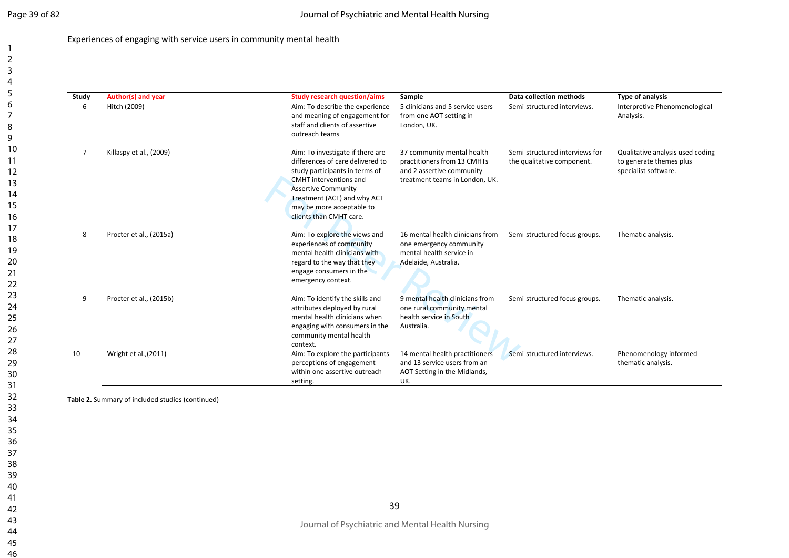#### Experiences of engaging with service users in community mental health

| Study | Author(s) and year      | <b>Study research question/aims</b>                                                                                                                                                                                                                          | Sample                                                                                                                   | <b>Data collection methods</b>                               | Type of analysis                                                                    |
|-------|-------------------------|--------------------------------------------------------------------------------------------------------------------------------------------------------------------------------------------------------------------------------------------------------------|--------------------------------------------------------------------------------------------------------------------------|--------------------------------------------------------------|-------------------------------------------------------------------------------------|
| 6     | Hitch (2009)            | Aim: To describe the experience<br>and meaning of engagement for<br>staff and clients of assertive<br>outreach teams                                                                                                                                         | 5 clinicians and 5 service users<br>from one AOT setting in<br>London, UK.                                               | Semi-structured interviews.                                  | Interpretive Phenomenological<br>Analysis.                                          |
| 7     | Killaspy et al., (2009) | Aim: To investigate if there are<br>differences of care delivered to<br>study participants in terms of<br><b>CMHT</b> interventions and<br><b>Assertive Community</b><br>Treatment (ACT) and why ACT<br>may be more acceptable to<br>clients than CMHT care. | 37 community mental health<br>practitioners from 13 CMHTs<br>and 2 assertive community<br>treatment teams in London, UK. | Semi-structured interviews for<br>the qualitative component. | Qualitative analysis used coding<br>to generate themes plus<br>specialist software. |
| 8     | Procter et al., (2015a) | Aim: To explore the views and<br>experiences of community<br>mental health clinicians with<br>regard to the way that they<br>engage consumers in the<br>emergency context.                                                                                   | 16 mental health clinicians from<br>one emergency community<br>mental health service in<br>Adelaide, Australia.          | Semi-structured focus groups.                                | Thematic analysis.                                                                  |
| 9     | Procter et al., (2015b) | Aim: To identify the skills and<br>attributes deployed by rural<br>mental health clinicians when<br>engaging with consumers in the<br>community mental health<br>context.                                                                                    | 9 mental health clinicians from<br>one rural community mental<br>health service in South<br>Australia.                   | Semi-structured focus groups.                                | Thematic analysis.                                                                  |
| 10    | Wright et al., (2011)   | Aim: To explore the participants<br>perceptions of engagement<br>within one assertive outreach<br>setting.                                                                                                                                                   | 14 mental health practitioners<br>and 13 service users from an<br>AOT Setting in the Midlands,<br>UK.                    | Semi-structured interviews.                                  | Phenomenology informed<br>thematic analysis.                                        |

**Table 2.** Summary of included studies (continued)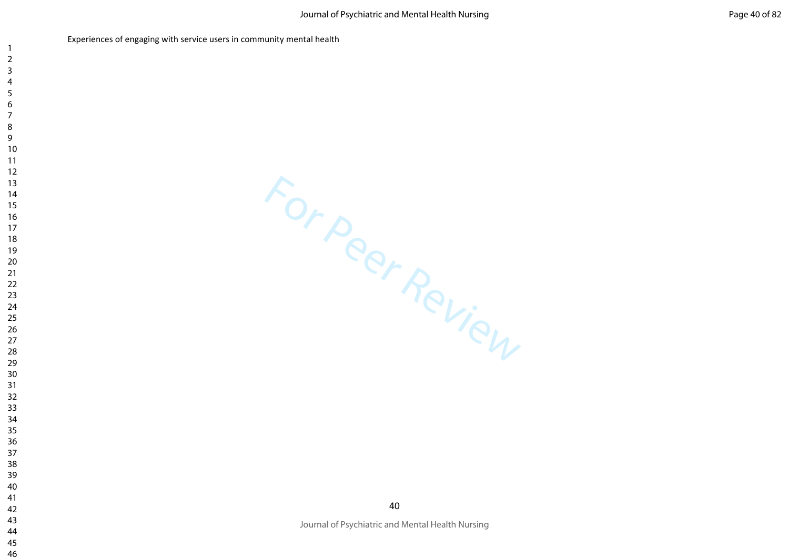$\overline{\phantom{0}}$  $\overline{2}$  $\overline{3}$  $\overline{4}$  $\overline{7}$ 

For Peer Review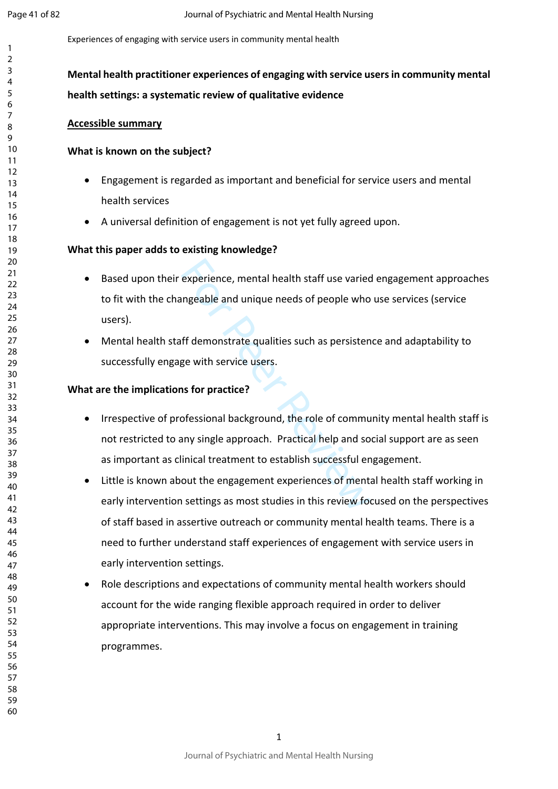# **Mental health practitioner experiences of engaging with service users in community mental health settings: a systematic review of qualitative evidence**

## **Accessible summary**

## **What is known on the subject?**

- Engagement is regarded as important and beneficial for service users and mental health services
- A universal definition of engagement is not yet fully agreed upon.

## **What this paper adds to existing knowledge?**

- Based upon their experience, mental health staff use varied engagement approaches to fit with the changeable and unique needs of people who use services (service users).
- Mental health staff demonstrate qualities such as persistence and adaptability to successfully engage with service users.

## **What are the implications for practice?**

- experience, mental health staff use varied<br>
ingeable and unique needs of people who<br>
ff demonstrate qualities such as persisten<br>
ge with service users.<br> **ns for practice?**<br>
ofessional background, the role of commu<br>
inny si • Irrespective of professional background, the role of community mental health staff is not restricted to any single approach. Practical help and social support are as seen as important as clinical treatment to establish successful engagement.
- Little is known about the engagement experiences of mental health staff working in early intervention settings as most studies in this review focused on the perspectives of staff based in assertive outreach or community mental health teams. There is a need to further understand staff experiences of engagement with service users in early intervention settings.
- Role descriptions and expectations of community mental health workers should account for the wide ranging flexible approach required in order to deliver appropriate interventions. This may involve a focus on engagement in training programmes.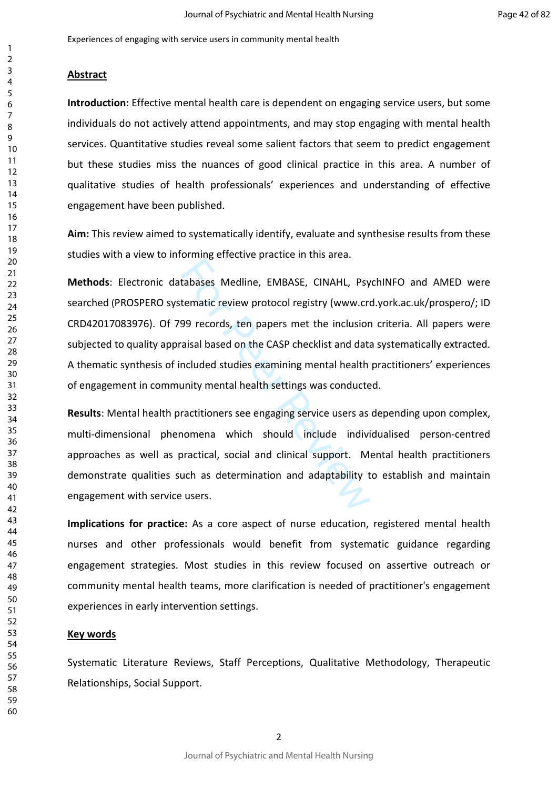## **Abstract**

**Introduction:** Effective mental health care is dependent on engaging service users, but some individuals do not actively attend appointments, and may stop engaging with mental health services. Quantitative studies reveal some salient factors that seem to predict engagement but these studies miss the nuances of good clinical practice in this area. A number of qualitative studies of health professionals' experiences and understanding of effective engagement have been published.

**Aim:** This review aimed to systematically identify, evaluate and synthesise results from these studies with a view to informing effective practice in this area.

tabases Medline, EMBASE, CINAHL, Psy<br>tematic review protocol registry (www.crospectrual protocol registry (www.crospectrual based on the CASP checklist and data<br>ncluded studies examining mental health<br>unity mental health s **Methods**: Electronic databases Medline, EMBASE, CINAHL, PsychINFO and AMED were searched (PROSPERO systematic review protocol registry (www.crd.york.ac.uk/prospero/; ID CRD42017083976). Of 799 records, ten papers met the inclusion criteria. All papers were subjected to quality appraisal based on the CASP checklist and data systematically extracted. A thematic synthesis of included studies examining mental health practitioners' experiences of engagement in community mental health settings was conducted.

**Results**: Mental health practitioners see engaging service users as depending upon complex, multi-dimensional phenomena which should include individualised person-centred approaches as well as practical, social and clinical support. Mental health practitioners demonstrate qualities such as determination and adaptability to establish and maintain engagement with service users.

**Implications for practice:** As a core aspect of nurse education, registered mental health nurses and other professionals would benefit from systematic guidance regarding engagement strategies. Most studies in this review focused on assertive outreach or community mental health teams, more clarification is needed of practitioner's engagement experiences in early intervention settings.

#### **Key words**

Systematic Literature Reviews, Staff Perceptions, Qualitative Methodology, Therapeutic Relationships, Social Support.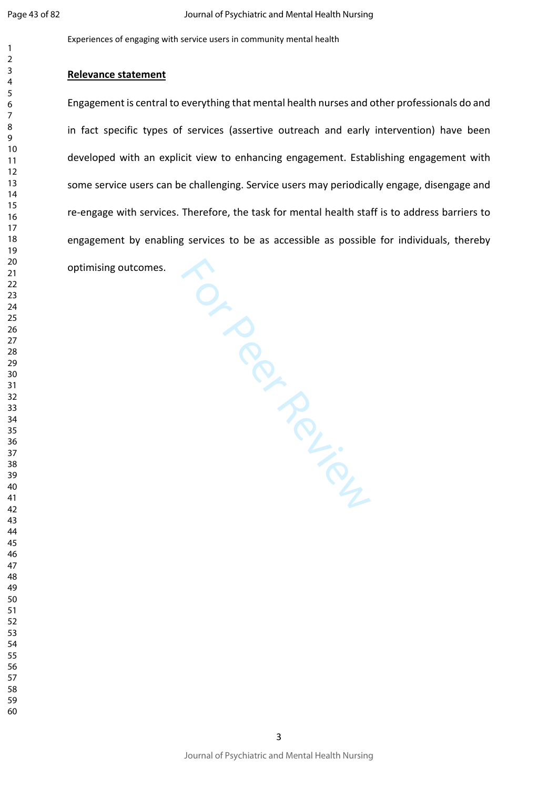$\mathbf{1}$  $\overline{2}$  $\overline{4}$  Experiences of engaging with service users in community mental health

#### **Relevance statement**

Engagement is central to everything that mental health nurses and other professionals do and in fact specific types of services (assertive outreach and early intervention) have been developed with an explicit view to enhancing engagement. Establishing engagement with some service users can be challenging. Service users may periodically engage, disengage and re-engage with services. Therefore, the task for mental health staff is to address barriers to engagement by enabling services to be as accessible as possible for individuals, thereby

**PRANCES** 

optimising outcomes.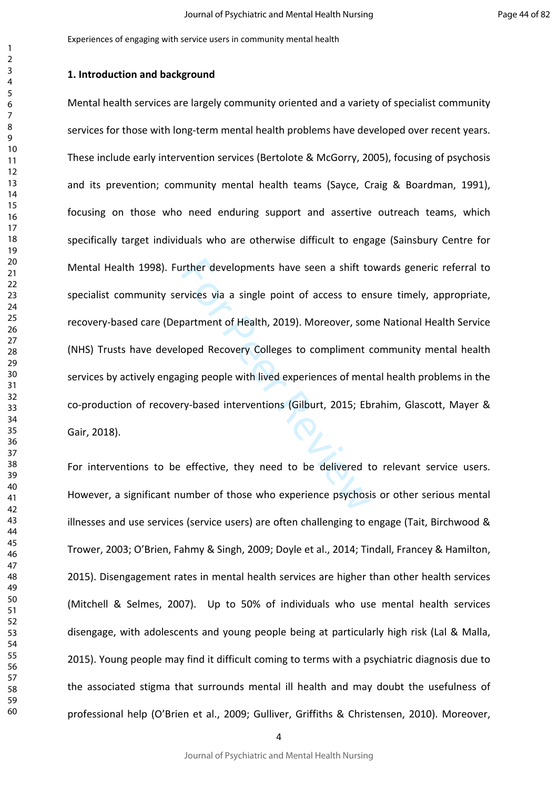#### **1. Introduction and background**

rther developments have seen a shift to<br>rvices via a single point of access to er<br>partment of Health, 2019). Moreover, son<br>oped Recovery Colleges to compliment (<br>ging people with lived experiences of men<br>ry-based intervent Mental health services are largely community oriented and a variety of specialist community services for those with long-term mental health problems have developed over recent years. These include early intervention services (Bertolote & McGorry, 2005), focusing of psychosis and its prevention; community mental health teams (Sayce, Craig & Boardman, 1991), focusing on those who need enduring support and assertive outreach teams, which specifically target individuals who are otherwise difficult to engage (Sainsbury Centre for Mental Health 1998). Further developments have seen a shift towards generic referral to specialist community services via a single point of access to ensure timely, appropriate, recovery-based care (Department of Health, 2019). Moreover, some National Health Service (NHS) Trusts have developed Recovery Colleges to compliment community mental health services by actively engaging people with lived experiences of mental health problems in the co-production of recovery-based interventions (Gilburt, 2015; Ebrahim, Glascott, Mayer & Gair, 2018).

For interventions to be effective, they need to be delivered to relevant service users. However, a significant number of those who experience psychosis or other serious mental illnesses and use services (service users) are often challenging to engage (Tait, Birchwood & Trower, 2003; O'Brien, Fahmy & Singh, 2009; Doyle et al., 2014; Tindall, Francey & Hamilton, 2015). Disengagement rates in mental health services are higher than other health services (Mitchell & Selmes, 2007). Up to 50% of individuals who use mental health services disengage, with adolescents and young people being at particularly high risk (Lal & Malla, 2015). Young people may find it difficult coming to terms with a psychiatric diagnosis due to the associated stigma that surrounds mental ill health and may doubt the usefulness of professional help (O'Brien et al., 2009; Gulliver, Griffiths & Christensen, 2010). Moreover,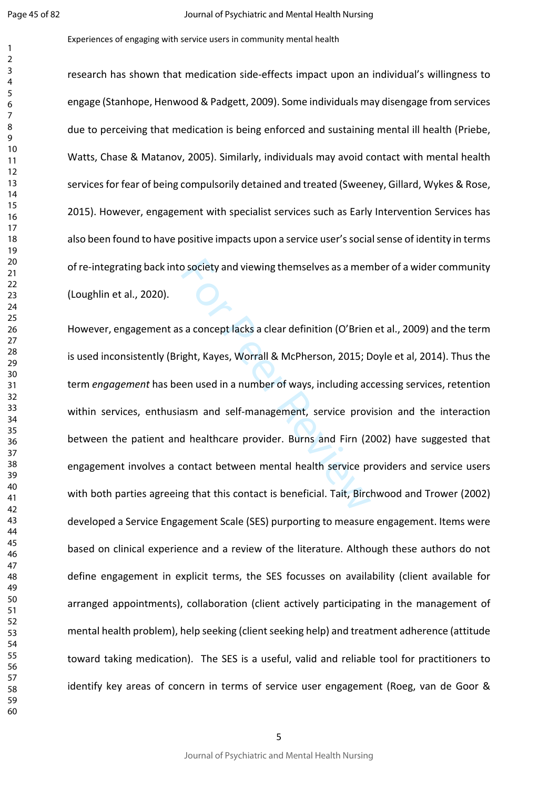Page 45 of 82

 $\mathbf{1}$  $\overline{2}$  $\overline{4}$  $\overline{7}$  Experiences of engaging with service users in community mental health

research has shown that medication side-effects impact upon an individual's willingness to engage (Stanhope, Henwood & Padgett, 2009). Some individuals may disengage from services due to perceiving that medication is being enforced and sustaining mental ill health (Priebe, Watts, Chase & Matanov, 2005). Similarly, individuals may avoid contact with mental health services for fear of being compulsorily detained and treated (Sweeney, Gillard, Wykes & Rose, 2015). However, engagement with specialist services such as Early Intervention Services has also been found to have positive impacts upon a service user's social sense of identity in terms of re-integrating back into society and viewing themselves as a member of a wider community (Loughlin et al., 2020).

o society and viewing themselves as a men<br>
s a concept lacks a clear definition (O'Brier<br>
ight, Kayes, Worrall & McPherson, 2015; D<br>
en used in a number of ways, including ac<br>
asm and self-management, service prov<br>
d healt However, engagement as a concept lacks a clear definition (O'Brien et al., 2009) and the term is used inconsistently (Bright, Kayes, Worrall & McPherson, 2015; Doyle et al, 2014). Thus the term *engagement* has been used in a number of ways, including accessing services, retention within services, enthusiasm and self-management, service provision and the interaction between the patient and healthcare provider. Burns and Firn (2002) have suggested that engagement involves a contact between mental health service providers and service users with both parties agreeing that this contact is beneficial. Tait, Birchwood and Trower (2002) developed a Service Engagement Scale (SES) purporting to measure engagement. Items were based on clinical experience and a review of the literature. Although these authors do not define engagement in explicit terms, the SES focusses on availability (client available for arranged appointments), collaboration (client actively participating in the management of mental health problem), help seeking (client seeking help) and treatment adherence (attitude toward taking medication). The SES is a useful, valid and reliable tool for practitioners to identify key areas of concern in terms of service user engagement (Roeg, van de Goor &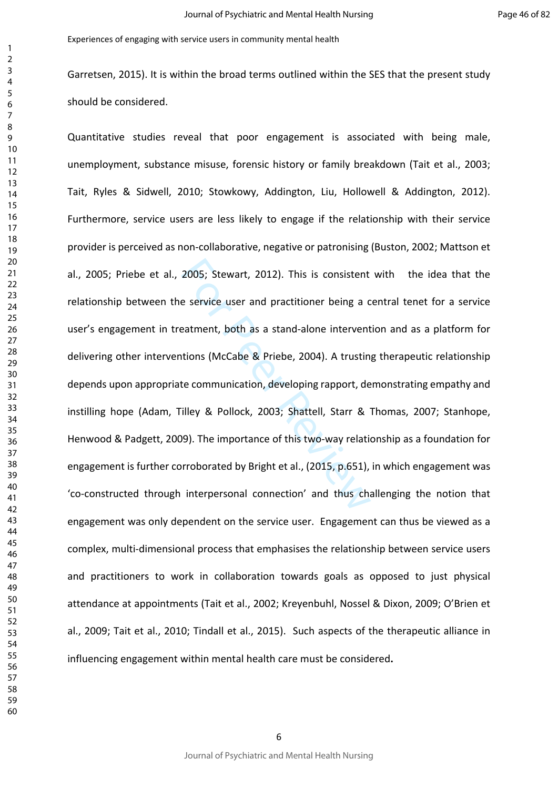Garretsen, 2015). It is within the broad terms outlined within the SES that the present study should be considered.

2005; Stewart, 2012). This is consistent<br>
e service user and practitioner being a c<br>
eatment, both as a stand-alone intervent<br>
tions (McCabe & Priebe, 2004). A trustin<br>
te communication, developing rapport, de<br>
illey & Pol Quantitative studies reveal that poor engagement is associated with being male, unemployment, substance misuse, forensic history or family breakdown (Tait et al., 2003; Tait, Ryles & Sidwell, 2010; Stowkowy, Addington, Liu, Hollowell & Addington, 2012). Furthermore, service users are less likely to engage if the relationship with their service provider is perceived as non-collaborative, negative or patronising (Buston, 2002; Mattson et al., 2005; Priebe et al., 2005; Stewart, 2012). This is consistent with the idea that the relationship between the service user and practitioner being a central tenet for a service user's engagement in treatment, both as a stand-alone intervention and as a platform for delivering other interventions (McCabe & Priebe, 2004). A trusting therapeutic relationship depends upon appropriate communication, developing rapport, demonstrating empathy and instilling hope (Adam, Tilley & Pollock, 2003; Shattell, Starr & Thomas, 2007; Stanhope, Henwood & Padgett, 2009). The importance of this two-way relationship as a foundation for engagement is further corroborated by Bright et al., (2015, p.651), in which engagement was 'co-constructed through interpersonal connection' and thus challenging the notion that engagement was only dependent on the service user. Engagement can thus be viewed as a complex, multi-dimensional process that emphasises the relationship between service users and practitioners to work in collaboration towards goals as opposed to just physical attendance at appointments (Tait et al., 2002; Kreyenbuhl, Nossel & Dixon, 2009; O'Brien et al., 2009; Tait et al., 2010; Tindall et al., 2015). Such aspects of the therapeutic alliance in influencing engagement within mental health care must be considered**.**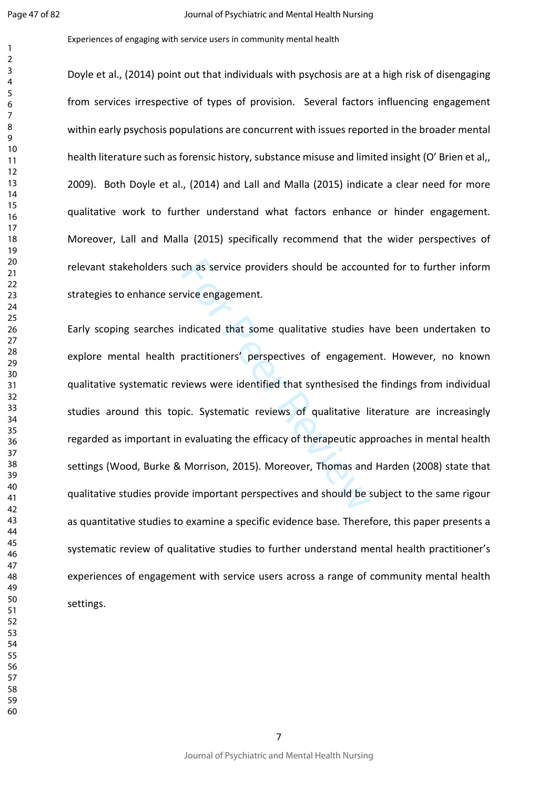Page 47 of 82

 $\mathbf{1}$  $\overline{2}$  $\overline{4}$  Experiences of engaging with service users in community mental health

Doyle et al., (2014) point out that individuals with psychosis are at a high risk of disengaging from services irrespective of types of provision. Several factors influencing engagement within early psychosis populations are concurrent with issues reported in the broader mental health literature such as forensic history, substance misuse and limited insight (O' Brien et al,, 2009). Both Doyle et al., (2014) and Lall and Malla (2015) indicate a clear need for more qualitative work to further understand what factors enhance or hinder engagement. Moreover, Lall and Malla (2015) specifically recommend that the wider perspectives of relevant stakeholders such as service providers should be accounted for to further inform strategies to enhance service engagement.

ch as service providers should be account<br>
intervice engagement.<br>
Indicated that some qualitative studies has<br>
practitioners' perspectives of engageme<br>
views were identified that synthesised th<br>
bic. Systematic reviews of Early scoping searches indicated that some qualitative studies have been undertaken to explore mental health practitioners' perspectives of engagement. However, no known qualitative systematic reviews were identified that synthesised the findings from individual studies around this topic. Systematic reviews of qualitative literature are increasingly regarded as important in evaluating the efficacy of therapeutic approaches in mental health settings (Wood, Burke & Morrison, 2015). Moreover, Thomas and Harden (2008) state that qualitative studies provide important perspectives and should be subject to the same rigour as quantitative studies to examine a specific evidence base. Therefore, this paper presents a systematic review of qualitative studies to further understand mental health practitioner's experiences of engagement with service users across a range of community mental health settings.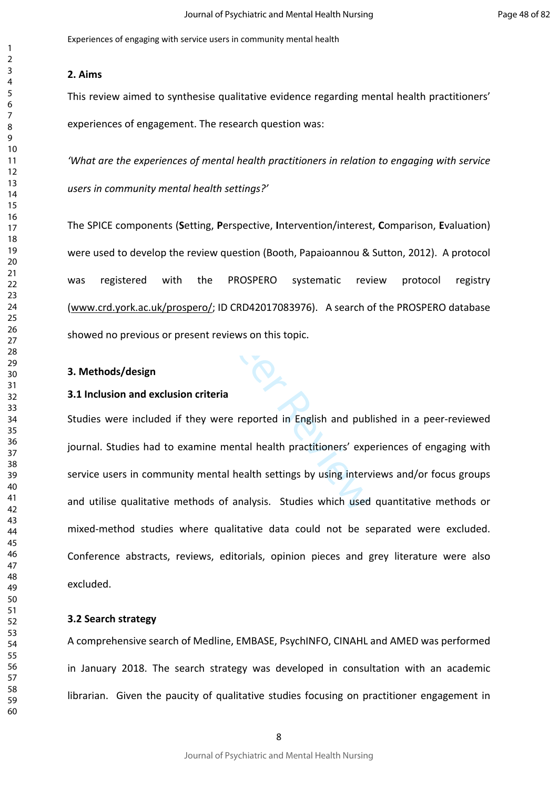#### **2. Aims**

This review aimed to synthesise qualitative evidence regarding mental health practitioners' experiences of engagement. The research question was:

*'What are the experiences of mental health practitioners in relation to engaging with service users in community mental health settings?'*

The SPICE components (**S**etting, **P**erspective, **I**ntervention/interest, **C**omparison, **E**valuation) were used to develop the review question (Booth, Papaioannou & Sutton, 2012). A protocol was registered with the PROSPERO systematic review protocol registry ([www.crd.york.ac.uk/prospero/;](http://www.crd.york.ac.uk/prospero/) ID CRD42017083976). A search of the PROSPERO database showed no previous or present reviews on this topic.

#### **3. Methods/design**

#### **3.1 Inclusion and exclusion criteria**

the PROSPERO systematic rev<br>
Spero/; ID CRD42017083976). A search c<br>
resent reviews on this topic.<br> **on criteria**<br>
they were reported in English and pub<br>
examine mental health practitioners' explity mental health settings Studies were included if they were reported in English and published in a peer-reviewed journal. Studies had to examine mental health practitioners' experiences of engaging with service users in community mental health settings by using interviews and/or focus groups and utilise qualitative methods of analysis. Studies which used quantitative methods or mixed-method studies where qualitative data could not be separated were excluded. Conference abstracts, reviews, editorials, opinion pieces and grey literature were also excluded.

#### **3.2 Search strategy**

A comprehensive search of Medline, EMBASE, PsychINFO, CINAHL and AMED was performed in January 2018. The search strategy was developed in consultation with an academic librarian. Given the paucity of qualitative studies focusing on practitioner engagement in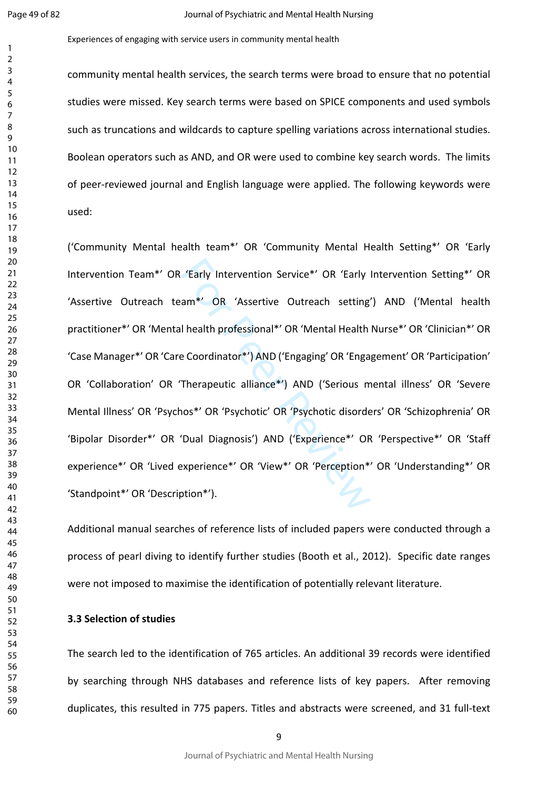$\mathbf{1}$  $\overline{2}$  $\overline{4}$  $\overline{7}$ 

Experiences of engaging with service users in community mental health

community mental health services, the search terms were broad to ensure that no potential studies were missed. Key search terms were based on SPICE components and used symbols such as truncations and wildcards to capture spelling variations across international studies. Boolean operators such as AND, and OR were used to combine key search words. The limits of peer-reviewed journal and English language were applied. The following keywords were used:

"Early Intervention Service\*" OR 'Early<br>am\*" OR 'Assertive Outreach setting"<br>I health professional\*" OR 'Mental Health<br>e Coordinator\*") AND ('Engaging' OR 'Enga<br>Therapeutic alliance\*") AND ('Serious m<br>nos\*" OR 'Psychotic' ('Community Mental health team\*' OR 'Community Mental Health Setting\*' OR 'Early Intervention Team\*' OR 'Early Intervention Service\*' OR 'Early Intervention Setting\*' OR 'Assertive Outreach team\*' OR 'Assertive Outreach setting') AND ('Mental health practitioner\*' OR 'Mental health professional\*' OR 'Mental Health Nurse\*' OR 'Clinician\*' OR 'Case Manager\*' OR 'Care Coordinator\*') AND ('Engaging' OR 'Engagement' OR 'Participation' OR 'Collaboration' OR 'Therapeutic alliance\*') AND ('Serious mental illness' OR 'Severe Mental Illness' OR 'Psychos\*' OR 'Psychotic' OR 'Psychotic disorders' OR 'Schizophrenia' OR 'Bipolar Disorder\*' OR 'Dual Diagnosis') AND ('Experience\*' OR 'Perspective\*' OR 'Staff experience\*' OR 'Lived experience\*' OR 'View\*' OR 'Perception\*' OR 'Understanding\*' OR 'Standpoint\*' OR 'Description\*').

Additional manual searches of reference lists of included papers were conducted through a process of pearl diving to identify further studies (Booth et al., 2012). Specific date ranges were not imposed to maximise the identification of potentially relevant literature.

#### **3.3 Selection of studies**

The search led to the identification of 765 articles. An additional 39 records were identified by searching through NHS databases and reference lists of key papers. After removing duplicates, this resulted in 775 papers. Titles and abstracts were screened, and 31 full-text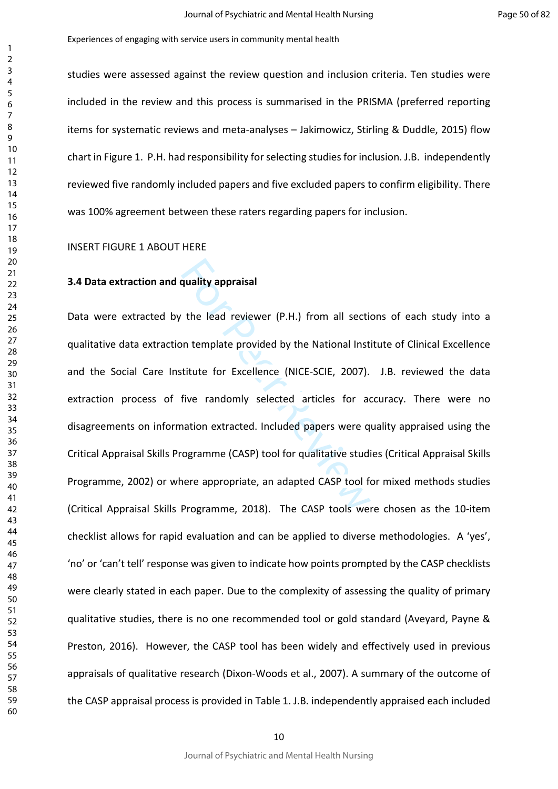studies were assessed against the review question and inclusion criteria. Ten studies were included in the review and this process is summarised in the PRISMA (preferred reporting items for systematic reviews and meta-analyses – Jakimowicz, Stirling & Duddle, 2015) flow chart in Figure 1. P.H. had responsibility for selecting studies for inclusion. J.B. independently reviewed five randomly included papers and five excluded papers to confirm eligibility. There was 100% agreement between these raters regarding papers for inclusion.

INSERT FIGURE 1 ABOUT HERE

### **3.4 Data extraction and quality appraisal**

quality appraisal<br>
the lead reviewer (P.H.) from all section<br>
template provided by the National Inst<br>
titute for Excellence (NICE-SCIE, 2007).<br>
five randomly selected articles for a<br>
titute or Excellence (NICE-SCIE, 2007). Data were extracted by the lead reviewer (P.H.) from all sections of each study into a qualitative data extraction template provided by the National Institute of Clinical Excellence and the Social Care Institute for Excellence (NICE-SCIE, 2007). J.B. reviewed the data extraction process of five randomly selected articles for accuracy. There were no disagreements on information extracted. Included papers were quality appraised using the Critical Appraisal Skills Programme (CASP) tool for qualitative studies (Critical Appraisal Skills Programme, 2002) or where appropriate, an adapted CASP tool for mixed methods studies (Critical Appraisal Skills Programme, 2018). The CASP tools were chosen as the 10-item checklist allows for rapid evaluation and can be applied to diverse methodologies. A 'yes', 'no' or 'can't tell' response was given to indicate how points prompted by the CASP checklists were clearly stated in each paper. Due to the complexity of assessing the quality of primary qualitative studies, there is no one recommended tool or gold standard (Aveyard, Payne & Preston, 2016). However, the CASP tool has been widely and effectively used in previous appraisals of qualitative research (Dixon-Woods et al., 2007). A summary of the outcome of the CASP appraisal process is provided in Table 1. J.B. independently appraised each included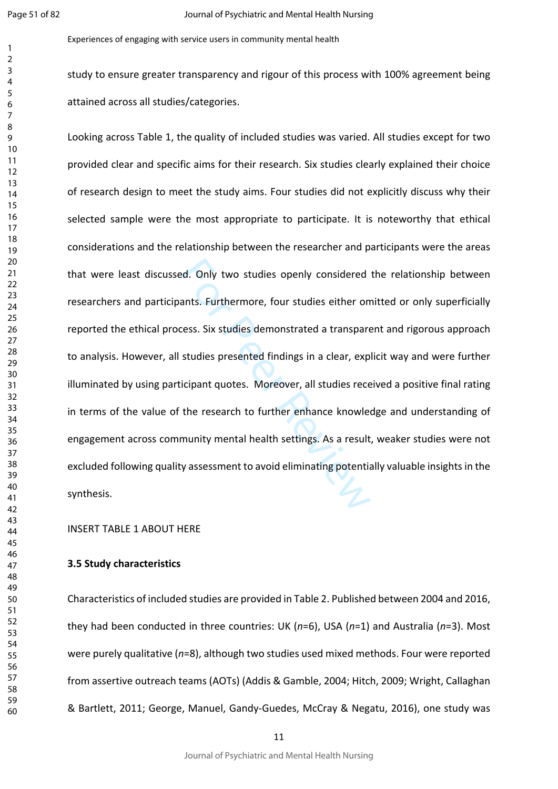Page 51 of 82

 $\mathbf{1}$  $\overline{2}$  $\overline{4}$  Experiences of engaging with service users in community mental health

study to ensure greater transparency and rigour of this process with 100% agreement being attained across all studies/categories.

red. Only two studies openly considered<br>ants. Furthermore, four studies either on<br>cess. Six studies demonstrated a transpare<br>studies presented findings in a clear, exp<br>icipant quotes. Moreover, all studies rece<br>the researc Looking across Table 1, the quality of included studies was varied. All studies except for two provided clear and specific aims for their research. Six studies clearly explained their choice of research design to meet the study aims. Four studies did not explicitly discuss why their selected sample were the most appropriate to participate. It is noteworthy that ethical considerations and the relationship between the researcher and participants were the areas that were least discussed. Only two studies openly considered the relationship between researchers and participants. Furthermore, four studies either omitted or only superficially reported the ethical process. Six studies demonstrated a transparent and rigorous approach to analysis. However, all studies presented findings in a clear, explicit way and were further illuminated by using participant quotes. Moreover, all studies received a positive final rating in terms of the value of the research to further enhance knowledge and understanding of engagement across community mental health settings. As a result, weaker studies were not excluded following quality assessment to avoid eliminating potentially valuable insights in the synthesis.

INSERT TABLE 1 ABOUT HERE

## **3.5 Study characteristics**

Characteristics of included studies are provided in Table 2. Published between 2004 and 2016, they had been conducted in three countries: UK ( *n*=6), USA ( *n*=1) and Australia ( *n*=3). Most were purely qualitative ( *n*=8), although two studies used mixed methods. Four were reported from assertive outreach teams (AOTs) (Addis & Gamble, 2004; Hitch, 2009; Wright, Callaghan & Bartlett, 2011; George, Manuel, Gandy-Guedes, McCray & Negatu, 2016), one study was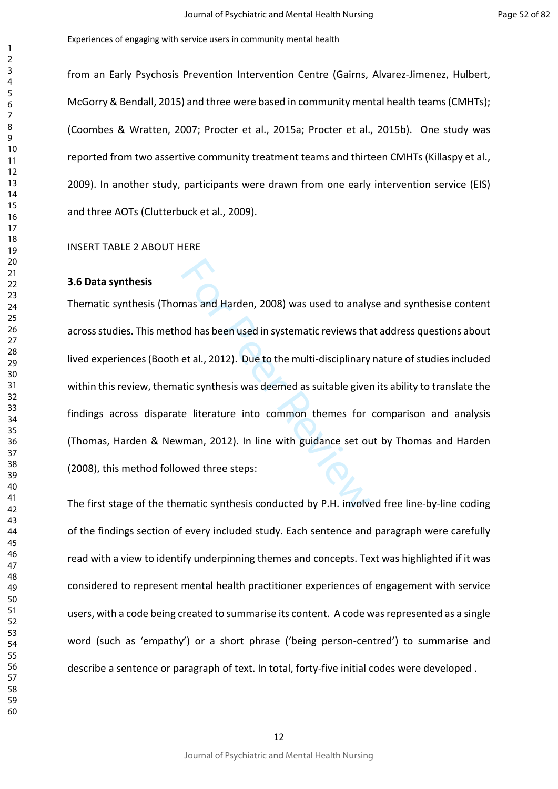from an Early Psychosis Prevention Intervention Centre (Gairns, Alvarez-Jimenez, Hulbert, McGorry & Bendall, 2015) and three were based in community mental health teams (CMHTs); (Coombes & Wratten, 2007; Procter et al., 2015a; Procter et al., 2015b). One study was reported from two assertive community treatment teams and thirteen CMHTs (Killaspy et al., 2009). In another study, participants were drawn from one early intervention service (EIS) and three AOTs (Clutterbuck et al., 2009).

INSERT TABLE 2 ABOUT HERE

#### **3.6 Data synthesis**

mas and Harden, 2008) was used to analy<br>od has been used in systematic reviews tha<br>et al., 2012). Due to the multi-disciplinary<br>tic synthesis was deemed as suitable given<br>re-literature into common themes for<br>man, 2012). In Thematic synthesis (Thomas and Harden, 2008) was used to analyse and synthesise content across studies. This method has been used in systematic reviews that address questions about lived experiences (Booth et al., 2012). Due to the multi-disciplinary nature of studies included within this review, thematic synthesis was deemed as suitable given its ability to translate the findings across disparate literature into common themes for comparison and analysis (Thomas, Harden & Newman, 2012). In line with guidance set out by Thomas and Harden (2008), this method followed three steps:

The first stage of the thematic synthesis conducted by P.H. involved free line-by-line coding of the findings section of every included study. Each sentence and paragraph were carefully read with a view to identify underpinning themes and concepts. Text was highlighted if it was considered to represent mental health practitioner experiences of engagement with service users, with a code being created to summarise its content. A code was represented as a single word (such as 'empathy') or a short phrase ('being person-centred') to summarise and describe a sentence or paragraph of text. In total, forty-five initial codes were developed .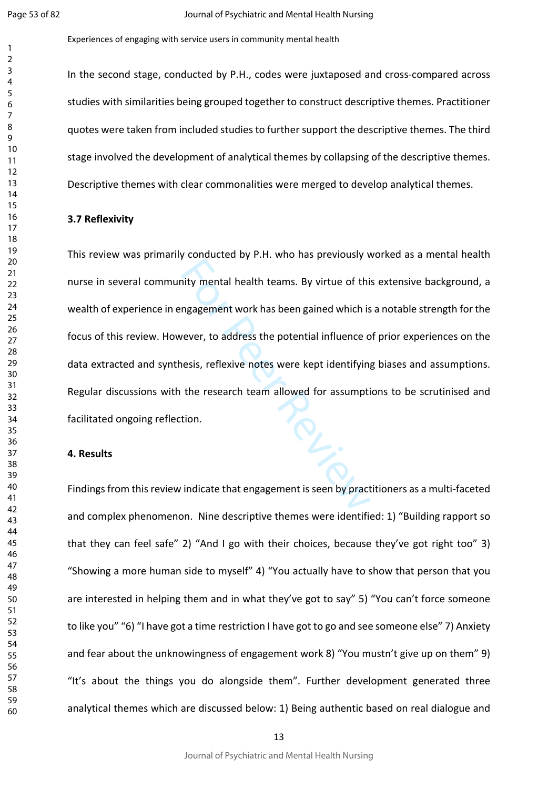Page 53 of 82

Experiences of engaging with service users in community mental health

In the second stage, conducted by P.H., codes were juxtaposed and cross-compared across studies with similarities being grouped together to construct descriptive themes. Practitioner quotes were taken from included studies to further support the descriptive themes. The third stage involved the development of analytical themes by collapsing of the descriptive themes. Descriptive themes with clear commonalities were merged to develop analytical themes.

#### **3.7 Reflexivity**

For Peer Review of the process of the magagement work has been gained which is<br>negagement work has been gained which is<br>nessis, reflexive notes were kept identifying<br>the research team allowed for assumption. This review was primarily conducted by P.H. who has previously worked as a mental health nurse in several community mental health teams. By virtue of this extensive background, a wealth of experience in engagement work has been gained which is a notable strength for the focus of this review. However, to address the potential influence of prior experiences on the data extracted and synthesis, reflexive notes were kept identifying biases and assumptions. Regular discussions with the research team allowed for assumptions to be scrutinised and facilitated ongoing reflection.

#### **4. Results**

Findings from this review indicate that engagement is seen by practitioners as a multi-faceted and complex phenomenon. Nine descriptive themes were identified: 1) "Building rapport so that they can feel safe" 2) "And I go with their choices, because they've got right too" 3) "Showing a more human side to myself" 4) "You actually have to show that person that you are interested in helping them and in what they've got to say" 5) "You can't force someone to like you" "6) "I have got a time restriction I have got to go and see someone else" 7) Anxiety and fear about the unknowingness of engagement work 8) "You mustn't give up on them" 9) "It's about the things you do alongside them". Further development generated three analytical themes which are discussed below: 1) Being authentic based on real dialogue and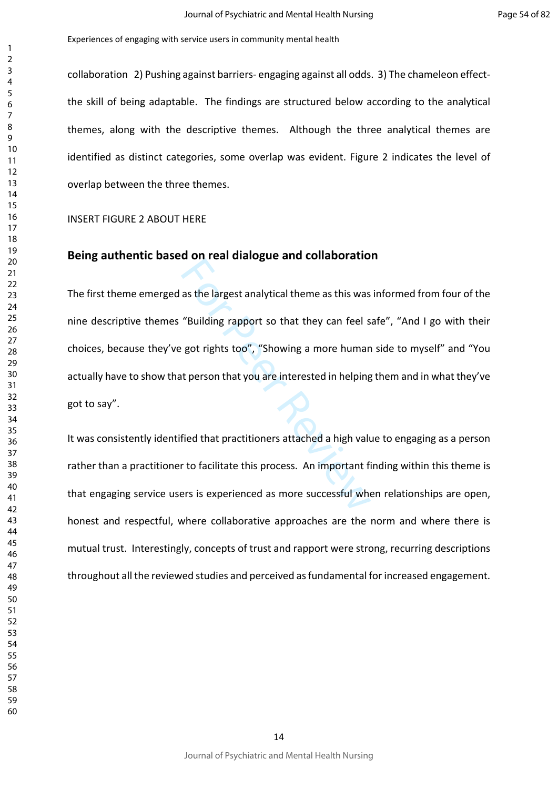collaboration 2) Pushing against barriers- engaging against all odds. 3) The chameleon effectthe skill of being adaptable. The findings are structured below according to the analytical themes, along with the descriptive themes. Although the three analytical themes are identified as distinct categories, some overlap was evident. Figure 2 indicates the level of overlap between the three themes.

INSERT FIGURE 2 ABOUT HERE

## **Being authentic based on real dialogue and collaboration**

a on it can allocate and conductate<br>as the largest analytical theme as this was<br>"Building rapport so that they can feel s<br>got rights too", "Showing a more human<br>at person that you are interested in helping<br>fied that practi The first theme emerged as the largest analytical theme as this was informed from four of the nine descriptive themes "Building rapport so that they can feel safe", "And I go with their choices, because they've got rights too", "Showing a more human side to myself" and "You actually have to show that person that you are interested in helping them and in what they've got to say".

It was consistently identified that practitioners attached a high value to engaging as a person rather than a practitioner to facilitate this process. An important finding within this theme is that engaging service users is experienced as more successful when relationships are open, honest and respectful, where collaborative approaches are the norm and where there is mutual trust. Interestingly, concepts of trust and rapport were strong, recurring descriptions throughout all the reviewed studies and perceived as fundamental for increased engagement.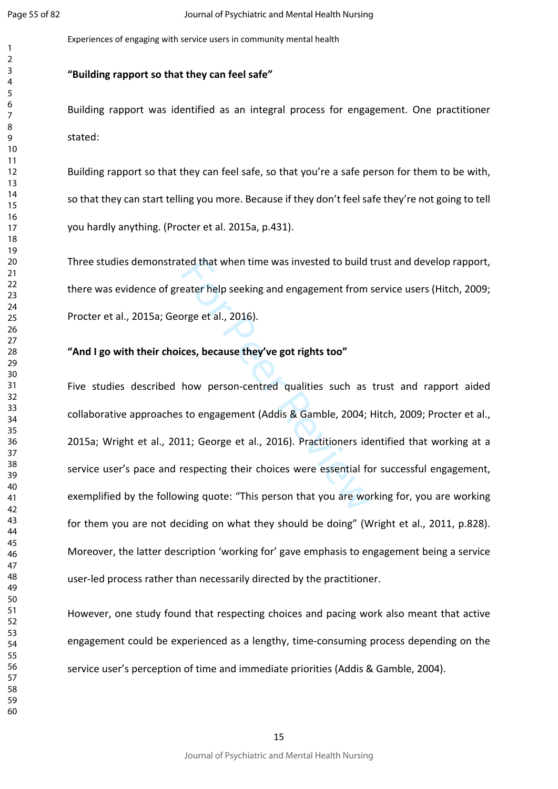$\mathbf{1}$  $\overline{2}$  $\overline{4}$  $\overline{7}$  Experiences of engaging with service users in community mental health

#### **"Building rapport so that they can feel safe"**

Building rapport was identified as an integral process for engagement. One practitioner stated:

Building rapport so that they can feel safe, so that you're a safe person for them to be with, so that they can start telling you more. Because if they don't feel safe they're not going to tell you hardly anything. (Procter et al. 2015a, p.431).

Three studies demonstrated that when time was invested to build trust and develop rapport, there was evidence of greater help seeking and engagement from service users (Hitch, 2009; Procter et al., 2015a; George et al., 2016).

#### **"And I go with their choices, because they've got rights too"**

ted that when time was invested to build<br>
eater help seeking and engagement from<br>
orge et al., 2016).<br> **ces, because they've got rights too"**<br>
how person-centred qualities such as<br>
s to engagement (Addis & Gamble, 2004;<br>
1 Five studies described how person-centred qualities such as trust and rapport aided collaborative approaches to engagement (Addis & Gamble, 2004; Hitch, 2009; Procter et al., 2015a; Wright et al., 2011; George et al., 2016). Practitioners identified that working at a service user's pace and respecting their choices were essential for successful engagement, exemplified by the following quote: "This person that you are working for, you are working for them you are not deciding on what they should be doing" (Wright et al., 2011, p.828). Moreover, the latter description 'working for' gave emphasis to engagement being a service user-led process rather than necessarily directed by the practitioner.

However, one study found that respecting choices and pacing work also meant that active engagement could be experienced as a lengthy, time-consuming process depending on the service user's perception of time and immediate priorities (Addis & Gamble, 2004).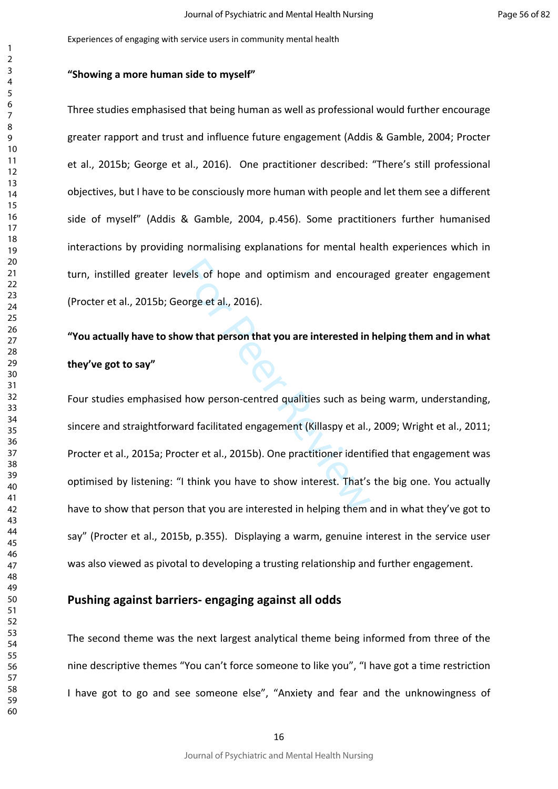#### **"Showing a more human side to myself"**

Three studies emphasised that being human as well as professional would further encourage greater rapport and trust and influence future engagement (Addis & Gamble, 2004; Procter et al., 2015b; George et al., 2016). One practitioner described: "There's still professional objectives, but I have to be consciously more human with people and let them see a different side of myself" (Addis & Gamble, 2004, p.456). Some practitioners further humanised interactions by providing normalising explanations for mental health experiences which in turn, instilled greater levels of hope and optimism and encouraged greater engagement (Procter et al., 2015b; George et al., 2016).

## **"You actually have to show that person that you are interested in helping them and in what they've got to say"**

vels of hope and optimism and encoura<br>
orge et al., 2016).<br> **Solution is ally convert to the interested in**<br>
I how person-centred qualities such as be<br>
ard facilitated engagement (Killaspy et al.,<br>
cter et al., 2015b). One Four studies emphasised how person-centred qualities such as being warm, understanding, sincere and straightforward facilitated engagement (Killaspy et al., 2009; Wright et al., 2011; Procter et al., 2015a; Procter et al., 2015b). One practitioner identified that engagement was optimised by listening: "I think you have to show interest. That's the big one. You actually have to show that person that you are interested in helping them and in what they've got to say" (Procter et al., 2015b, p.355). Displaying a warm, genuine interest in the service user was also viewed as pivotal to developing a trusting relationship and further engagement.

## **Pushing against barriers- engaging against all odds**

The second theme was the next largest analytical theme being informed from three of the nine descriptive themes "You can't force someone to like you", "I have got a time restriction I have got to go and see someone else", "Anxiety and fear and the unknowingness of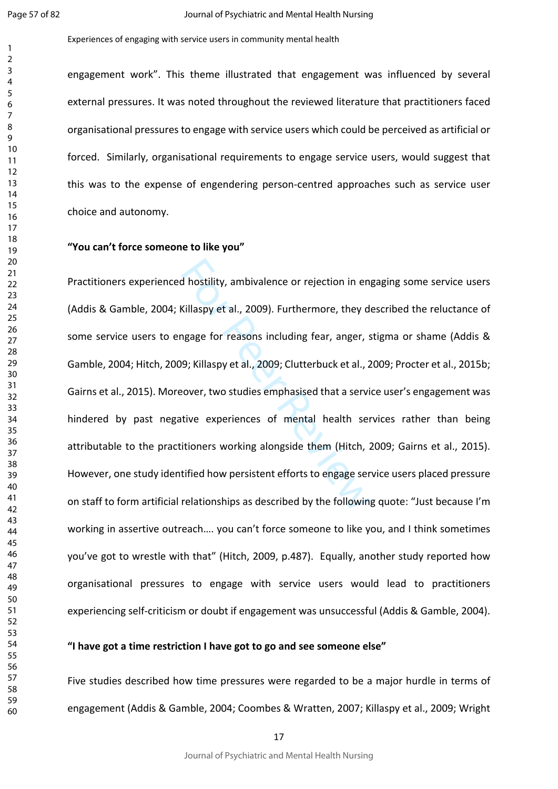$\mathbf{1}$  $\overline{2}$  $\overline{4}$  $\overline{7}$ 

Experiences of engaging with service users in community mental health

engagement work". This theme illustrated that engagement was influenced by several external pressures. It was noted throughout the reviewed literature that practitioners faced organisational pressures to engage with service users which could be perceived as artificial or forced. Similarly, organisational requirements to engage service users, would suggest that this was to the expense of engendering person-centred approaches such as service user choice and autonomy.

#### **"You can't force someone to like you"**

d hostility, ambivalence or rejection in en<br>Killaspy et al., 2009). Furthermore, they d<br>ngage for reasons including fear, anger, s<br>99; Killaspy et al., 2009; Clutterbuck et al., 2<br>eover, two studies emphasised that a servi Practitioners experienced hostility, ambivalence or rejection in engaging some service users (Addis & Gamble, 2004; Killaspy et al., 2009). Furthermore, they described the reluctance of some service users to engage for reasons including fear, anger, stigma or shame (Addis & Gamble, 2004; Hitch, 2009; Killaspy et al., 2009; Clutterbuck et al., 2009; Procter et al., 2015b; Gairns et al., 2015). Moreover, two studies emphasised that a service user's engagement was hindered by past negative experiences of mental health services rather than being attributable to the practitioners working alongside them (Hitch, 2009; Gairns et al., 2015). However, one study identified how persistent efforts to engage service users placed pressure on staff to form artificial relationships as described by the following quote: "Just because I'm working in assertive outreach…. you can't force someone to like you, and I think sometimes you've got to wrestle with that" (Hitch, 2009, p.487). Equally, another study reported how organisational pressures to engage with service users would lead to practitioners experiencing self-criticism or doubt if engagement was unsuccessful (Addis & Gamble, 2004).

#### **"I have got a time restriction I have got to go and see someone else"**

Five studies described how time pressures were regarded to be a major hurdle in terms of engagement (Addis & Gamble, 2004; Coombes & Wratten, 2007; Killaspy et al., 2009; Wright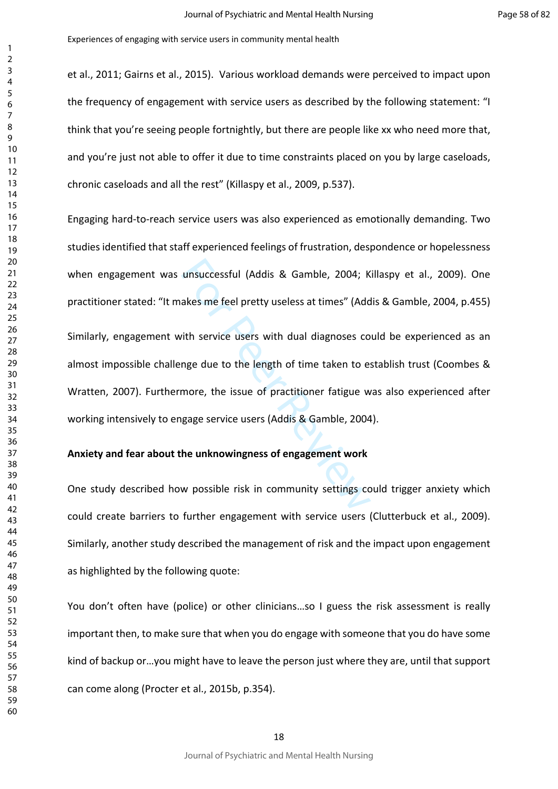et al., 2011; Gairns et al., 2015). Various workload demands were perceived to impact upon the frequency of engagement with service users as described by the following statement: "I think that you're seeing people fortnightly, but there are people like xx who need more that, and you're just not able to offer it due to time constraints placed on you by large caseloads, chronic caseloads and all the rest" (Killaspy et al., 2009, p.537).

unsuccessful (Addis & Gamble, 2004; K<br>akes me feel pretty useless at times" (Add<br>ith service users with dual diagnoses co<br>nge due to the length of time taken to e:<br>more, the issue of practitioner fatigue w<br>gage service use Engaging hard-to-reach service users was also experienced as emotionally demanding. Two studies identified that staff experienced feelings of frustration, despondence or hopelessness when engagement was unsuccessful (Addis & Gamble, 2004; Killaspy et al., 2009). One practitioner stated: "It makes me feel pretty useless at times" (Addis & Gamble, 2004, p.455) Similarly, engagement with service users with dual diagnoses could be experienced as an almost impossible challenge due to the length of time taken to establish trust (Coombes & Wratten, 2007). Furthermore, the issue of practitioner fatigue was also experienced after working intensively to engage service users (Addis & Gamble, 2004).

#### **Anxiety and fear about the unknowingness of engagement work**

One study described how possible risk in community settings could trigger anxiety which could create barriers to further engagement with service users (Clutterbuck et al., 2009). Similarly, another study described the management of risk and the impact upon engagement as highlighted by the following quote:

You don't often have (police) or other clinicians...so I guess the risk assessment is really important then, to make sure that when you do engage with someone that you do have some kind of backup or…you might have to leave the person just where they are, until that support can come along (Procter et al., 2015b, p.354).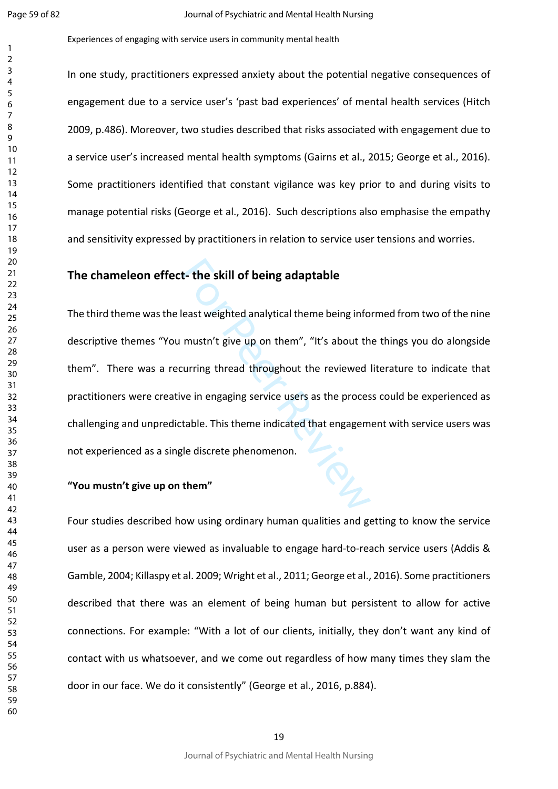$\mathbf{1}$  $\overline{2}$  Experiences of engaging with service users in community mental health

In one study, practitioners expressed anxiety about the potential negative consequences of engagement due to a service user's 'past bad experiences' of mental health services (Hitch 2009, p.486). Moreover, two studies described that risks associated with engagement due to a service user's increased mental health symptoms (Gairns et al., 2015; George et al., 2016). Some practitioners identified that constant vigilance was key prior to and during visits to manage potential risks (George et al., 2016). Such descriptions also emphasise the empathy and sensitivity expressed by practitioners in relation to service user tensions and worries.

## **The chameleon effect- the skill of being adaptable**

t- the skill of being adaptable<br>least weighted analytical theme being info<br>mustn't give up on them", "It's about th<br>curring thread throughout the reviewed<br>we in engaging service users as the proces<br>table. This theme indica The third theme was the least weighted analytical theme being informed from two of the nine descriptive themes "You mustn't give up on them", "It's about the things you do alongside them". There was a recurring thread throughout the reviewed literature to indicate that practitioners were creative in engaging service users as the process could be experienced as challenging and unpredictable. This theme indicated that engagement with service users was not experienced as a single discrete phenomenon.

#### **"You mustn't give up on them"**

Four studies described how using ordinary human qualities and getting to know the service user as a person were viewed as invaluable to engage hard-to-reach service users (Addis & Gamble, 2004; Killaspy et al. 2009; Wright et al., 2011; George et al., 2016). Some practitioners described that there was an element of being human but persistent to allow for active connections. For example: "With a lot of our clients, initially, they don't want any kind of contact with us whatsoever, and we come out regardless of how many times they slam the door in our face. We do it consistently" (George et al., 2016, p.884).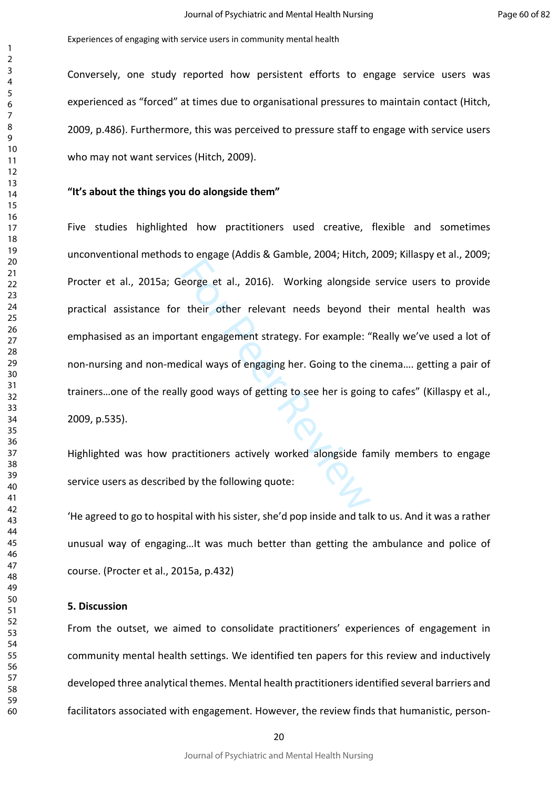Conversely, one study reported how persistent efforts to engage service users was experienced as "forced" at times due to organisational pressures to maintain contact (Hitch, 2009, p.486). Furthermore, this was perceived to pressure staff to engage with service users who may not want services (Hitch, 2009).

#### **"It's about the things you do alongside them"**

eorge et al., 2016). Working alongside<br>their other relevant needs beyond t<br>tant engagement strategy. For example: "<br>dical ways of engaging her. Going to the ely<br>good ways of getting to see her is goin<br>actitioners actively Five studies highlighted how practitioners used creative, flexible and sometimes unconventional methods to engage (Addis & Gamble, 2004; Hitch, 2009; Killaspy et al., 2009; Procter et al., 2015a; George et al., 2016). Working alongside service users to provide practical assistance for their other relevant needs beyond their mental health was emphasised as an important engagement strategy. For example: "Really we've used a lot of non-nursing and non-medical ways of engaging her. Going to the cinema…. getting a pair of trainers…one of the really good ways of getting to see her is going to cafes" (Killaspy et al., 2009, p.535).

Highlighted was how practitioners actively worked alongside family members to engage service users as described by the following quote:

'He agreed to go to hospital with his sister, she'd pop inside and talk to us. And it was a rather unusual way of engaging…It was much better than getting the ambulance and police of course. (Procter et al., 2015a, p.432)

#### **5. Discussion**

From the outset, we aimed to consolidate practitioners' experiences of engagement in community mental health settings. We identified ten papers for this review and inductively developed three analytical themes. Mental health practitioners identified several barriers and facilitators associated with engagement. However, the review finds that humanistic, person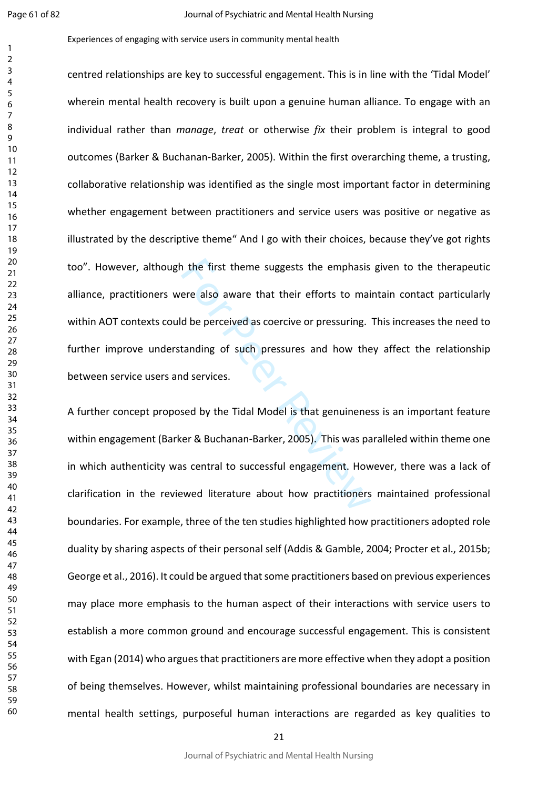Page 61 of 82

 $\mathbf{1}$  $\overline{2}$  $\overline{4}$  $\overline{7}$ 

Experiences of engaging with service users in community mental health

The first theme suggests the emphasis<br>
ere also aware that their efforts to main<br>
d be perceived as coercive or pressuring.<br>
tanding of such pressures and how the<br>
d services.<br>
sed by the Tidal Model is that genuinene<br>
er centred relationships are key to successful engagement. This is in line with the 'Tidal Model' wherein mental health recovery is built upon a genuine human alliance. To engage with an individual rather than *manage*, *treat* or otherwise *fix* their problem is integral to good outcomes (Barker & Buchanan-Barker, 2005). Within the first overarching theme, a trusting, collaborative relationship was identified as the single most important factor in determining whether engagement between practitioners and service users was positive or negative as illustrated by the descriptive theme" And I go with their choices, because they've got rights too". However, although the first theme suggests the emphasis given to the therapeutic alliance, practitioners were also aware that their efforts to maintain contact particularly within AOT contexts could be perceived as coercive or pressuring. This increases the need to further improve understanding of such pressures and how they affect the relationship between service users and services.

A further concept proposed by the Tidal Model is that genuineness is an important feature within engagement (Barker & Buchanan-Barker, 2005). This was paralleled within theme one in which authenticity was central to successful engagement. However, there was a lack of clarification in the reviewed literature about how practitioners maintained professional boundaries. For example, three of the ten studies highlighted how practitioners adopted role duality by sharing aspects of their personal self (Addis & Gamble, 2004; Procter et al., 2015b; George et al., 2016). It could be argued that some practitioners based on previous experiences may place more emphasis to the human aspect of their interactions with service users to establish a more common ground and encourage successful engagement. This is consistent with Egan (2014) who argues that practitioners are more effective when they adopt a position of being themselves. However, whilst maintaining professional boundaries are necessary in mental health settings, purposeful human interactions are regarded as key qualities to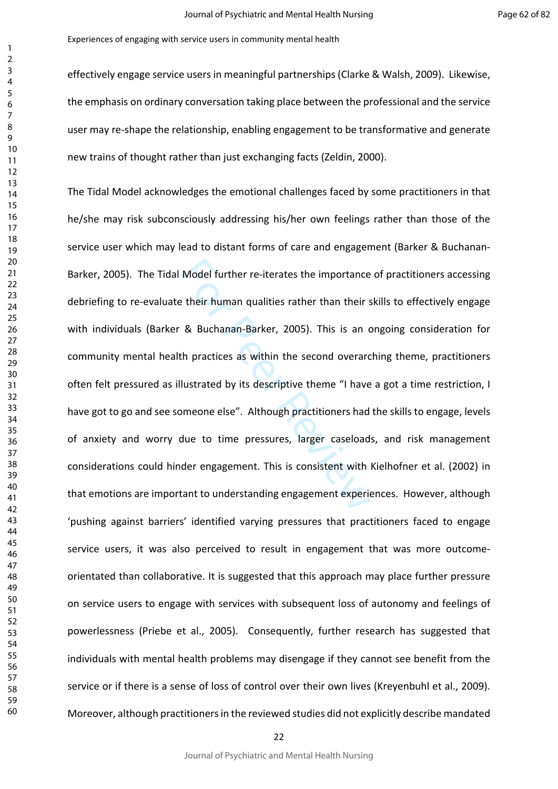effectively engage service users in meaningful partnerships (Clarke & Walsh, 2009). Likewise, the emphasis on ordinary conversation taking place between the professional and the service user may re-shape the relationship, enabling engagement to be transformative and generate new trains of thought rather than just exchanging facts (Zeldin, 2000).

Model further re-iterates the importance<br>
experience their human qualities rather than their<br>
& Buchanan-Barker, 2005). This is an c<br>
th practices as within the second overarc<br>
lustrated by its descriptive theme "I have<br>
o The Tidal Model acknowledges the emotional challenges faced by some practitioners in that he/she may risk subconsciously addressing his/her own feelings rather than those of the service user which may lead to distant forms of care and engagement (Barker & Buchanan-Barker, 2005). The Tidal Model further re-iterates the importance of practitioners accessing debriefing to re-evaluate their human qualities rather than their skills to effectively engage with individuals (Barker & Buchanan-Barker, 2005). This is an ongoing consideration for community mental health practices as within the second overarching theme, practitioners often felt pressured as illustrated by its descriptive theme "I have a got a time restriction, I have got to go and see someone else". Although practitioners had the skills to engage, levels of anxiety and worry due to time pressures, larger caseloads, and risk management considerations could hinder engagement. This is consistent with Kielhofner et al. (2002) in that emotions are important to understanding engagement experiences. However, although 'pushing against barriers' identified varying pressures that practitioners faced to engage service users, it was also perceived to result in engagement that was more outcomeorientated than collaborative. It is suggested that this approach may place further pressure on service users to engage with services with subsequent loss of autonomy and feelings of powerlessness (Priebe et al., 2005). Consequently, further research has suggested that individuals with mental health problems may disengage if they cannot see benefit from the service or if there is a sense of loss of control over their own lives (Kreyenbuhl et al., 2009). Moreover, although practitioners in the reviewed studies did not explicitly describe mandated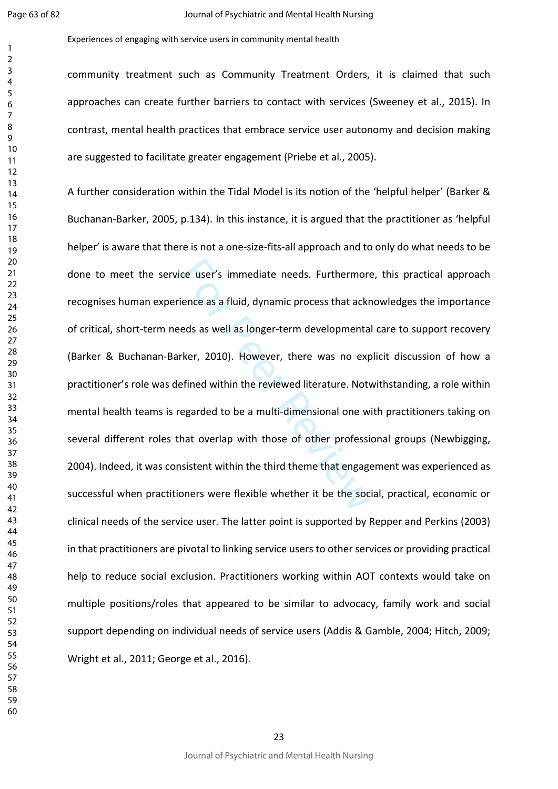Page 63 of 82

 $\mathbf{1}$  $\overline{2}$  $\overline{4}$  $\overline{7}$ 

Experiences of engaging with service users in community mental health

community treatment such as Community Treatment Orders, it is claimed that such approaches can create further barriers to contact with services (Sweeney et al., 2015). In contrast, mental health practices that embrace service user autonomy and decision making are suggested to facilitate greater engagement (Priebe et al., 2005).

ce user's immediate needs. Furthermore<br>
ience as a fluid, dynamic process that ackr<br>
eds as well as longer-term developmenta<br>
rker, 2010). However, there was no exp<br>
efined within the reviewed literature. Not<br>
egarded to b A further consideration within the Tidal Model is its notion of the 'helpful helper' (Barker & Buchanan-Barker, 2005, p.134). In this instance, it is argued that the practitioner as 'helpful helper' is aware that there is not a one-size-fits-all approach and to only do what needs to be done to meet the service user's immediate needs. Furthermore, this practical approach recognises human experience as a fluid, dynamic process that acknowledges the importance of critical, short-term needs as well as longer-term developmental care to support recovery (Barker & Buchanan-Barker, 2010). However, there was no explicit discussion of how a practitioner's role was defined within the reviewed literature. Notwithstanding, a role within mental health teams is regarded to be a multi-dimensional one with practitioners taking on several different roles that overlap with those of other professional groups (Newbigging, 2004). Indeed, it was consistent within the third theme that engagement was experienced as successful when practitioners were flexible whether it be the social, practical, economic or clinical needs of the service user. The latter point is supported by Repper and Perkins (2003) in that practitioners are pivotal to linking service users to other services or providing practical help to reduce social exclusion. Practitioners working within AOT contexts would take on multiple positions/roles that appeared to be similar to advocacy, family work and social support depending on individual needs of service users (Addis & Gamble, 2004; Hitch, 2009; Wright et al., 2011; George et al., 2016).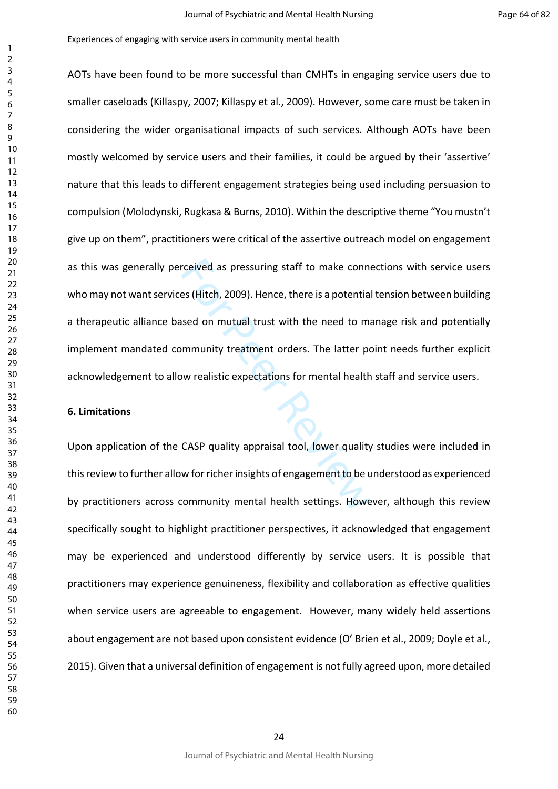rceived as pressuring staff to make conners (Hitch, 2009). Hence, there is a potentiansed on mutual trust with the need to maximum<br>sed on mutual trust with the need to maximum<br>the move realistic expectations for mental hea AOTs have been found to be more successful than CMHTs in engaging service users due to smaller caseloads (Killaspy, 2007; Killaspy et al., 2009). However, some care must be taken in considering the wider organisational impacts of such services. Although AOTs have been mostly welcomed by service users and their families, it could be argued by their 'assertive' nature that this leads to different engagement strategies being used including persuasion to compulsion (Molodynski, Rugkasa & Burns, 2010). Within the descriptive theme "You mustn't give up on them", practitioners were critical of the assertive outreach model on engagement as this was generally perceived as pressuring staff to make connections with service users who may not want services (Hitch, 2009). Hence, there is a potential tension between building a therapeutic alliance based on mutual trust with the need to manage risk and potentially implement mandated community treatment orders. The latter point needs further explicit acknowledgement to allow realistic expectations for mental health staff and service users.

#### **6. Limitations**

Upon application of the CASP quality appraisal tool, lower quality studies were included in this review to further allow for richer insights of engagement to be understood as experienced by practitioners across community mental health settings. However, although this review specifically sought to highlight practitioner perspectives, it acknowledged that engagement may be experienced and understood differently by service users. It is possible that practitioners may experience genuineness, flexibility and collaboration as effective qualities when service users are agreeable to engagement. However, many widely held assertions about engagement are not based upon consistent evidence (O' Brien et al., 2009; Doyle et al., 2015). Given that a universal definition of engagement is not fully agreed upon, more detailed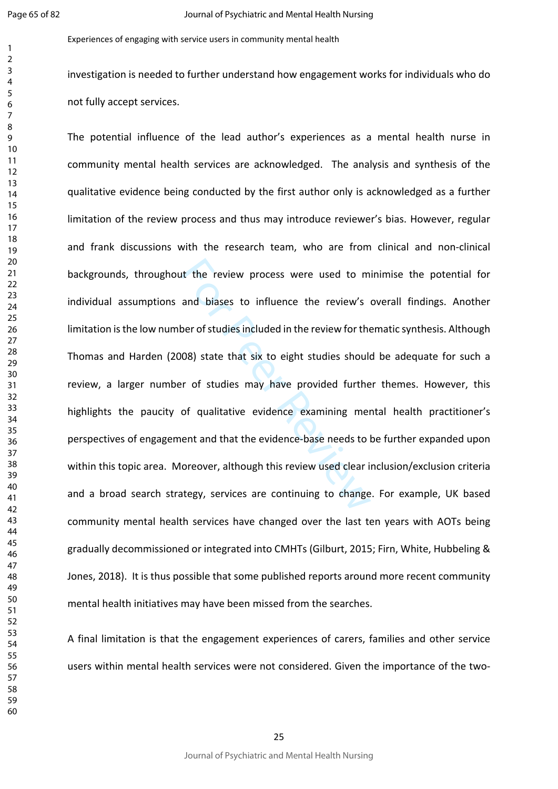$\mathbf{1}$  $\overline{2}$  Experiences of engaging with service users in community mental health

investigation is needed to further understand how engagement works for individuals who do not fully accept services.

It the review process were used to m<br>and biases to influence the review's<br>ber of studies included in the review for the<br>08) state that six to eight studies should<br>r of studies may have provided furthe<br>of qualitative eviden The potential influence of the lead author's experiences as a mental health nurse in community mental health services are acknowledged. The analysis and synthesis of the qualitative evidence being conducted by the first author only is acknowledged as a further limitation of the review process and thus may introduce reviewer's bias. However, regular and frank discussions with the research team, who are from clinical and non-clinical backgrounds, throughout the review process were used to minimise the potential for individual assumptions and biases to influence the review's overall findings. Another limitation is the low number of studies included in the review for thematic synthesis. Although Thomas and Harden (2008) state that six to eight studies should be adequate for such a review, a larger number of studies may have provided further themes. However, this highlights the paucity of qualitative evidence examining mental health practitioner's perspectives of engagement and that the evidence-base needs to be further expanded upon within this topic area. Moreover, although this review used clear inclusion/exclusion criteria and a broad search strategy, services are continuing to change. For example, UK based community mental health services have changed over the last ten years with AOTs being gradually decommissioned or integrated into CMHTs (Gilburt, 2015; Firn, White, Hubbeling & Jones, 2018). It is thus possible that some published reports around more recent community mental health initiatives may have been missed from the searches.

A final limitation is that the engagement experiences of carers, families and other service users within mental health services were not considered. Given the importance of the two-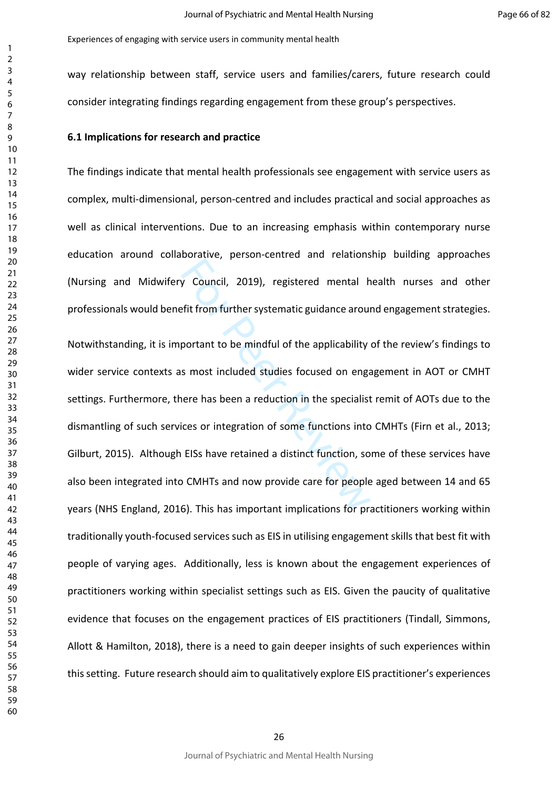way relationship between staff, service users and families/carers, future research could consider integrating findings regarding engagement from these group's perspectives.

#### **6.1 Implications for research and practice**

between the systematic guidance arous<br>portant to be mindful of the applicability<br>s most included studies focused on engancer has been a reduction in the specialist<br>ices or integration of some functions into<br>EISs have retai The findings indicate that mental health professionals see engagement with service users as complex, multi-dimensional, person-centred and includes practical and social approaches as well as clinical interventions. Due to an increasing emphasis within contemporary nurse education around collaborative, person-centred and relationship building approaches (Nursing and Midwifery Council, 2019), registered mental health nurses and other professionals would benefit from further systematic guidance around engagement strategies. Notwithstanding, it is important to be mindful of the applicability of the review's findings to wider service contexts as most included studies focused on engagement in AOT or CMHT settings. Furthermore, there has been a reduction in the specialist remit of AOTs due to the dismantling of such services or integration of some functions into CMHTs (Firn et al., 2013; Gilburt, 2015). Although EISs have retained a distinct function, some of these services have

also been integrated into CMHTs and now provide care for people aged between 14 and 65 years (NHS England, 2016). This has important implications for practitioners working within traditionally youth-focused services such as EIS in utilising engagement skills that best fit with people of varying ages. Additionally, less is known about the engagement experiences of practitioners working within specialist settings such as EIS. Given the paucity of qualitative evidence that focuses on the engagement practices of EIS practitioners (Tindall, Simmons, Allott & Hamilton, 2018), there is a need to gain deeper insights of such experiences within this setting. Future research should aim to qualitatively explore EIS practitioner's experiences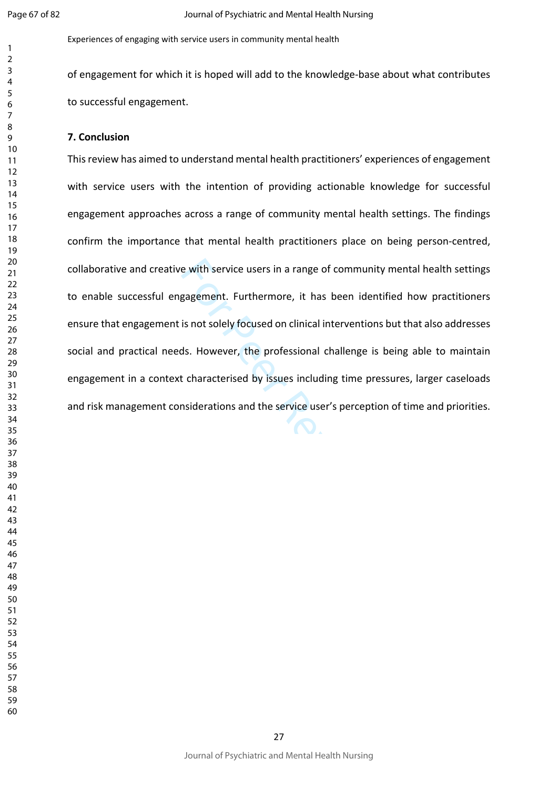$\mathbf{1}$ 

Experiences of engaging with service users in community mental health

of engagement for which it is hoped will add to the knowledge-base about what contributes to successful engagement.

#### **7. Conclusion**

e with service users in a range of commund<br>gagement. Furthermore, it has been ide<br>is not solely focused on clinical interventic<br>ds. However, the professional challenge<br>t characterised by issues including time p<br>nsideration This review has aimed to understand mental health practitioners' experiences of engagement with service users with the intention of providing actionable knowledge for successful engagement approaches across a range of community mental health settings. The findings confirm the importance that mental health practitioners place on being person-centred, collaborative and creative with service users in a range of community mental health settings to enable successful engagement. Furthermore, it has been identified how practitioners ensure that engagement is not solely focused on clinical interventions but that also addresses social and practical needs. However, the professional challenge is being able to maintain engagement in a context characterised by issues including time pressures, larger caseloads and risk management considerations and the service user's perception of time and priorities.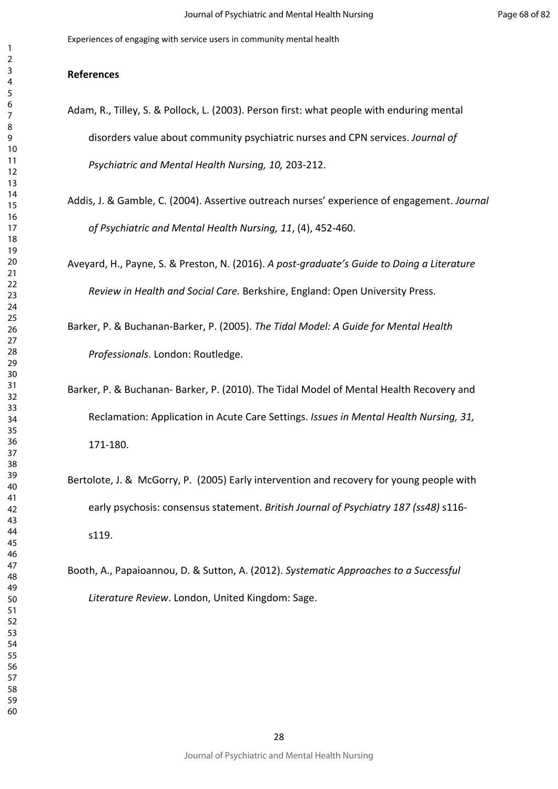#### **References**

- Adam, R., Tilley, S. & Pollock, L. (2003). Person first: what people with enduring mental disorders value about community psychiatric nurses and CPN services. *Journal of Psychiatric and Mental Health Nursing, 10,* 203-212.
- Addis, J. & Gamble, C. (2004). Assertive outreach nurses' experience of engagement. *Journal of Psychiatric and Mental Health Nursing, 11*, (4), 452-460.
- Aveyard, H., Payne, S. & Preston, N. (2016). *A post-graduate's Guide to Doing a Literature Review in Health and Social Care.* Berkshire, England: Open University Press.
- Barker, P. & Buchanan-Barker, P. (2005). *The Tidal Model: A Guide for Mental Health Professionals*. London: Routledge.
- Preston, N. (2016). *A post-graduate's Guid*<br>*d Social Care.* Berkshire, England: Open Ur<br>arker, P. (2005). *The Tidal Model: A Guide*<br>m: Routledge.<br>arker, P. (2010). The Tidal Model of Ment.<br>ation in Acute Care Settings. Barker, P. & Buchanan- Barker, P. (2010). The Tidal Model of Mental Health Recovery and Reclamation: Application in Acute Care Settings. *Issues in Mental Health Nursing, 31,* 171-180.
- Bertolote, J. & McGorry, P. (2005) Early intervention and recovery for young people with early psychosis: consensus statement. *British Journal of Psychiatry 187 (ss48)* s116 s119.
- Booth, A., Papaioannou, D. & Sutton, A. (2012). *Systematic Approaches to a Successful Literature Review*. London, United Kingdom: Sage.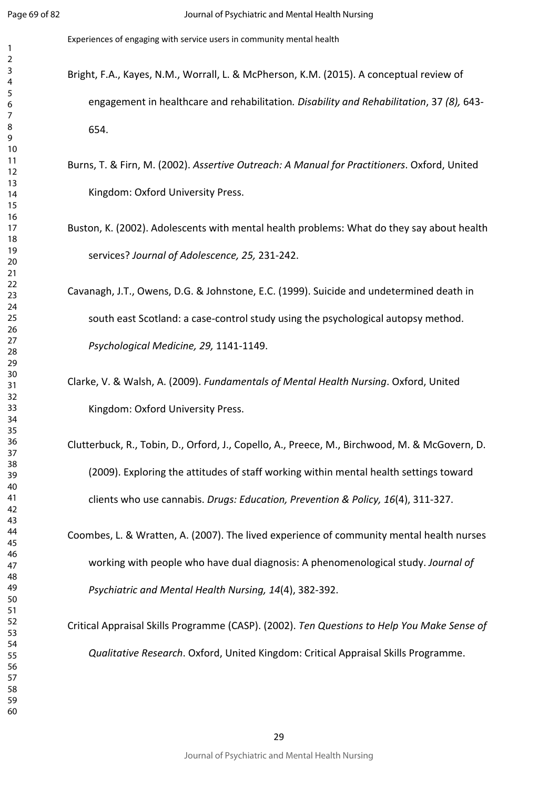- Bright, F.A., Kayes, N.M., Worrall, L. & McPherson, K.M. (2015). A conceptual review of engagement in healthcare and rehabilitation*. Disability and Rehabilitation*, 37 *(8),* 643- 654.
- Burns, T. & Firn, M. (2002). *Assertive Outreach: A Manual for Practitioners*. Oxford, United Kingdom: Oxford University Press.
- Buston, K. (2002). Adolescents with mental health problems: What do they say about health services? *Journal of Adolescence, 25,* 231-242.

C. G. & Johnstone, E.C. (1999). Suicide and u<br>a case-control study using the psychologi<br>ine, 29, 1141-1149.<br>D. Fundamentals of Mental Health Nurs<br>iversity Press.<br>, Orford, J., Copello, A., Preece, M., Birchy<br>e attitudes of Cavanagh, J.T., Owens, D.G. & Johnstone, E.C. (1999). Suicide and undetermined death in south east Scotland: a case-control study using the psychological autopsy method. *Psychological Medicine, 29,* 1141-1149.

- Clarke, V. & Walsh, A. (2009). *Fundamentals of Mental Health Nursing*. Oxford, United Kingdom: Oxford University Press.
- Clutterbuck, R., Tobin, D., Orford, J., Copello, A., Preece, M., Birchwood, M. & McGovern, D. (2009). Exploring the attitudes of staff working within mental health settings toward clients who use cannabis. *Drugs: Education, Prevention & Policy, 16*(4), 311-327.
- Coombes, L. & Wratten, A. (2007). The lived experience of community mental health nurses working with people who have dual diagnosis: A phenomenological study. *Journal of Psychiatric and Mental Health Nursing, 14*(4), 382-392.

Critical Appraisal Skills Programme (CASP). (2002). *Ten Questions to Help You Make Sense of Qualitative Research*. Oxford, United Kingdom: Critical Appraisal Skills Programme.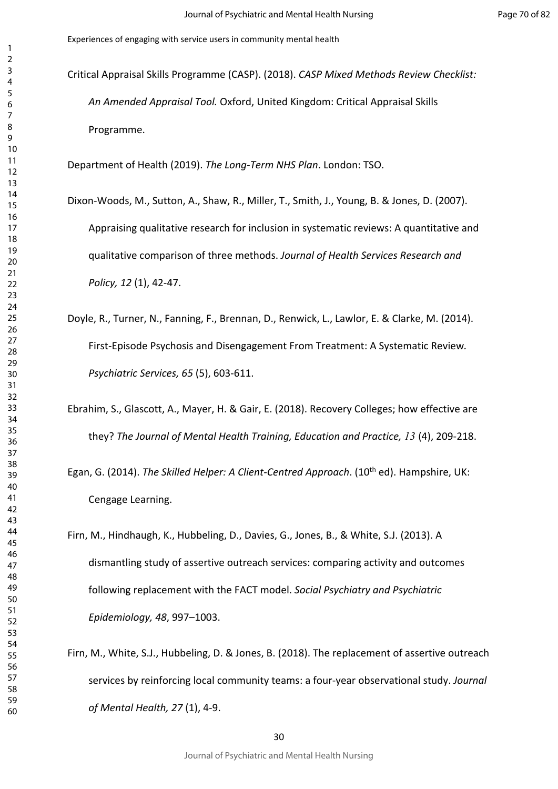Critical Appraisal Skills Programme (CASP). (2018). *CASP Mixed Methods Review Checklist: An Amended Appraisal Tool.* Oxford, United Kingdom: Critical Appraisal Skills Programme.

Department of Health (2019). *The Long-Term NHS Plan*. London: TSO.

- Dixon-Woods, M., Sutton, A., Shaw, R., Miller, T., Smith, J., Young, B. & Jones, D. (2007). Appraising qualitative research for inclusion in systematic reviews: A quantitative and qualitative comparison of three methods. *Journal of Health Services Research and Policy, 12* (1), 42-47.
- on or three incritios, Journal by Inciting Service International Cylical Service Inc.<br>
19 Increment Service Inc.<br>
19 Increment Service Inc.<br>
19 Increment Service Inc.<br>
19 Increment Service Inc.<br>
19 Increment Service Inc.<br> Doyle, R., Turner, N., Fanning, F., Brennan, D., Renwick, L., Lawlor, E. & Clarke, M. (2014). First-Episode Psychosis and Disengagement From Treatment: A Systematic Review*. Psychiatric Services, 65* (5), 603-611.
- Ebrahim, S., Glascott, A., Mayer, H. & Gair, E. (2018). Recovery Colleges; how effective are they? *The Journal of Mental Health Training, Education and Practice, 13* (4), 209-218.
- Egan, G. (2014). *The Skilled Helper: A Client-Centred Approach*. (10<sup>th</sup> ed). Hampshire, UK: Cengage Learning.
- Firn, M., Hindhaugh, K., Hubbeling, D., Davies, G., Jones, B., & White, S.J. (2013). A dismantling study of assertive outreach services: comparing activity and outcomes following replacement with the FACT model. *Social Psychiatry and Psychiatric Epidemiology, 48*, 997–1003.
- Firn, M., White, S.J., Hubbeling, D. & Jones, B. (2018). The replacement of assertive outreach services by reinforcing local community teams: a four-year observational study. *Journal of Mental Health, 27* (1), 4-9.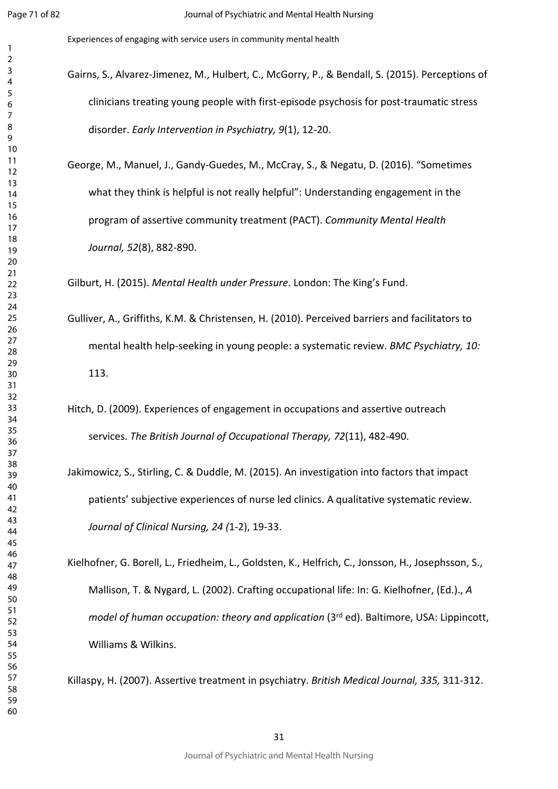$\mathbf{1}$ 

Experiences of engaging with service users in community mental health

- Gairns, S., Alvarez-Jimenez, M., Hulbert, C., McGorry, P., & Bendall, S. (2015). Perceptions of clinicians treating young people with first-episode psychosis for post-traumatic stress disorder. *Early Intervention in Psychiatry, 9*(1), 12-20.
- George, M., Manuel, J., Gandy-Guedes, M., McCray, S., & Negatu, D. (2016). "Sometimes what they think is helpful is not really helpful": Understanding engagement in the program of assertive community treatment (PACT). *Community Mental Health Journal, 52*(8), 882-890.

Gilburt, H. (2015). *Mental Health under Pressure*. London: The King's Fund.

- Il Health under Pressure. London: The King<br>1. & Christensen, H. (2010). Perceived barr<br>seeking in young people: a systematic revi<br>nces of engagement in occupations and as<br>Journal of Occupational Therapy, 72(11), <sup>2</sup><br>8. & D Gulliver, A., Griffiths, K.M. & Christensen, H. (2010). Perceived barriers and facilitators to mental health help-seeking in young people: a systematic review. *BMC Psychiatry, 10:* 113.
- Hitch, D. (2009). Experiences of engagement in occupations and assertive outreach services. *The British Journal of Occupational Therapy, 72*(11), 482-490.
- Jakimowicz, S., Stirling, C. & Duddle, M. (2015). An investigation into factors that impact patients' subjective experiences of nurse led clinics. A qualitative systematic review. *Journal of Clinical Nursing, 24 (*1-2), 19-33.

Kielhofner, G. Borell, L., Friedheim, L., Goldsten, K., Helfrich, C., Jonsson, H., Josephsson, S., Mallison, T. & Nygard, L. (2002). Crafting occupational life: In: G. Kielhofner, (Ed.)., *A model of human occupation: theory and application (3<sup>rd</sup> ed). Baltimore, USA: Lippincott,* Williams & Wilkins.

Killaspy, H. (2007). Assertive treatment in psychiatry. *British Medical Journal, 335,* 311-312.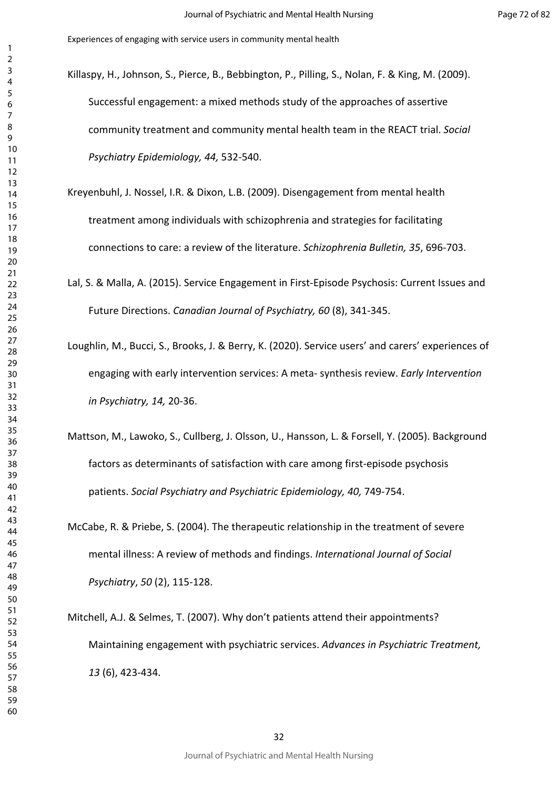- Killaspy, H., Johnson, S., Pierce, B., Bebbington, P., Pilling, S., Nolan, F. & King, M. (2009). Successful engagement: a mixed methods study of the approaches of assertive community treatment and community mental health team in the REACT trial. *Social Psychiatry Epidemiology, 44,* 532-540.
- Kreyenbuhl, J. Nossel, I.R. & Dixon, L.B. (2009). Disengagement from mental health treatment among individuals with schizophrenia and strategies for facilitating connections to care: a review of the literature. *Schizophrenia Bulletin, 35*, 696-703.
- Lal, S. & Malla, A. (2015). Service Engagement in First-Episode Psychosis: Current Issues and Future Directions. *Canadian Journal of Psychiatry, 60* (8), 341-345.
- Loughlin, M., Bucci, S., Brooks, J. & Berry, K. (2020). Service users' and carers' experiences of engaging with early intervention services: A meta- synthesis review. *Early Intervention in Psychiatry, 14,* 20-36.
- Service Engagement in First-Episode Psyc<br>
anadian Journal of Psychiatry, 60 (8), 341-<br>
rooks, J. & Berry, K. (2020). Service users' a<br>
intervention services: A meta-synthesis re<br>
-36.<br>
Cullberg, J. Olsson, U., Hansson, L. Mattson, M., Lawoko, S., Cullberg, J. Olsson, U., Hansson, L. & Forsell, Y. (2005). Background factors as determinants of satisfaction with care among first-episode psychosis patients. *Social Psychiatry and Psychiatric Epidemiology, 40,* 749-754.
- McCabe, R. & Priebe, S. (2004). The therapeutic relationship in the treatment of severe mental illness: A review of methods and findings. *International Journal of Social Psychiatry*, *50* (2), 115-128.

Mitchell, A.J. & Selmes, T. (2007). Why don't patients attend their appointments? Maintaining engagement with psychiatric services. *Advances in Psychiatric Treatment,*  (6), 423-434.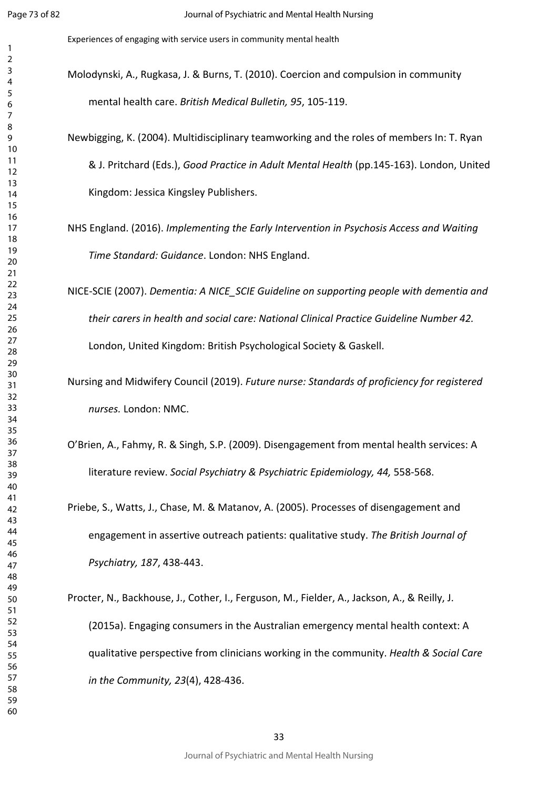$\mathbf{1}$ 

Experiences of engaging with service users in community mental health

- Molodynski, A., Rugkasa, J. & Burns, T. (2010). Coercion and compulsion in community mental health care. *British Medical Bulletin, 95*, 105-119.
- Newbigging, K. (2004). Multidisciplinary teamworking and the roles of members In: T. Ryan & J. Pritchard (Eds.), *Good Practice in Adult Mental Health* (pp.145-163). London, United Kingdom: Jessica Kingsley Publishers.
- NHS England. (2016). *Implementing the Early Intervention in Psychosis Access and Waiting Time Standard: Guidance*. London: NHS England.
- rance: Esheon: With England:<br>
Figure 2016 and social care: National Clinical Practice<br>
dom: British Psychological Society & Gask<br>
pouncil (2019). Future nurse: Standards of p<br>
C.<br>
Singh, S.P. (2009). Disengagement from m<br> NICE-SCIE (2007). *Dementia: A NICE\_SCIE Guideline on supporting people with dementia and their carers in health and social care: National Clinical Practice Guideline Number 42.* London, United Kingdom: British Psychological Society & Gaskell.
- Nursing and Midwifery Council (2019). *Future nurse: Standards of proficiency for registered nurses.* London: NMC.
- O'Brien, A., Fahmy, R. & Singh, S.P. (2009). Disengagement from mental health services: A literature review. *Social Psychiatry & Psychiatric Epidemiology, 44,* 558-568.
- Priebe, S., Watts, J., Chase, M. & Matanov, A. (2005). Processes of disengagement and engagement in assertive outreach patients: qualitative study. *The British Journal of Psychiatry, 187*, 438-443.

Procter, N., Backhouse, J., Cother, I., Ferguson, M., Fielder, A., Jackson, A., & Reilly, J. (2015a). Engaging consumers in the Australian emergency mental health context: A qualitative perspective from clinicians working in the community. *Health & Social Care in the Community, 23*(4), 428-436.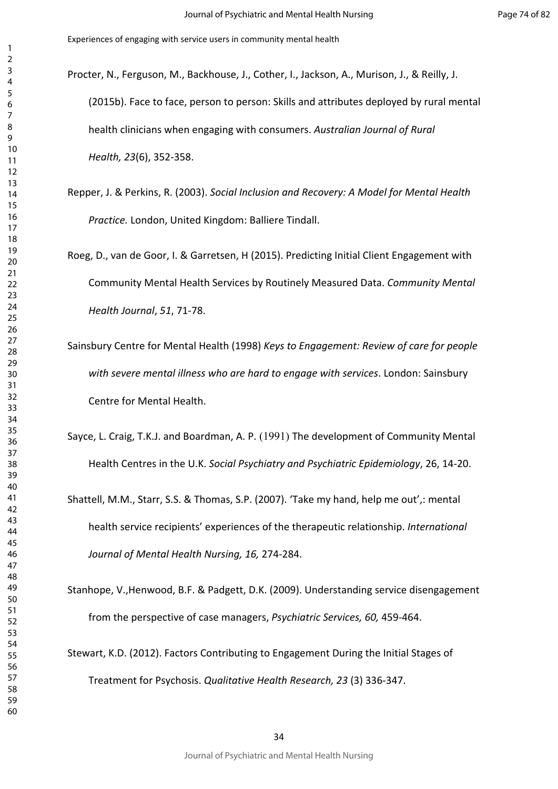- Procter, N., Ferguson, M., Backhouse, J., Cother, I., Jackson, A., Murison, J., & Reilly, J. (2015b). Face to face, person to person: Skills and attributes deployed by rural mental health clinicians when engaging with consumers. *Australian Journal of Rural Health, 23*(6), 352-358.
- Repper, J. & Perkins, R. (2003). *Social Inclusion and Recovery: A Model for Mental Health Practice.* London, United Kingdom: Balliere Tindall.
- Roeg, D., van de Goor, I. & Garretsen, H (2015). Predicting Initial Client Engagement with Community Mental Health Services by Routinely Measured Data. *Community Mental Health Journal*, *51*, 71-78.
- Health Services by Routinely Measured Da<br>
1-78.<br>
Interaction (1998) *Keys to Engagement: Rellness who are hard to engage with service*<br>
ealth.<br>
Boardman, A. P. (1991) The development<br>
e U.K. *Social Psychiatry and Psychiat* Sainsbury Centre for Mental Health (1998) *Keys to Engagement: Review of care for people with severe mental illness who are hard to engage with services*. London: Sainsbury Centre for Mental Health.
- Sayce, L. Craig, T.K.J. and Boardman, A. P. (1991) The development of Community Mental Health Centres in the U.K. *Social Psychiatry and Psychiatric Epidemiology*, 26, 14-20.
- Shattell, M.M., Starr, S.S. & Thomas, S.P. (2007). 'Take my hand, help me out',: mental health service recipients' experiences of the therapeutic relationship. *International Journal of Mental Health Nursing, 16,* 274-284.
- Stanhope, V.,Henwood, B.F. & Padgett, D.K. (2009). Understanding service disengagement from the perspective of case managers, *Psychiatric Services, 60,* 459-464.
- Stewart, K.D. (2012). Factors Contributing to Engagement During the Initial Stages of Treatment for Psychosis. *Qualitative Health Research, 23* (3) 336-347.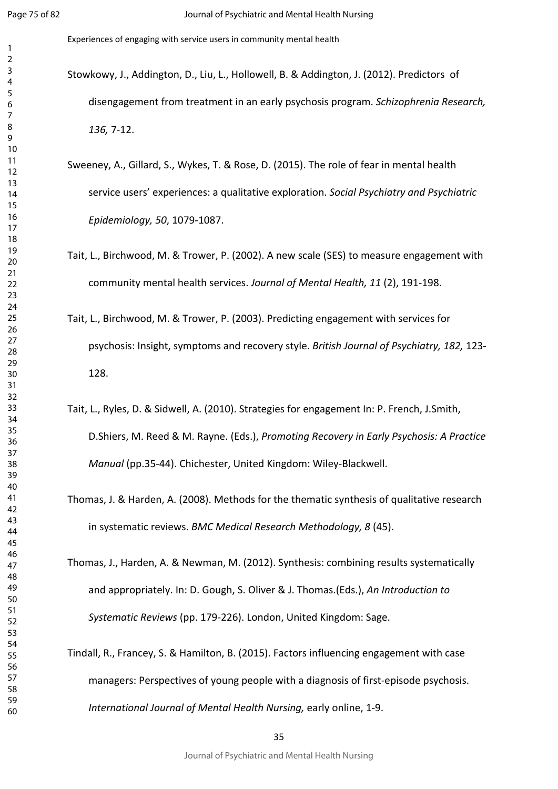$\mathbf{1}$  $\overline{2}$  $\overline{4}$  $\overline{7}$ 

Experiences of engaging with service users in community mental health

- Stowkowy, J., Addington, D., Liu, L., Hollowell, B. & Addington, J. (2012). Predictors of disengagement from treatment in an early psychosis program. *Schizophrenia Research, 136,* 7-12.
- Sweeney, A., Gillard, S., Wykes, T. & Rose, D. (2015). The role of fear in mental health service users' experiences: a qualitative exploration. *Social Psychiatry and Psychiatric Epidemiology, 50*, 1079-1087.
- Tait, L., Birchwood, M. & Trower, P. (2002). A new scale (SES) to measure engagement with community mental health services. *Journal of Mental Health, 11* (2), 191-198.
- Tait, L., Birchwood, M. & Trower, P. (2003). Predicting engagement with services for psychosis: Insight, symptoms and recovery style. *British Journal of Psychiatry, 182,* 123- 128.
- Frower, CESSEY: A The Search (SESE) to The<br>nealth services. Journal of Mental Health,<br>Trower, P. (2003). Predicting engagement<br>proportions and recovery style. British Journal<br>III, A. (2010). Strategies for engagement In<br>M. Tait, L., Ryles, D. & Sidwell, A. (2010). Strategies for engagement In: P. French, J.Smith, D.Shiers, M. Reed & M. Rayne. (Eds.), *Promoting Recovery in Early Psychosis: A Practice Manual* (pp.35-44). Chichester, United Kingdom: Wiley-Blackwell.
- Thomas, J. & Harden, A. (2008). Methods for the thematic synthesis of qualitative research in systematic reviews. *BMC Medical Research Methodology, 8* (45).
- Thomas, J., Harden, A. & Newman, M. (2012). Synthesis: combining results systematically and appropriately. In: D. Gough, S. Oliver & J. Thomas.(Eds.), *An Introduction to Systematic Reviews* (pp. 179-226). London, United Kingdom: Sage.
- Tindall, R., Francey, S. & Hamilton, B. (2015). Factors influencing engagement with case managers: Perspectives of young people with a diagnosis of first-episode psychosis. *International Journal of Mental Health Nursing,* early online, 1-9.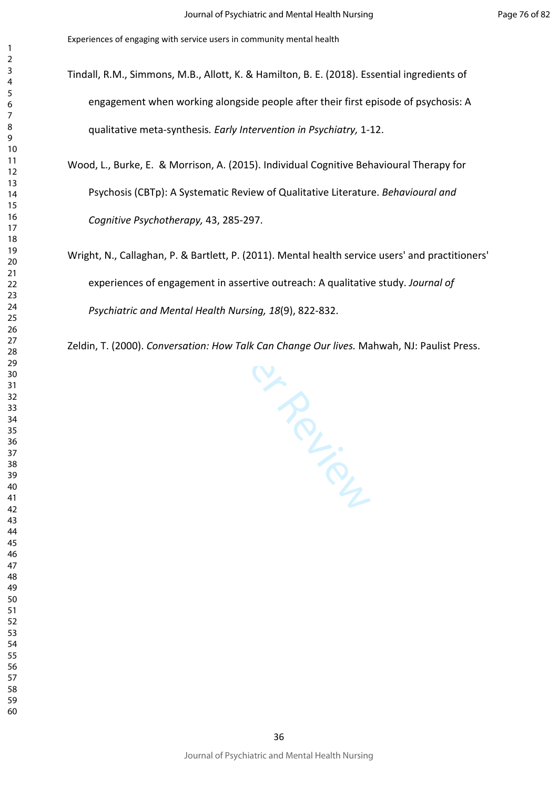- Tindall, R.M., Simmons, M.B., Allott, K. & Hamilton, B. E. (2018). Essential ingredients of engagement when working alongside people after their first episode of psychosis: A qualitative meta-synthesis*. Early Intervention in Psychiatry,* 1-12.
- Wood, L., Burke, E. & Morrison, A. (2015). Individual Cognitive Behavioural Therapy for Psychosis (CBTp): A Systematic Review of Qualitative Literature. *Behavioural and Cognitive Psychotherapy,* 43, 285-297.
- Wright, N., Callaghan, P. & Bartlett, P. (2011). Mental health service users' and practitioners' experiences of engagement in assertive outreach: A qualitative study. *Journal of Psychiatric and Mental Health Nursing, 18*(9), 822-832.

Zeldin, T. (2000). *Conversation: How Talk Can Change Our lives.* Mahwah, NJ: Paulist Press.

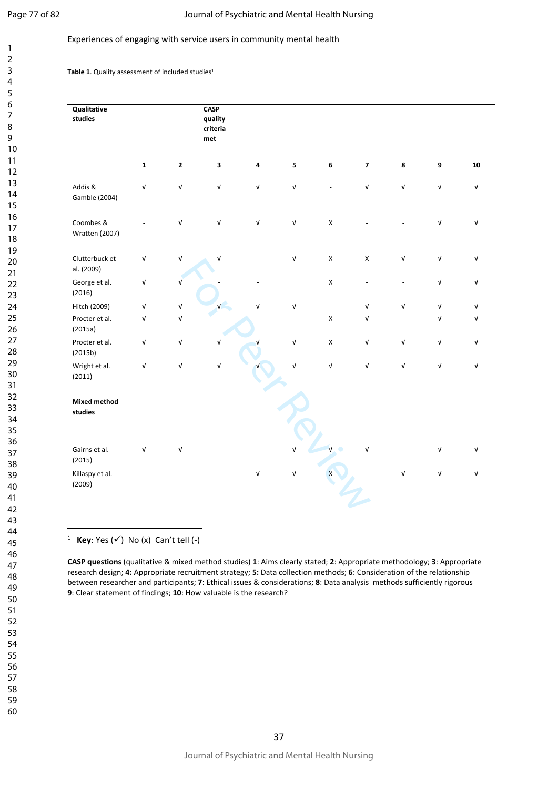$\mathbf{1}$ 

## Experiences of engaging with service users in community mental health

**Table 1**. Quality assessment of included studies 1

| Qualitative<br>studies             |                                  |                                  | <b>CASP</b><br>quality<br>criteria<br>met |                                  |                                  |                           |                                  |                          |                                  |                                  |
|------------------------------------|----------------------------------|----------------------------------|-------------------------------------------|----------------------------------|----------------------------------|---------------------------|----------------------------------|--------------------------|----------------------------------|----------------------------------|
|                                    | $\overline{\mathbf{1}}$          | $\overline{2}$                   | $\overline{\mathbf{3}}$                   | 4                                | 5                                | 6                         | 7                                | $\bf 8$                  | 9                                | ${\bf 10}$                       |
| Addis &<br>Gamble (2004)           | $\ensuremath{\mathsf{v}}\xspace$ | $\ensuremath{\mathsf{v}}\xspace$ | $\ensuremath{\mathsf{v}}\xspace$          | $\ensuremath{\mathsf{v}}\xspace$ | $\ensuremath{\mathsf{v}}\xspace$ |                           | $\ensuremath{\mathsf{v}}\xspace$ | $\mathsf{v}$             | $\ensuremath{\mathsf{v}}\xspace$ | $\ensuremath{\mathsf{v}}\xspace$ |
| Coombes &<br><b>Wratten (2007)</b> |                                  | $\ensuremath{\mathsf{V}}$        | $\sqrt{ }$                                | $\ensuremath{\mathsf{V}}$        | $\sqrt{ }$                       | $\pmb{\times}$            |                                  |                          | $\sqrt{ }$                       | $\sqrt{ }$                       |
| Clutterbuck et<br>al. (2009)       | $\sqrt{ }$                       | $\ensuremath{\mathsf{v}}\xspace$ | $\sqrt{ }$                                |                                  | $\ensuremath{\mathsf{v}}\xspace$ | $\pmb{\mathsf{X}}$        | $\pmb{\times}$                   | $\sqrt{ }$               | $\ensuremath{\mathsf{V}}$        | $\sqrt{ }$                       |
| George et al.<br>(2016)            | $\sqrt{ }$                       | $\sqrt{ }$                       |                                           |                                  |                                  | X                         | $\overline{a}$                   | $\overline{a}$           | $\sqrt{ }$                       | $\sqrt{ }$                       |
| Hitch (2009)                       | $\sqrt{ }$                       | $\ensuremath{\mathsf{V}}$        |                                           | V                                | $\sqrt{ }$                       | $\omega$                  | $\sqrt{ }$                       | $\sqrt{ }$               | $\sqrt{ }$                       | $\sqrt{ }$                       |
| Procter et al.<br>(2015a)          | $\ensuremath{\mathsf{V}}$        | $\ensuremath{\mathsf{V}}$        |                                           |                                  | ٠                                | $\pmb{\times}$            | $\ensuremath{\mathsf{V}}$        | $\overline{\phantom{a}}$ | $\ensuremath{\mathsf{V}}$        | $\sqrt{ }$                       |
| Procter et al.<br>(2015b)          | $\sqrt{ }$                       | $\ensuremath{\mathsf{v}}\xspace$ | $\sqrt{ }$                                | V                                | $\ensuremath{\mathsf{v}}\xspace$ | $\mathsf X$               | $\ensuremath{\mathsf{v}}\xspace$ | $\mathsf{v}$             | $\ensuremath{\mathsf{v}}\xspace$ | $\sqrt{ }$                       |
| Wright et al.<br>(2011)            | $\ensuremath{\mathsf{V}}$        | $\sqrt{ }$                       | $\ensuremath{\mathsf{v}}\xspace$          |                                  | $\sqrt{ }$                       | $\ensuremath{\mathsf{V}}$ | $\ensuremath{\mathsf{v}}\xspace$ | $\mathsf{v}$             | $\ensuremath{\mathsf{v}}\xspace$ | $\sqrt{ }$                       |
| <b>Mixed method</b><br>studies     |                                  |                                  |                                           |                                  |                                  |                           |                                  |                          |                                  |                                  |
| Gairns et al.<br>(2015)            | $\ensuremath{\mathsf{V}}$        | $\sqrt{ }$                       |                                           |                                  | V                                | $\sqrt{ }$                | $\sqrt{ }$                       |                          | $\sqrt{ }$                       | $\sqrt{ }$                       |
| Killaspy et al.<br>(2009)          |                                  |                                  |                                           | $\ensuremath{\mathsf{V}}$        | $\sqrt{ }$                       |                           |                                  | $\mathsf{v}$             | $\ensuremath{\mathsf{V}}$        | $\mathsf{V}$                     |

<sup>1</sup> **Key**: Yes (√) No (x) Can't tell (-)

**CASP questions** (qualitative & mixed method studies) **1**: Aims clearly stated; **2**: Appropriate methodology; **3**: Appropriate research design; **4:** Appropriate recruitment strategy; **5:** Data collection methods; **6**: Consideration of the relationship between researcher and participants; **7**: Ethical issues & considerations; **8**: Data analysis methods sufficiently rigorous **9**: Clear statement of findings; **10**: How valuable is the research?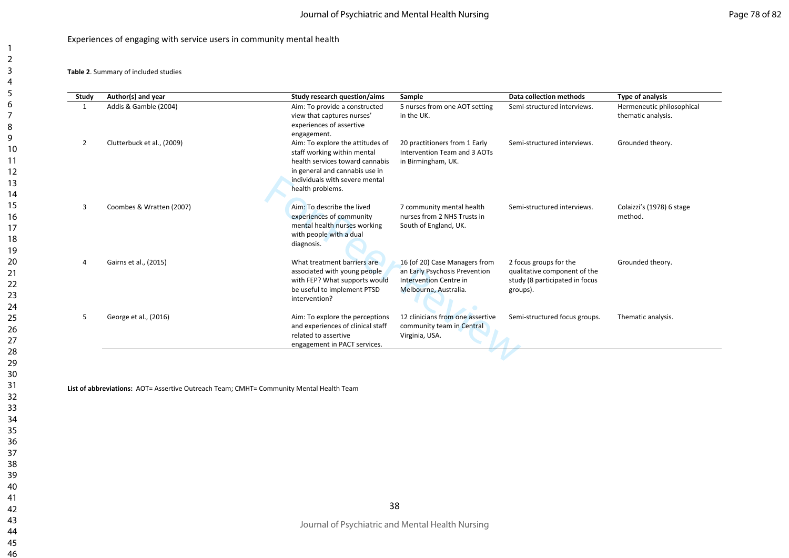**Table 2**. Summary of included studies

| Study          | Author(s) and year         | Study research question/aims                                                                                                                                                               | Sample                                                                                                            | <b>Data collection methods</b>                                                                       | <b>Type of analysis</b>                         |
|----------------|----------------------------|--------------------------------------------------------------------------------------------------------------------------------------------------------------------------------------------|-------------------------------------------------------------------------------------------------------------------|------------------------------------------------------------------------------------------------------|-------------------------------------------------|
| 1              | Addis & Gamble (2004)      | Aim: To provide a constructed<br>view that captures nurses'<br>experiences of assertive<br>engagement.                                                                                     | 5 nurses from one AOT setting<br>in the UK.                                                                       | Semi-structured interviews.                                                                          | Hermeneutic philosophical<br>thematic analysis. |
| 2              | Clutterbuck et al., (2009) | Aim: To explore the attitudes of<br>staff working within mental<br>health services toward cannabis<br>in general and cannabis use in<br>individuals with severe mental<br>health problems. | 20 practitioners from 1 Early<br>Intervention Team and 3 AOTs<br>in Birmingham, UK.                               | Semi-structured interviews.                                                                          | Grounded theory.                                |
| 3              | Coombes & Wratten (2007)   | Aim: To describe the lived<br>experiences of community<br>mental health nurses working<br>with people with a dual<br>diagnosis.                                                            | 7 community mental health<br>nurses from 2 NHS Trusts in<br>South of England, UK.                                 | Semi-structured interviews.                                                                          | Colaizzi's (1978) 6 stage<br>method.            |
| $\overline{4}$ | Gairns et al., (2015)      | What treatment barriers are<br>associated with young people<br>with FEP? What supports would<br>be useful to implement PTSD<br>intervention?                                               | 16 (of 20) Case Managers from<br>an Early Psychosis Prevention<br>Intervention Centre in<br>Melbourne, Australia. | 2 focus groups for the<br>qualitative component of the<br>study (8 participated in focus<br>groups). | Grounded theory.                                |
| 5              | George et al., (2016)      | Aim: To explore the perceptions<br>and experiences of clinical staff<br>related to assertive<br>engagement in PACT services.                                                               | 12 clinicians from one assertive<br>community team in Central<br>Virginia, USA.                                   | Semi-structured focus groups.                                                                        | Thematic analysis.                              |

List of abbreviations: AOT= Assertive Outreach Team; CMHT= Community Mental Health Team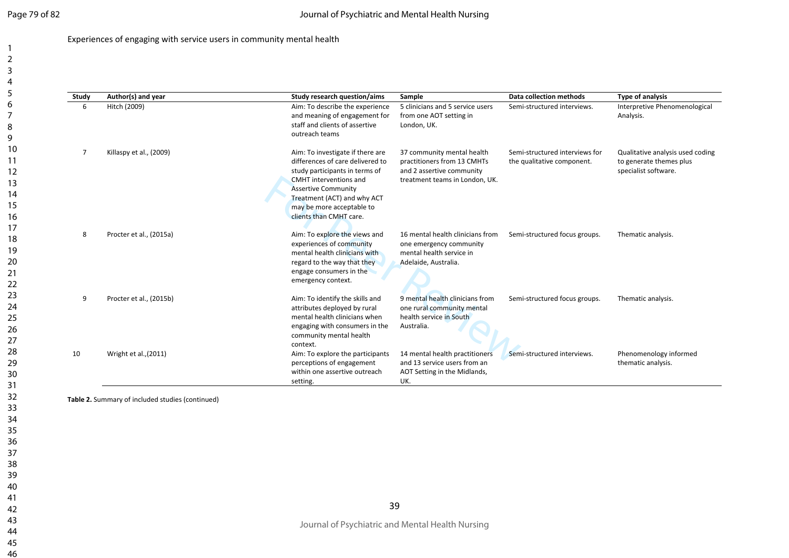1 2 3

## Experiences of engaging with service users in community mental health

| 4               |  |
|-----------------|--|
| 5               |  |
| 6               |  |
|                 |  |
| 8               |  |
| 9               |  |
|                 |  |
| 10              |  |
| 11              |  |
| 12              |  |
| 13              |  |
| $\overline{14}$ |  |
| 15              |  |
| 16              |  |
| 17              |  |
| 18              |  |
| 19              |  |
| 20              |  |
| $\overline{21}$ |  |
| 22<br>23        |  |
|                 |  |
| 24              |  |
| 25              |  |
| 26              |  |
| $^{27}$         |  |
| 28              |  |
| 29              |  |
| 30              |  |
|                 |  |
| 31<br>32        |  |
| 33              |  |
| 34              |  |
| 35              |  |
| 36              |  |
| 37              |  |
|                 |  |
| 38              |  |
| 39              |  |
| 40              |  |
| 41              |  |
| 42              |  |
| 43              |  |
| 44              |  |
| 45              |  |
| 46              |  |

| Study | Author(s) and year      | Study research question/aims                                                                                                                                                                                                                                 | Sample                                                                                                                   | Data collection methods                                      | <b>Type of analysis</b>                                                             |
|-------|-------------------------|--------------------------------------------------------------------------------------------------------------------------------------------------------------------------------------------------------------------------------------------------------------|--------------------------------------------------------------------------------------------------------------------------|--------------------------------------------------------------|-------------------------------------------------------------------------------------|
| 6     | Hitch (2009)            | Aim: To describe the experience<br>and meaning of engagement for<br>staff and clients of assertive<br>outreach teams                                                                                                                                         | 5 clinicians and 5 service users<br>from one AOT setting in<br>London, UK.                                               | Semi-structured interviews.                                  | Interpretive Phenomenological<br>Analysis.                                          |
| 7     | Killaspy et al., (2009) | Aim: To investigate if there are<br>differences of care delivered to<br>study participants in terms of<br><b>CMHT</b> interventions and<br><b>Assertive Community</b><br>Treatment (ACT) and why ACT<br>may be more acceptable to<br>clients than CMHT care. | 37 community mental health<br>practitioners from 13 CMHTs<br>and 2 assertive community<br>treatment teams in London, UK. | Semi-structured interviews for<br>the qualitative component. | Qualitative analysis used coding<br>to generate themes plus<br>specialist software. |
| 8     | Procter et al., (2015a) | Aim: To explore the views and<br>experiences of community<br>mental health clinicians with<br>regard to the way that they<br>engage consumers in the<br>emergency context.                                                                                   | 16 mental health clinicians from<br>one emergency community<br>mental health service in<br>Adelaide, Australia.          | Semi-structured focus groups.                                | Thematic analysis.                                                                  |
| 9     | Procter et al., (2015b) | Aim: To identify the skills and<br>attributes deployed by rural<br>mental health clinicians when<br>engaging with consumers in the<br>community mental health<br>context.                                                                                    | 9 mental health clinicians from<br>one rural community mental<br>health service in South<br>Australia.                   | Semi-structured focus groups.                                | Thematic analysis.                                                                  |
| 10    | Wright et al., (2011)   | Aim: To explore the participants<br>perceptions of engagement<br>within one assertive outreach<br>setting.                                                                                                                                                   | 14 mental health practitioners<br>and 13 service users from an<br>AOT Setting in the Midlands,<br>UK.                    | Semi-structured interviews.                                  | Phenomenology informed<br>thematic analysis.                                        |

**Table 2.** Summary of included studies (continued)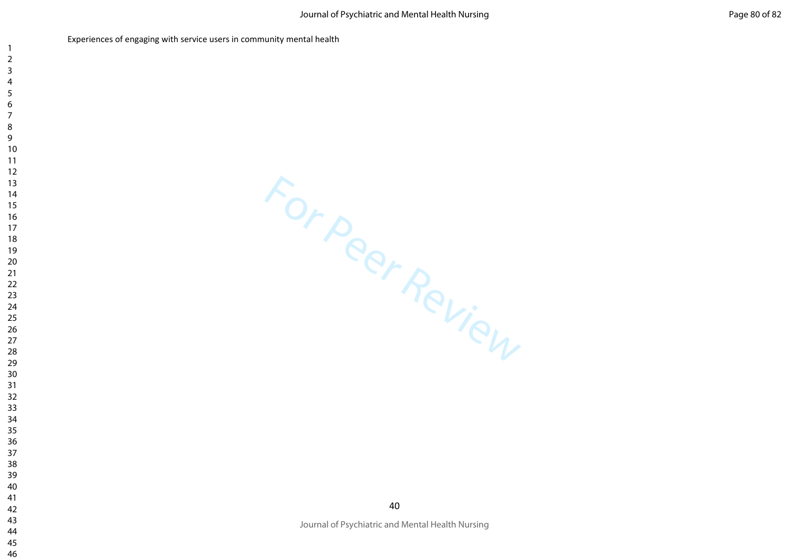For Peer Review

 $\overline{\phantom{0}}$ 

Journal of Psychiatric and Mental Health Nursing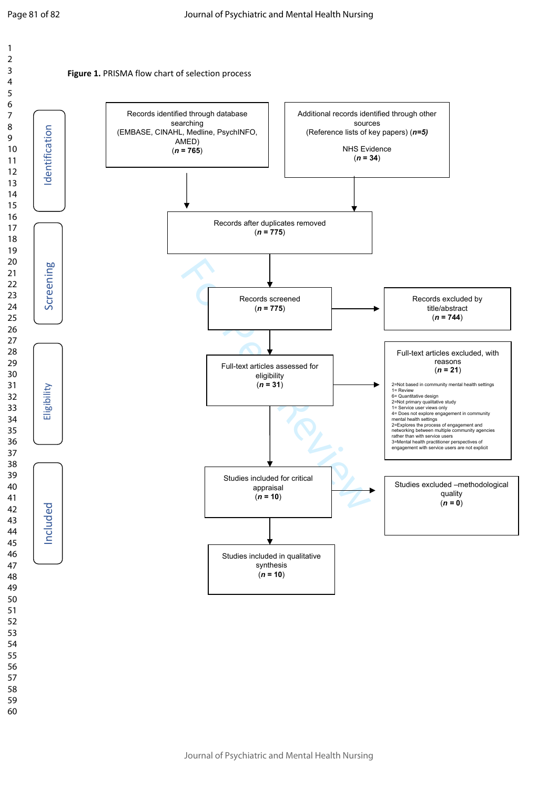1 2 3

## **Figure 1.** PRISMA flow chart of selection process